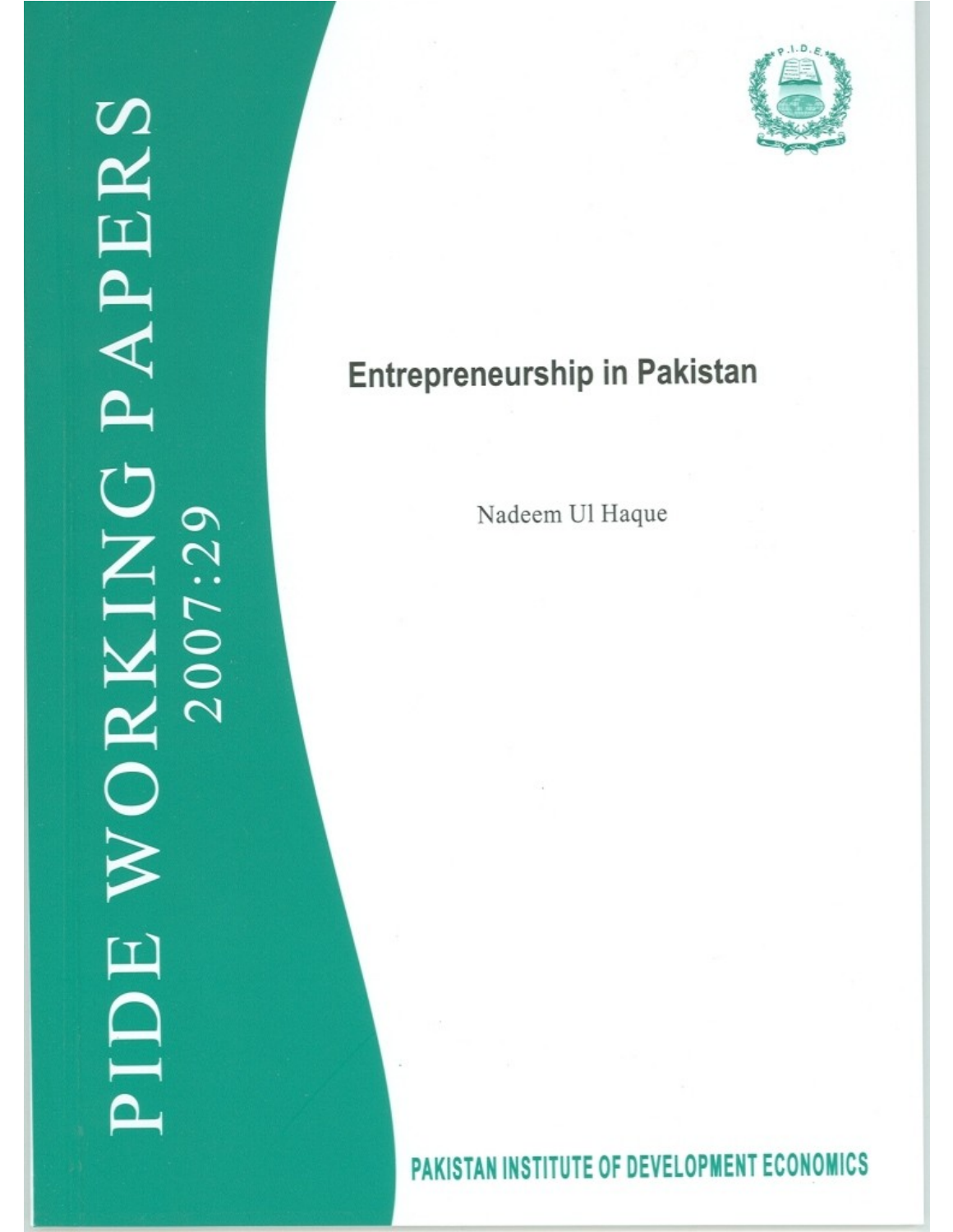

# **Entrepreneurship in Pakistan**

Nadeem Ul Haque

# PAKISTAN INSTITUTE OF DEVELOPMENT ECONOMICS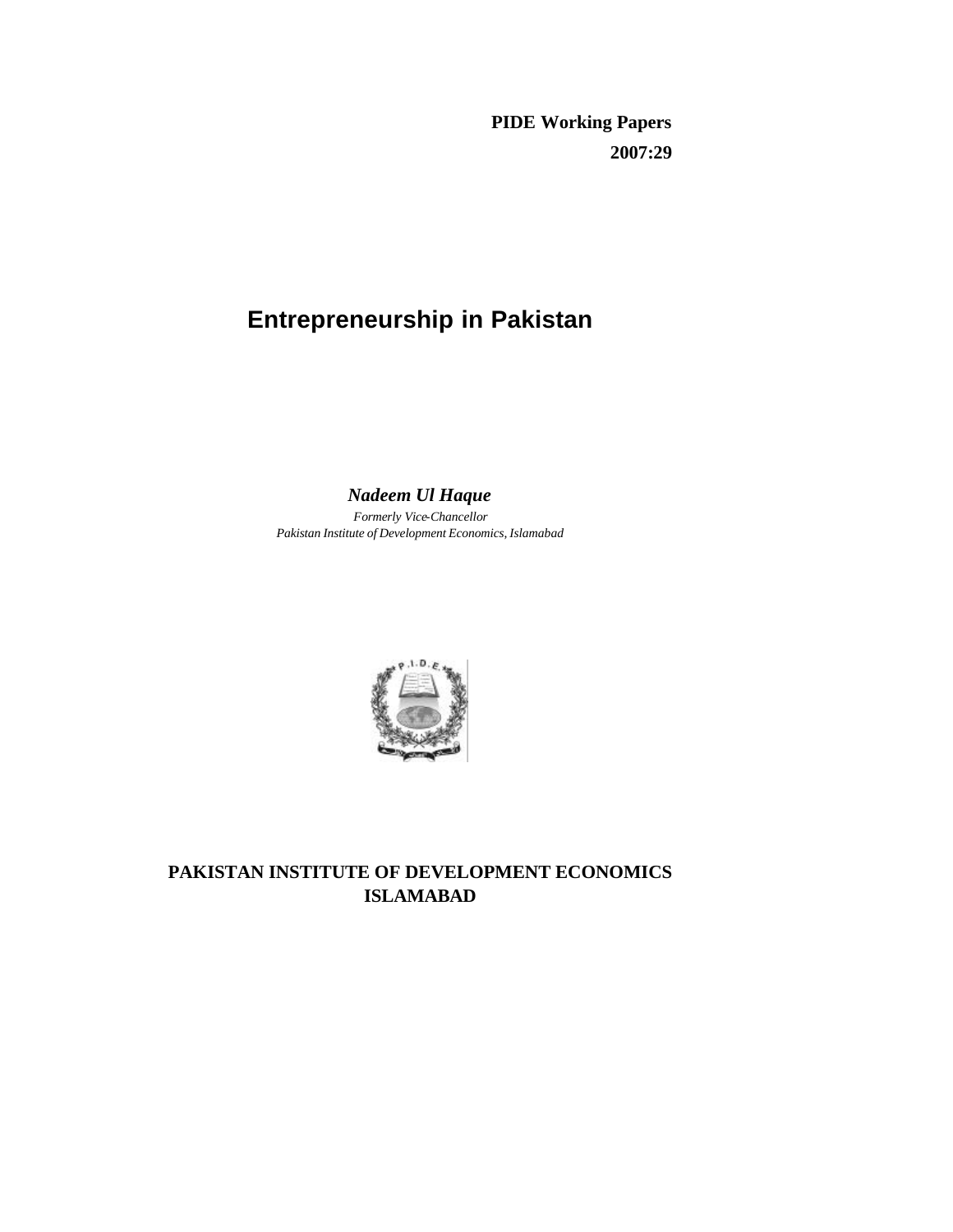**PIDE Working Papers 2007:29**

# **Entrepreneurship in Pakistan**

# *Nadeem Ul Haque*

*Formerly Vice-Chancellor Pakistan Institute of Development Economics, Islamabad*



# **PAKISTAN INSTITUTE OF DEVELOPMENT ECONOMICS ISLAMABAD**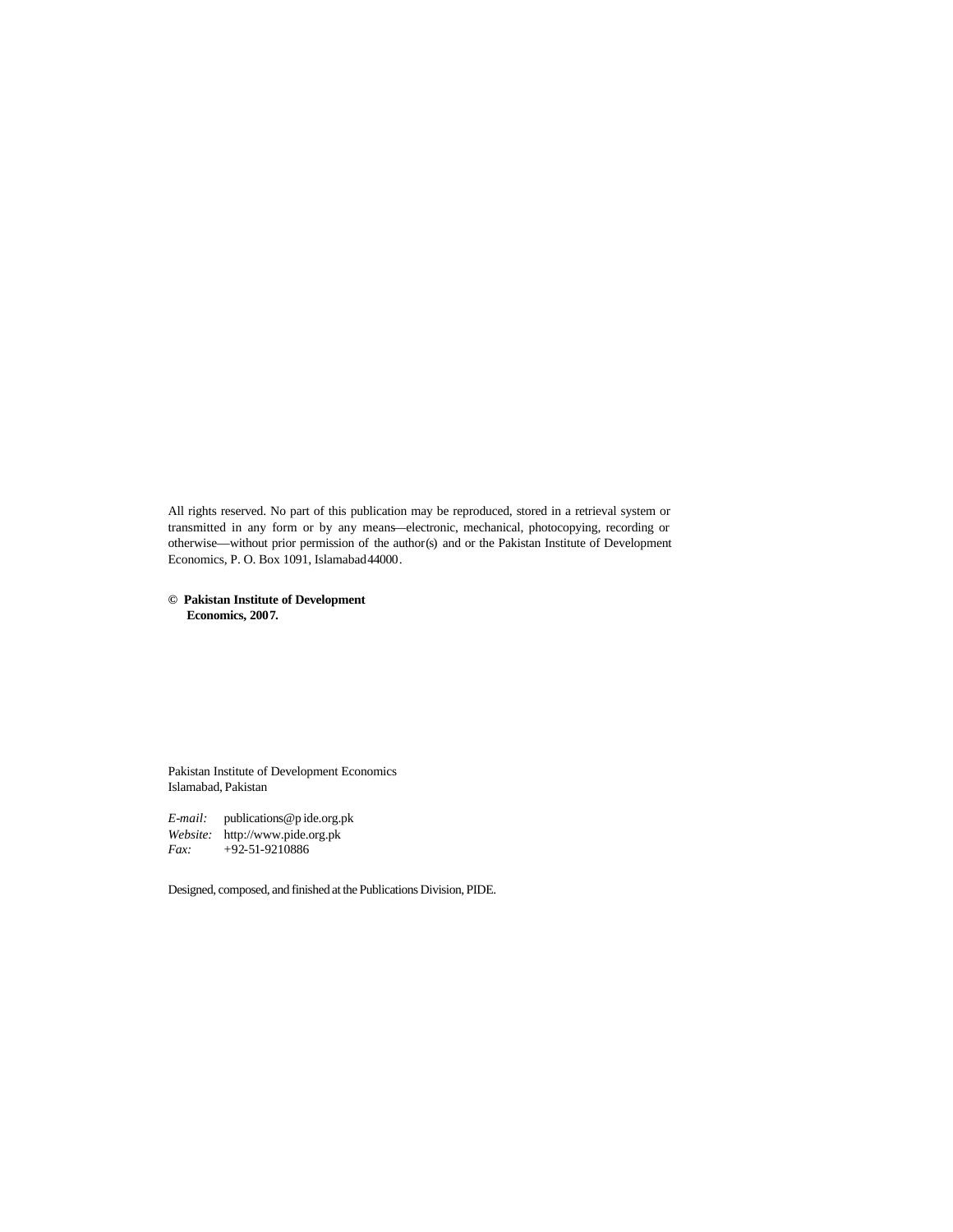All rights reserved. No part of this publication may be reproduced, stored in a retrieval system or transmitted in any form or by any means—electronic, mechanical, photocopying, recording or otherwise—without prior permission of the author(s) and or the Pakistan Institute of Development Economics, P. O. Box 1091, Islamabad 44000.

**© Pakistan Institute of Development Economics, 2007.**

Pakistan Institute of Development Economics Islamabad, Pakistan

*E-mail:* publications@p ide.org.pk *Website:* http://www.pide.org.pk *Fax:* +92-51-9210886

Designed, composed, and finished at the Publications Division, PIDE.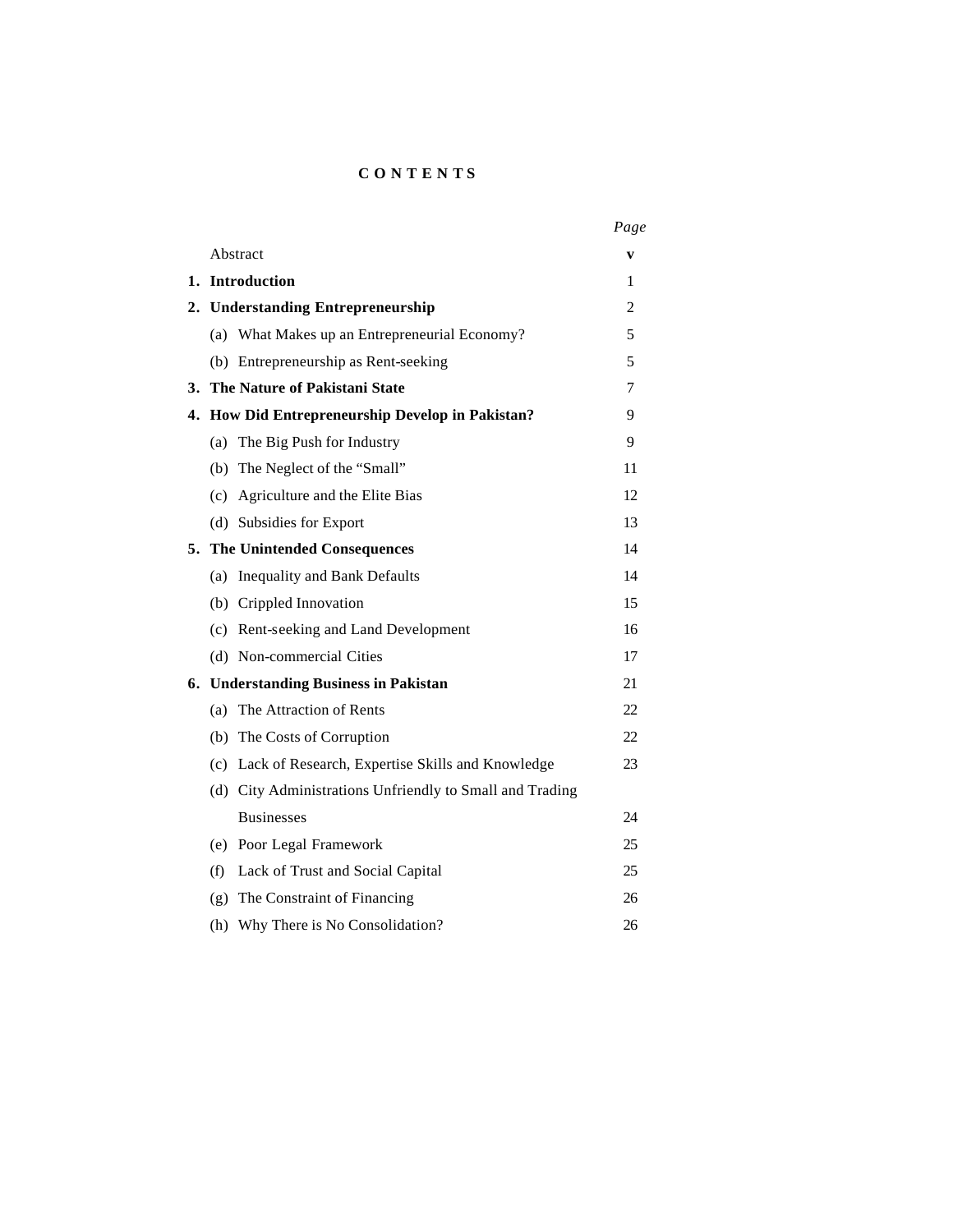# **CONTENT S**

|    |     |                                                          | Page |
|----|-----|----------------------------------------------------------|------|
|    |     | Abstract                                                 | v    |
|    |     | 1. Introduction                                          | 1    |
|    |     | 2. Understanding Entrepreneurship                        | 2    |
|    |     | (a) What Makes up an Entrepreneurial Economy?            | 5    |
|    |     | (b) Entrepreneurship as Rent-seeking                     | 5    |
|    |     | 3. The Nature of Pakistani State                         | 7    |
|    |     | 4. How Did Entrepreneurship Develop in Pakistan?         | 9    |
|    |     | (a) The Big Push for Industry                            | 9    |
|    |     | (b) The Neglect of the "Small"                           | 11   |
|    |     | (c) Agriculture and the Elite Bias                       | 12   |
|    |     | (d) Subsidies for Export                                 | 13   |
|    |     | 5. The Unintended Consequences                           | 14   |
|    |     | (a) Inequality and Bank Defaults                         | 14   |
|    |     | (b) Crippled Innovation                                  | 15   |
|    |     | (c) Rent-seeking and Land Development                    | 16   |
|    |     | (d) Non-commercial Cities                                | 17   |
| 6. |     | <b>Understanding Business in Pakistan</b>                | 21   |
|    | (a) | The Attraction of Rents                                  | 22   |
|    |     | (b) The Costs of Corruption                              | 22   |
|    |     | (c) Lack of Research, Expertise Skills and Knowledge     | 23   |
|    |     | (d) City Administrations Unfriendly to Small and Trading |      |
|    |     | <b>Businesses</b>                                        | 24   |
|    |     | (e) Poor Legal Framework                                 | 25   |
|    | (f) | Lack of Trust and Social Capital                         | 25   |
|    |     | (g) The Constraint of Financing                          | 26   |
|    |     | (h) Why There is No Consolidation?                       | 26   |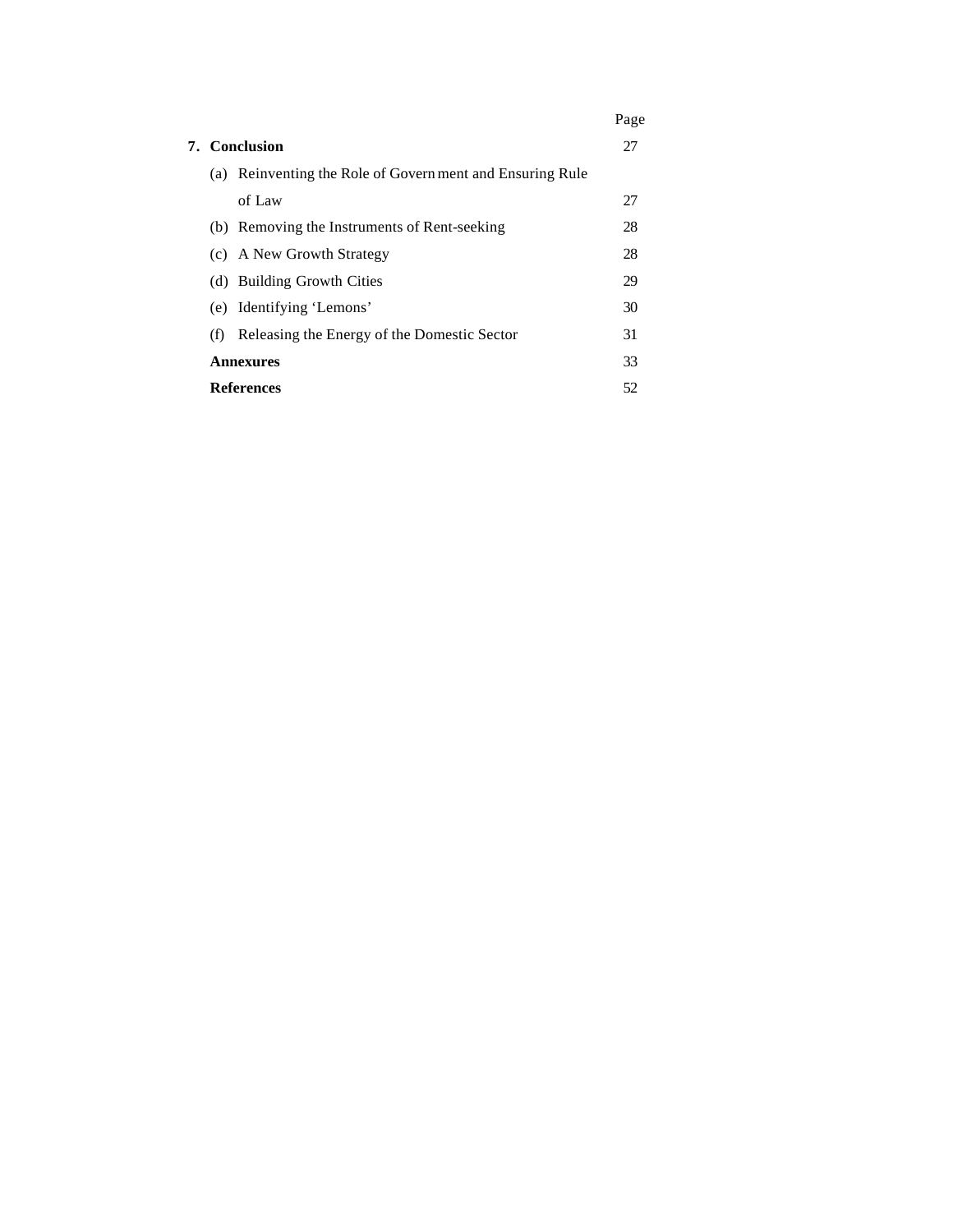|     |                                                           | Page |
|-----|-----------------------------------------------------------|------|
|     | 7. Conclusion                                             | 27   |
|     | (a) Reinventing the Role of Govern ment and Ensuring Rule |      |
|     | of Law                                                    | 27   |
|     | (b) Removing the Instruments of Rent-seeking              | 28   |
|     | (c) A New Growth Strategy                                 | 28   |
|     | (d) Building Growth Cities                                | 29   |
|     | (e) Identifying 'Lemons'                                  | 30   |
| (f) | Releasing the Energy of the Domestic Sector               | 31   |
|     | <b>Annexures</b>                                          | 33   |
|     | References                                                | 52   |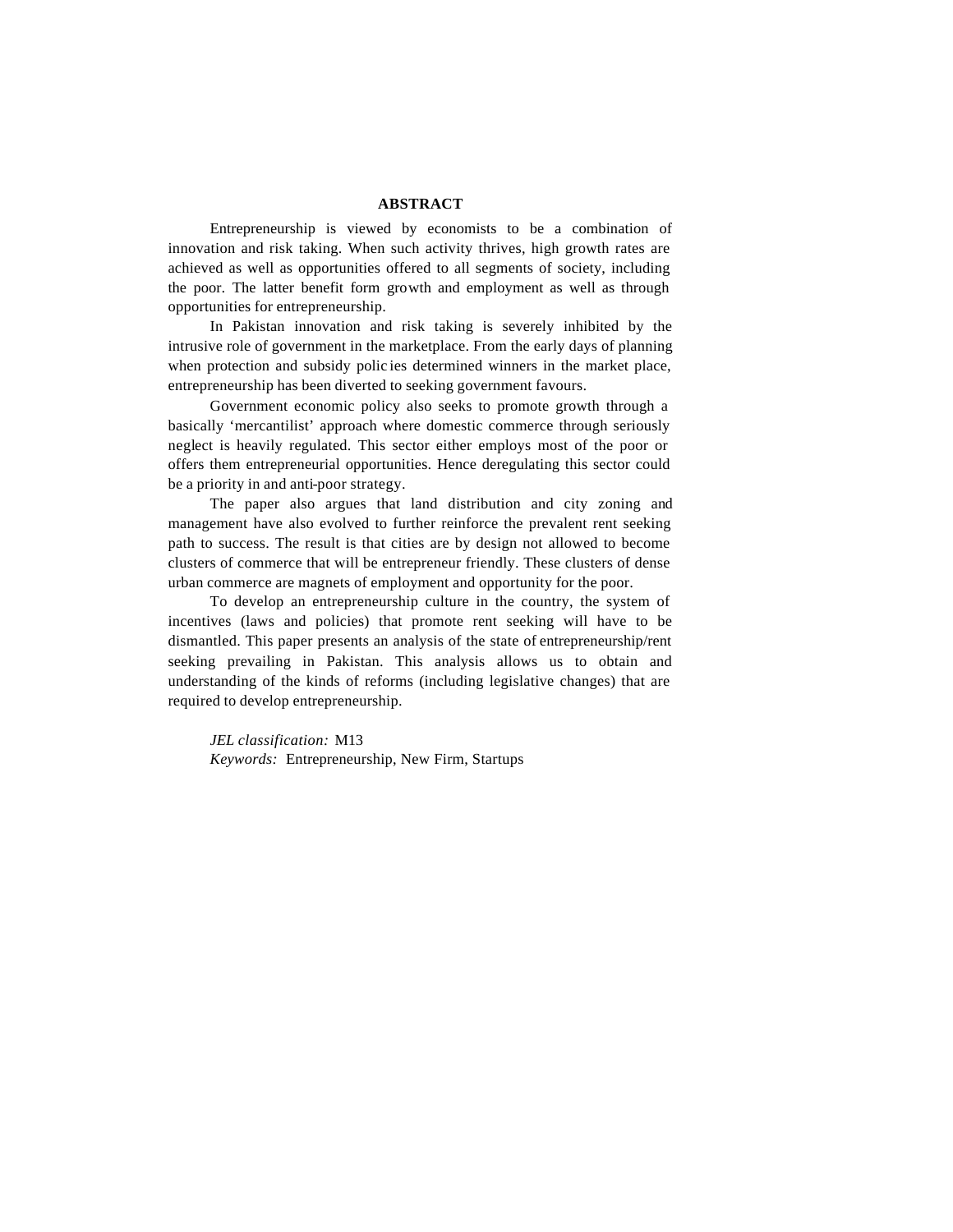### **ABSTRACT**

Entrepreneurship is viewed by economists to be a combination of innovation and risk taking. When such activity thrives, high growth rates are achieved as well as opportunities offered to all segments of society, including the poor. The latter benefit form growth and employment as well as through opportunities for entrepreneurship.

In Pakistan innovation and risk taking is severely inhibited by the intrusive role of government in the marketplace. From the early days of planning when protection and subsidy polic ies determined winners in the market place, entrepreneurship has been diverted to seeking government favours.

Government economic policy also seeks to promote growth through a basically 'mercantilist' approach where domestic commerce through seriously neglect is heavily regulated. This sector either employs most of the poor or offers them entrepreneurial opportunities. Hence deregulating this sector could be a priority in and anti-poor strategy.

The paper also argues that land distribution and city zoning and management have also evolved to further reinforce the prevalent rent seeking path to success. The result is that cities are by design not allowed to become clusters of commerce that will be entrepreneur friendly. These clusters of dense urban commerce are magnets of employment and opportunity for the poor.

To develop an entrepreneurship culture in the country, the system of incentives (laws and policies) that promote rent seeking will have to be dismantled. This paper presents an analysis of the state of entrepreneurship/rent seeking prevailing in Pakistan. This analysis allows us to obtain and understanding of the kinds of reforms (including legislative changes) that are required to develop entrepreneurship.

*JEL classification:* M13 *Keywords:* Entrepreneurship, New Firm, Startups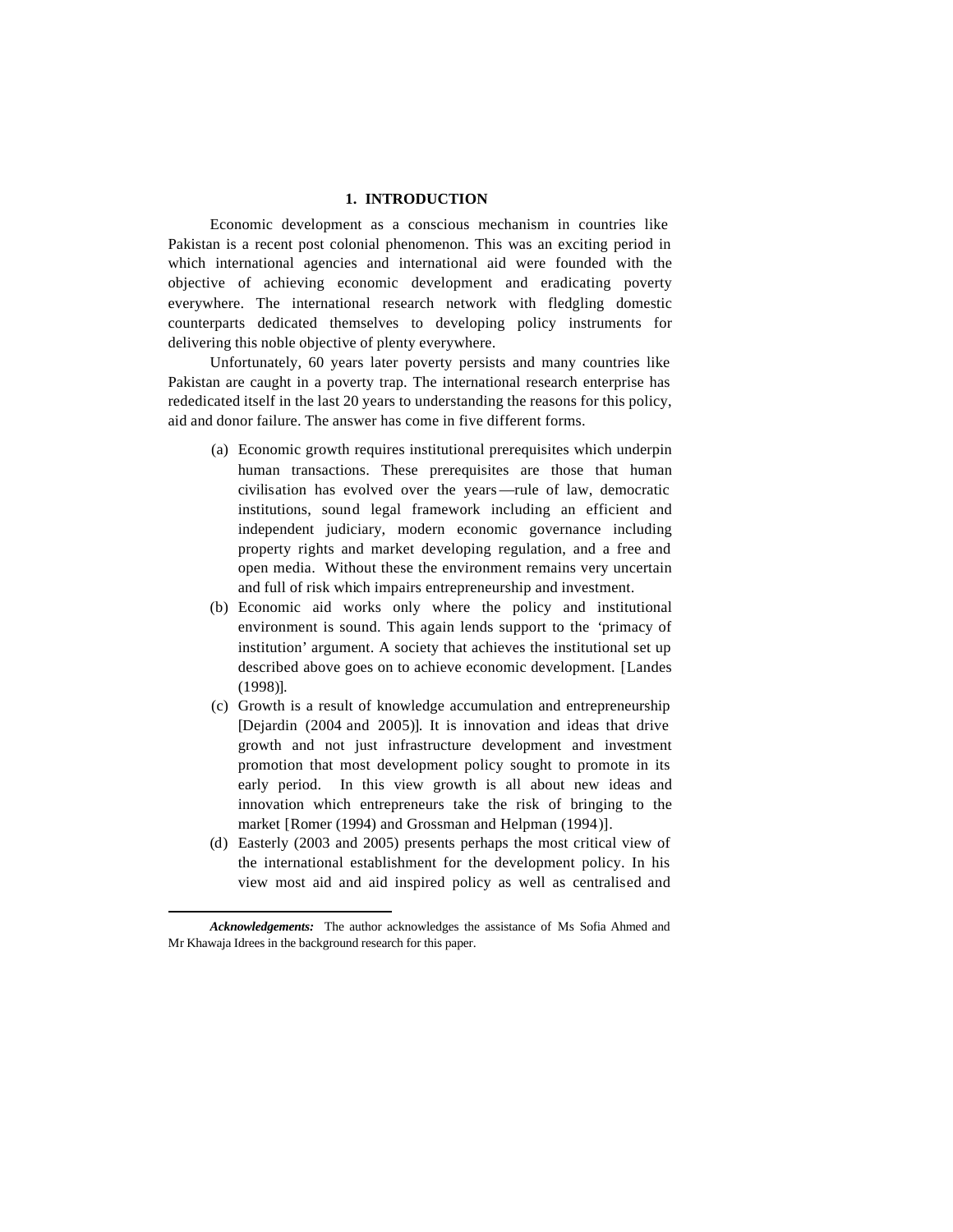# **1. INTRODUCTION\***

Economic development as a conscious mechanism in countries like Pakistan is a recent post colonial phenomenon. This was an exciting period in which international agencies and international aid were founded with the objective of achieving economic development and eradicating poverty everywhere. The international research network with fledgling domestic counterparts dedicated themselves to developing policy instruments for delivering this noble objective of plenty everywhere.

Unfortunately, 60 years later poverty persists and many countries like Pakistan are caught in a poverty trap. The international research enterprise has rededicated itself in the last 20 years to understanding the reasons for this policy, aid and donor failure. The answer has come in five different forms.

- (a) Economic growth requires institutional prerequisites which underpin human transactions. These prerequisites are those that human civilisation has evolved over the years —rule of law, democratic institutions, sound legal framework including an efficient and independent judiciary, modern economic governance including property rights and market developing regulation, and a free and open media. Without these the environment remains very uncertain and full of risk which impairs entrepreneurship and investment.
- (b) Economic aid works only where the policy and institutional environment is sound. This again lends support to the 'primacy of institution' argument. A society that achieves the institutional set up described above goes on to achieve economic development. [Landes (1998)].
- (c) Growth is a result of knowledge accumulation and entrepreneurship [Dejardin (2004 and 2005)]. It is innovation and ideas that drive growth and not just infrastructure development and investment promotion that most development policy sought to promote in its early period. In this view growth is all about new ideas and innovation which entrepreneurs take the risk of bringing to the market [Romer (1994) and Grossman and Helpman (1994)].
- (d) Easterly (2003 and 2005) presents perhaps the most critical view of the international establishment for the development policy. In his view most aid and aid inspired policy as well as centralised and

*Acknowledgements:* The author acknowledges the assistance of Ms Sofia Ahmed and Mr Khawaja Idrees in the background research for this paper.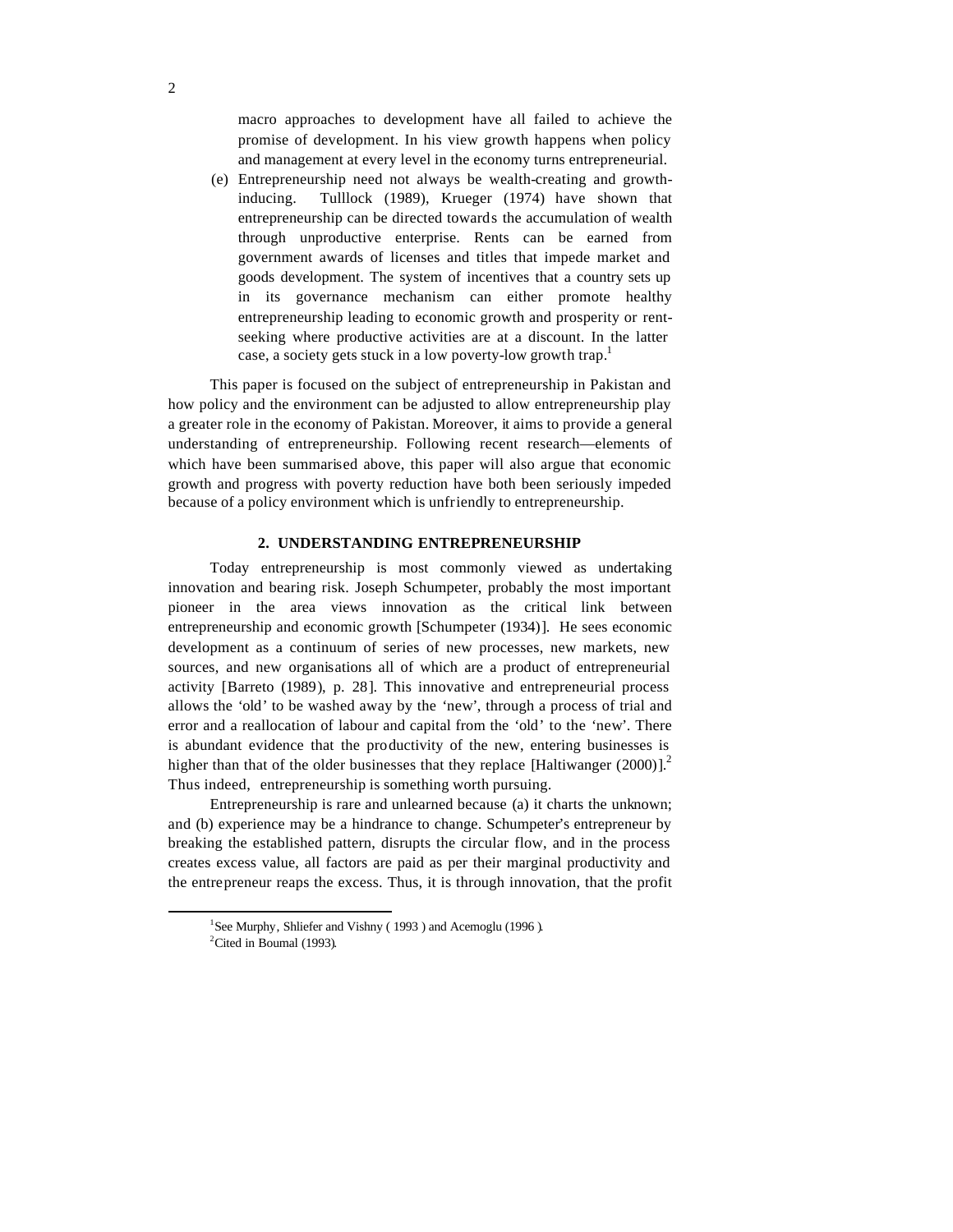macro approaches to development have all failed to achieve the promise of development. In his view growth happens when policy and management at every level in the economy turns entrepreneurial.

(e) Entrepreneurship need not always be wealth-creating and growthinducing. Tulllock (1989), Krueger (1974) have shown that entrepreneurship can be directed towards the accumulation of wealth through unproductive enterprise. Rents can be earned from government awards of licenses and titles that impede market and goods development. The system of incentives that a country sets up in its governance mechanism can either promote healthy entrepreneurship leading to economic growth and prosperity or rentseeking where productive activities are at a discount. In the latter case, a society gets stuck in a low poverty-low growth trap.<sup>1</sup>

This paper is focused on the subject of entrepreneurship in Pakistan and how policy and the environment can be adjusted to allow entrepreneurship play a greater role in the economy of Pakistan. Moreover, it aims to provide a general understanding of entrepreneurship. Following recent research—elements of which have been summarised above, this paper will also argue that economic growth and progress with poverty reduction have both been seriously impeded because of a policy environment which is unfriendly to entrepreneurship.

# **2. UNDERSTANDING ENTREPRENEURSHIP**

Today entrepreneurship is most commonly viewed as undertaking innovation and bearing risk. Joseph Schumpeter, probably the most important pioneer in the area views innovation as the critical link between entrepreneurship and economic growth [Schumpeter (1934)]. He sees economic development as a continuum of series of new processes, new markets, new sources, and new organisations all of which are a product of entrepreneurial activity [Barreto (1989), p. 28]. This innovative and entrepreneurial process allows the 'old' to be washed away by the 'new', through a process of trial and error and a reallocation of labour and capital from the 'old' to the 'new'. There is abundant evidence that the productivity of the new, entering businesses is higher than that of the older businesses that they replace [Haltiwanger  $(2000)$ ].<sup>2</sup> Thus indeed, entrepreneurship is something worth pursuing.

Entrepreneurship is rare and unlearned because (a) it charts the unknown; and (b) experience may be a hindrance to change. Schumpeter's entrepreneur by breaking the established pattern, disrupts the circular flow, and in the process creates excess value, all factors are paid as per their marginal productivity and the entrepreneur reaps the excess. Thus, it is through innovation, that the profit

<sup>&</sup>lt;sup>1</sup>See Murphy, Shliefer and Vishny (1993) and Acemoglu (1996).

<sup>&</sup>lt;sup>2</sup>Cited in Boumal (1993).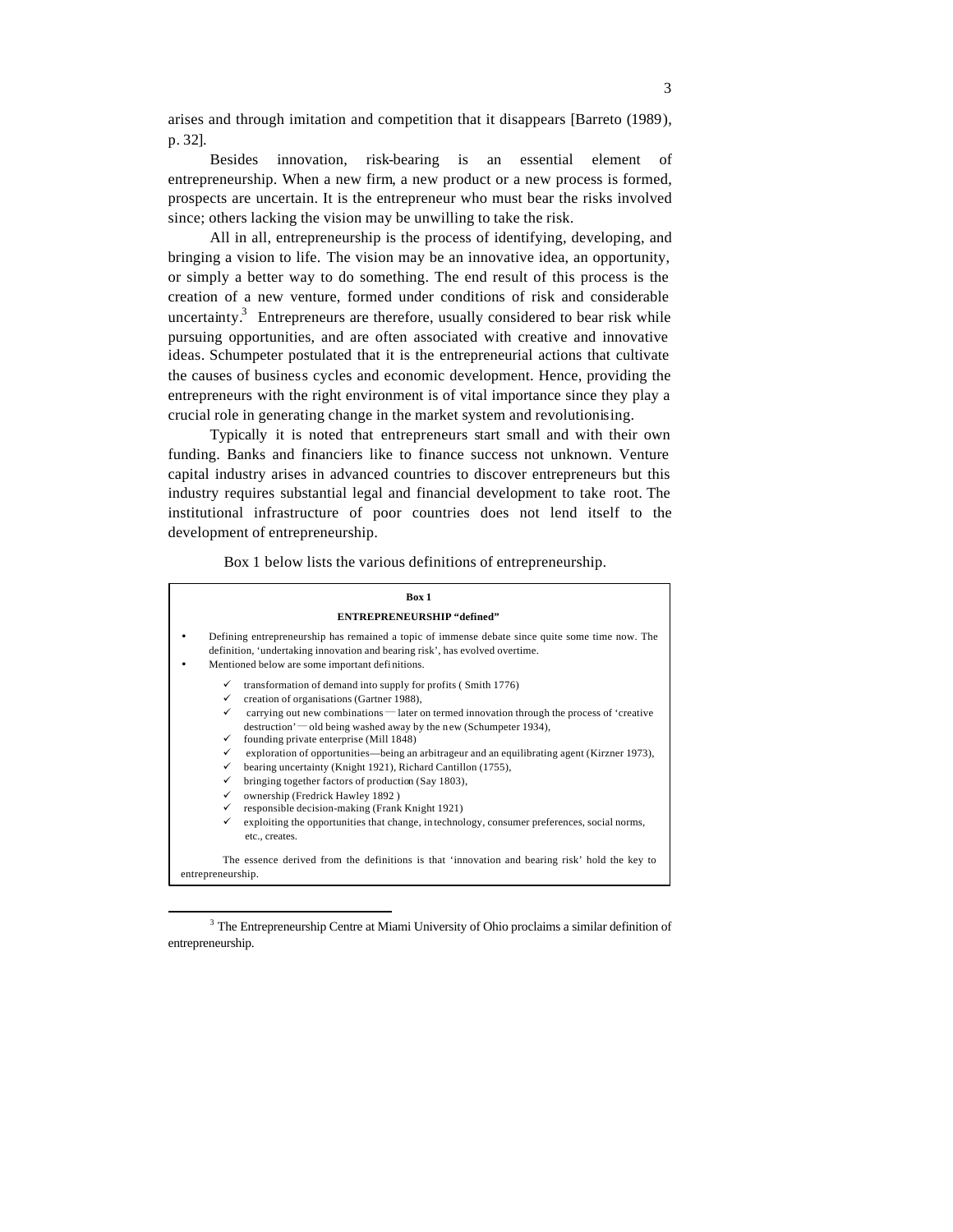arises and through imitation and competition that it disappears [Barreto (1989), p. 32].

Besides innovation, risk-bearing is an essential element of entrepreneurship. When a new firm, a new product or a new process is formed, prospects are uncertain. It is the entrepreneur who must bear the risks involved since; others lacking the vision may be unwilling to take the risk.

All in all, entrepreneurship is the process of identifying, developing, and bringing a vision to life. The vision may be an innovative idea, an opportunity, or simply a better way to do something. The end result of this process is the creation of a new venture, formed under conditions of risk and considerable uncertainty.<sup>3</sup> Entrepreneurs are therefore, usually considered to bear risk while pursuing opportunities, and are often associated with creative and innovative ideas. Schumpeter postulated that it is the entrepreneurial actions that cultivate the causes of business cycles and economic development. Hence, providing the entrepreneurs with the right environment is of vital importance since they play a crucial role in generating change in the market system and revolutionising.

Typically it is noted that entrepreneurs start small and with their own funding. Banks and financiers like to finance success not unknown. Venture capital industry arises in advanced countries to discover entrepreneurs but this industry requires substantial legal and financial development to take root. The institutional infrastructure of poor countries does not lend itself to the development of entrepreneurship.

Box 1 below lists the various definitions of entrepreneurship.

|                   | Box 1                                                                                                                                                                                                                              |  |
|-------------------|------------------------------------------------------------------------------------------------------------------------------------------------------------------------------------------------------------------------------------|--|
|                   | <b>ENTREPRENEURSHIP "defined"</b>                                                                                                                                                                                                  |  |
|                   | Defining entrepreneurship has remained a topic of immense debate since quite some time now. The<br>definition, 'undertaking innovation and bearing risk', has evolved overtime.<br>Mentioned below are some important definitions. |  |
| ✓                 | transformation of demand into supply for profits (Smith 1776)                                                                                                                                                                      |  |
| ✓                 | creation of organisations (Gartner 1988),                                                                                                                                                                                          |  |
| ✓                 | carrying out new combinations — later on termed innovation through the process of 'creative                                                                                                                                        |  |
|                   | $d$ destruction' — old being washed away by the new (Schumpeter 1934),                                                                                                                                                             |  |
| ✓                 | founding private enterprise (Mill 1848)                                                                                                                                                                                            |  |
| ✓                 | exploration of opportunities—being an arbitrageur and an equilibrating agent (Kirzner 1973),                                                                                                                                       |  |
| ✓                 | bearing uncertainty (Knight 1921), Richard Cantillon (1755),                                                                                                                                                                       |  |
| ✓                 | bringing together factors of production (Say 1803),                                                                                                                                                                                |  |
| ✓                 | ownership (Fredrick Hawley 1892)                                                                                                                                                                                                   |  |
| ✓                 | responsible decision-making (Frank Knight 1921)                                                                                                                                                                                    |  |
| ✓                 | exploiting the opportunities that change, in technology, consumer preferences, social norms,<br>etc., creates.                                                                                                                     |  |
| entrepreneurship. | The essence derived from the definitions is that 'innovation and bearing risk' hold the key to                                                                                                                                     |  |

<sup>&</sup>lt;sup>3</sup> The Entrepreneurship Centre at Miami University of Ohio proclaims a similar definition of entrepreneurship.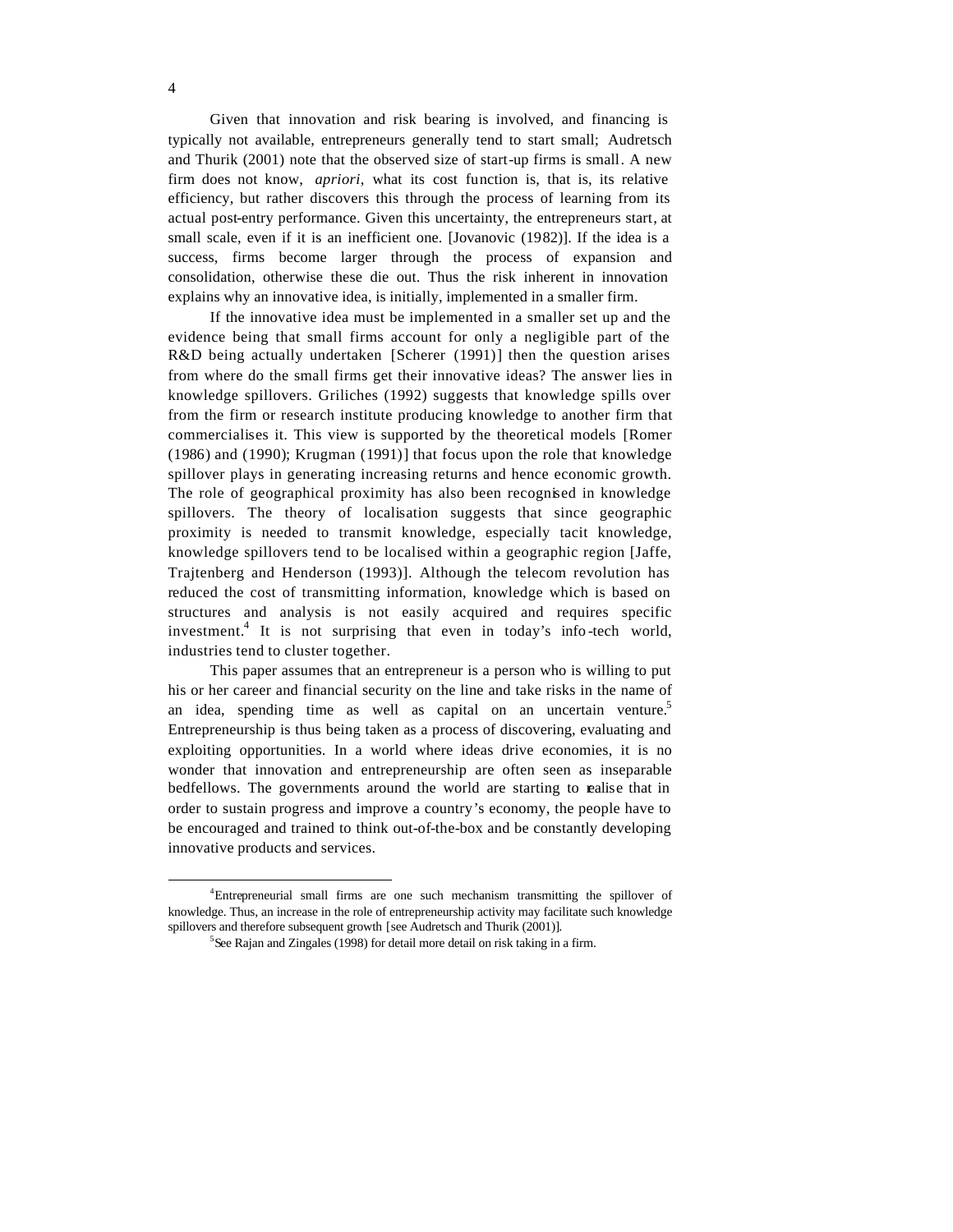Given that innovation and risk bearing is involved, and financing is typically not available, entrepreneurs generally tend to start small; Audretsch and Thurik (2001) note that the observed size of start-up firms is small. A new firm does not know, *apriori*, what its cost function is, that is, its relative efficiency, but rather discovers this through the process of learning from its actual post-entry performance. Given this uncertainty, the entrepreneurs start, at small scale, even if it is an inefficient one. [Jovanovic (1982)]. If the idea is a success, firms become larger through the process of expansion and consolidation, otherwise these die out. Thus the risk inherent in innovation explains why an innovative idea, is initially, implemented in a smaller firm.

If the innovative idea must be implemented in a smaller set up and the evidence being that small firms account for only a negligible part of the R&D being actually undertaken [Scherer (1991)] then the question arises from where do the small firms get their innovative ideas? The answer lies in knowledge spillovers. Griliches (1992) suggests that knowledge spills over from the firm or research institute producing knowledge to another firm that commercialises it. This view is supported by the theoretical models [Romer (1986) and (1990); Krugman (1991)] that focus upon the role that knowledge spillover plays in generating increasing returns and hence economic growth. The role of geographical proximity has also been recognised in knowledge spillovers. The theory of localisation suggests that since geographic proximity is needed to transmit knowledge, especially tacit knowledge, knowledge spillovers tend to be localised within a geographic region [Jaffe, Trajtenberg and Henderson (1993)]. Although the telecom revolution has reduced the cost of transmitting information, knowledge which is based on structures and analysis is not easily acquired and requires specific investment.<sup>4</sup> It is not surprising that even in today's info-tech world, industries tend to cluster together.

This paper assumes that an entrepreneur is a person who is willing to put his or her career and financial security on the line and take risks in the name of an idea, spending time as well as capital on an uncertain venture.<sup>5</sup> Entrepreneurship is thus being taken as a process of discovering, evaluating and exploiting opportunities. In a world where ideas drive economies, it is no wonder that innovation and entrepreneurship are often seen as inseparable bedfellows. The governments around the world are starting to realise that in order to sustain progress and improve a country's economy, the people have to be encouraged and trained to think out-of-the-box and be constantly developing innovative products and services.

<sup>4</sup>Entrepreneurial small firms are one such mechanism transmitting the spillover of knowledge. Thus, an increase in the role of entrepreneurship activity may facilitate such knowledge spillovers and therefore subsequent growth [see Audretsch and Thurik (2001)].

<sup>&</sup>lt;sup>5</sup>See Rajan and Zingales (1998) for detail more detail on risk taking in a firm.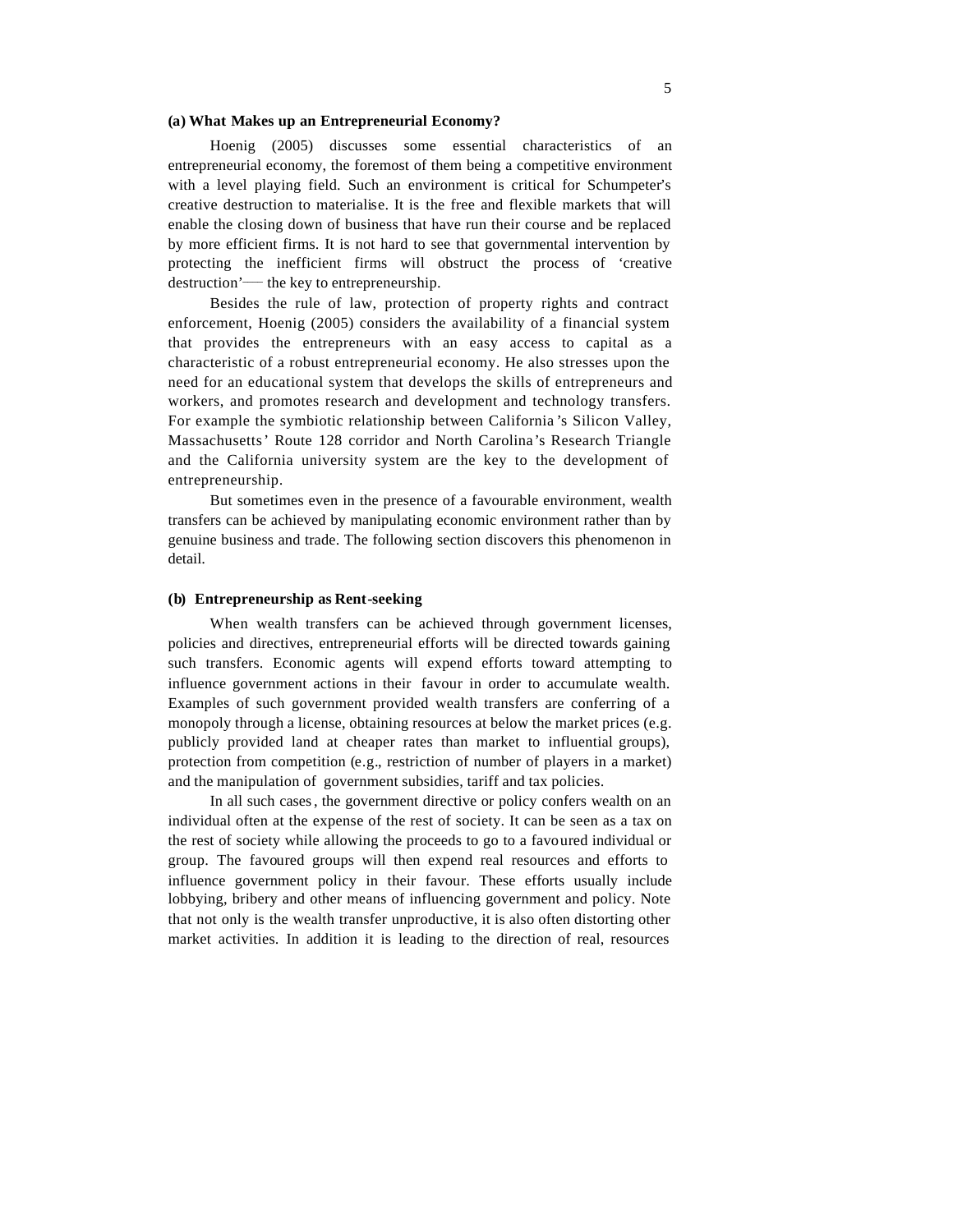#### **(a) What Makes up an Entrepreneurial Economy?**

Hoenig (2005) discusses some essential characteristics of an entrepreneurial economy, the foremost of them being a competitive environment with a level playing field. Such an environment is critical for Schumpeter's creative destruction to materialise. It is the free and flexible markets that will enable the closing down of business that have run their course and be replaced by more efficient firms. It is not hard to see that governmental intervention by protecting the inefficient firms will obstruct the process of 'creative destruction'— the key to entrepreneurship.

Besides the rule of law, protection of property rights and contract enforcement, Hoenig (2005) considers the availability of a financial system that provides the entrepreneurs with an easy access to capital as a characteristic of a robust entrepreneurial economy. He also stresses upon the need for an educational system that develops the skills of entrepreneurs and workers, and promotes research and development and technology transfers. For example the symbiotic relationship between California 's Silicon Valley, Massachusetts' Route 128 corridor and North Carolina's Research Triangle and the California university system are the key to the development of entrepreneurship.

But sometimes even in the presence of a favourable environment, wealth transfers can be achieved by manipulating economic environment rather than by genuine business and trade. The following section discovers this phenomenon in detail.

#### **(b) Entrepreneurship as Rent-seeking**

When wealth transfers can be achieved through government licenses, policies and directives, entrepreneurial efforts will be directed towards gaining such transfers. Economic agents will expend efforts toward attempting to influence government actions in their favour in order to accumulate wealth. Examples of such government provided wealth transfers are conferring of a monopoly through a license, obtaining resources at below the market prices (e.g. publicly provided land at cheaper rates than market to influential groups), protection from competition (e.g., restriction of number of players in a market) and the manipulation of government subsidies, tariff and tax policies.

In all such cases, the government directive or policy confers wealth on an individual often at the expense of the rest of society. It can be seen as a tax on the rest of society while allowing the proceeds to go to a favoured individual or group. The favoured groups will then expend real resources and efforts to influence government policy in their favour. These efforts usually include lobbying, bribery and other means of influencing government and policy. Note that not only is the wealth transfer unproductive, it is also often distorting other market activities. In addition it is leading to the direction of real, resources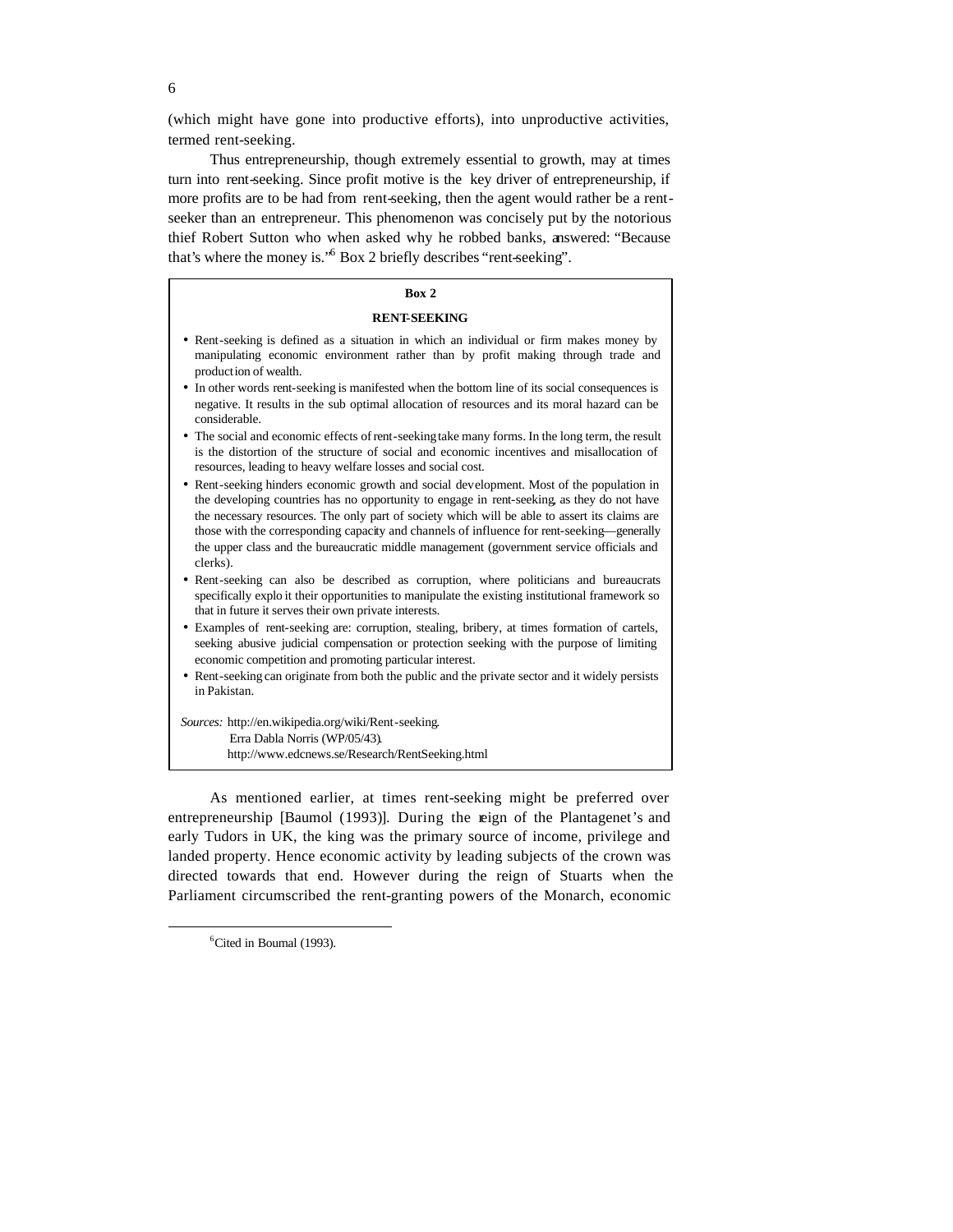(which might have gone into productive efforts), into unproductive activities, termed rent-seeking.

Thus entrepreneurship, though extremely essential to growth, may at times turn into rent-seeking. Since profit motive is the key driver of entrepreneurship, if more profits are to be had from rent-seeking, then the agent would rather be a rentseeker than an entrepreneur. This phenomenon was concisely put by the notorious thief Robert Sutton who when asked why he robbed banks, answered: "Because that's where the money is."<sup>6</sup> Box 2 briefly describes "rent-seeking".

## **Box 2**

#### **RENT-SEEKING**

- Rent-seeking is defined as a situation in which an individual or firm makes money by manipulating economic environment rather than by profit making through trade and production of wealth.
- In other words rent-seeking is manifested when the bottom line of its social consequences is negative. It results in the sub optimal allocation of resources and its moral hazard can be considerable.
- The social and economic effects of rent-seeking take many forms. In the long term, the result is the distortion of the structure of social and economic incentives and misallocation of resources, leading to heavy welfare losses and social cost.
- Rent-seeking hinders economic growth and social development. Most of the population in the developing countries has no opportunity to engage in rent-seeking, as they do not have the necessary resources. The only part of society which will be able to assert its claims are those with the corresponding capacity and channels of influence for rent-seeking—generally the upper class and the bureaucratic middle management (government service officials and clerks).
- Rent-seeking can also be described as corruption, where politicians and bureaucrats specifically explo it their opportunities to manipulate the existing institutional framework so that in future it serves their own private interests.
- Examples of rent-seeking are: corruption, stealing, bribery, at times formation of cartels, seeking abusive judicial compensation or protection seeking with the purpose of limiting economic competition and promoting particular interest.
- Rent-seeking can originate from both the public and the private sector and it widely persists in Pakistan.

*Sources:* http://en.wikipedia.org/wiki/Rent-seeking. Erra Dabla Norris (WP/05/43). http://www.edcnews.se/Research/RentSeeking.html

As mentioned earlier, at times rent-seeking might be preferred over entrepreneurship [Baumol (1993)]. During the reign of the Plantagenet's and early Tudors in UK, the king was the primary source of income, privilege and landed property. Hence economic activity by leading subjects of the crown was directed towards that end. However during the reign of Stuarts when the Parliament circumscribed the rent-granting powers of the Monarch, economic

 $\overline{a}$ 

6

<sup>&</sup>lt;sup>6</sup>Cited in Boumal (1993).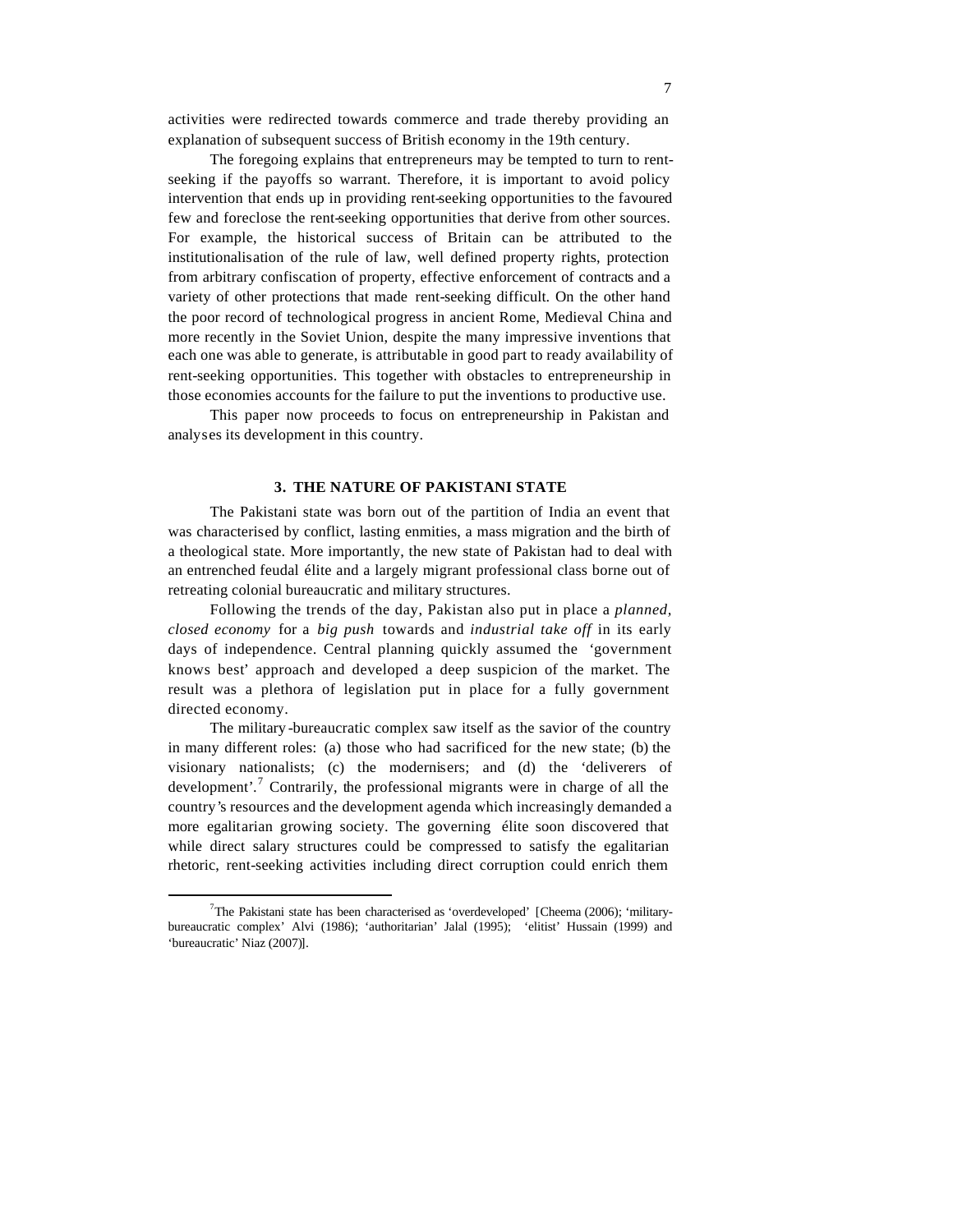activities were redirected towards commerce and trade thereby providing an explanation of subsequent success of British economy in the 19th century.

The foregoing explains that entrepreneurs may be tempted to turn to rentseeking if the payoffs so warrant. Therefore, it is important to avoid policy intervention that ends up in providing rent-seeking opportunities to the favoured few and foreclose the rent-seeking opportunities that derive from other sources. For example, the historical success of Britain can be attributed to the institutionalisation of the rule of law, well defined property rights, protection from arbitrary confiscation of property, effective enforcement of contracts and a variety of other protections that made rent-seeking difficult. On the other hand the poor record of technological progress in ancient Rome, Medieval China and more recently in the Soviet Union, despite the many impressive inventions that each one was able to generate, is attributable in good part to ready availability of rent-seeking opportunities. This together with obstacles to entrepreneurship in those economies accounts for the failure to put the inventions to productive use.

This paper now proceeds to focus on entrepreneurship in Pakistan and analyses its development in this country.

### **3. THE NATURE OF PAKISTANI STATE**

The Pakistani state was born out of the partition of India an event that was characterised by conflict, lasting enmities, a mass migration and the birth of a theological state. More importantly, the new state of Pakistan had to deal with an entrenched feudal élite and a largely migrant professional class borne out of retreating colonial bureaucratic and military structures.

Following the trends of the day, Pakistan also put in place a *planned, closed economy* for a *big push* towards and *industrial take off* in its early days of independence. Central planning quickly assumed the 'government knows best' approach and developed a deep suspicion of the market. The result was a plethora of legislation put in place for a fully government directed economy.

The military -bureaucratic complex saw itself as the savior of the country in many different roles: (a) those who had sacrificed for the new state; (b) the visionary nationalists; (c) the modernisers; and (d) the 'deliverers of development'.<sup>7</sup> Contrarily, the professional migrants were in charge of all the country's resources and the development agenda which increasingly demanded a more egalitarian growing society. The governing élite soon discovered that while direct salary structures could be compressed to satisfy the egalitarian rhetoric, rent-seeking activities including direct corruption could enrich them

<sup>&</sup>lt;sup>7</sup>The Pakistani state has been characterised as 'overdeveloped' [Cheema (2006); 'militarybureaucratic complex' Alvi (1986); 'authoritarian' Jalal (1995); 'elitist' Hussain (1999) and 'bureaucratic' Niaz (2007)].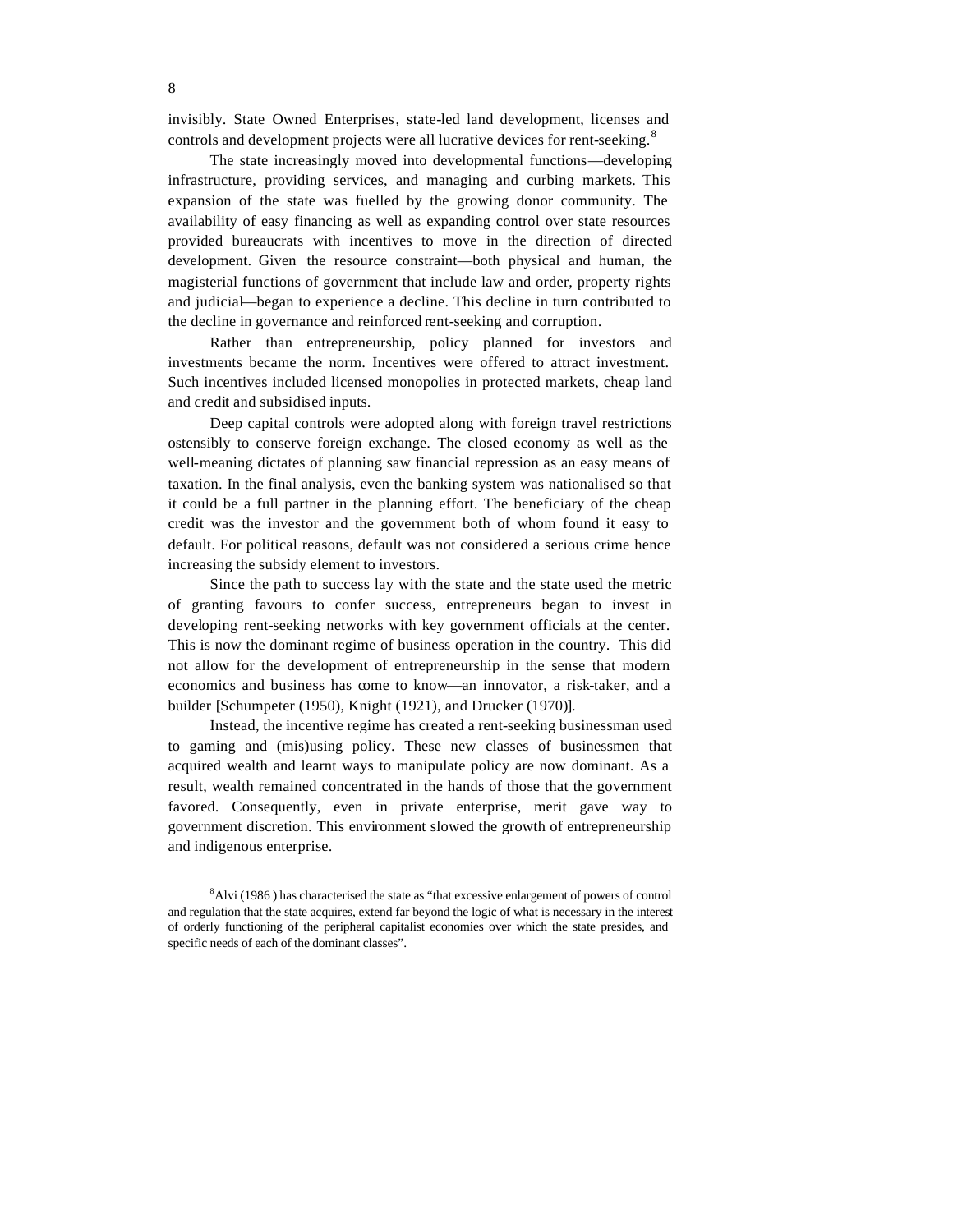invisibly. State Owned Enterprises, state-led land development, licenses and controls and development projects were all lucrative devices for rent-seeking.<sup>8</sup>

The state increasingly moved into developmental functions—developing infrastructure, providing services, and managing and curbing markets. This expansion of the state was fuelled by the growing donor community. The availability of easy financing as well as expanding control over state resources provided bureaucrats with incentives to move in the direction of directed development. Given the resource constraint—both physical and human, the magisterial functions of government that include law and order, property rights and judicial—began to experience a decline. This decline in turn contributed to the decline in governance and reinforced rent-seeking and corruption.

Rather than entrepreneurship, policy planned for investors and investments became the norm. Incentives were offered to attract investment. Such incentives included licensed monopolies in protected markets, cheap land and credit and subsidised inputs.

Deep capital controls were adopted along with foreign travel restrictions ostensibly to conserve foreign exchange. The closed economy as well as the well-meaning dictates of planning saw financial repression as an easy means of taxation. In the final analysis, even the banking system was nationalised so that it could be a full partner in the planning effort. The beneficiary of the cheap credit was the investor and the government both of whom found it easy to default. For political reasons, default was not considered a serious crime hence increasing the subsidy element to investors.

Since the path to success lay with the state and the state used the metric of granting favours to confer success, entrepreneurs began to invest in developing rent-seeking networks with key government officials at the center. This is now the dominant regime of business operation in the country. This did not allow for the development of entrepreneurship in the sense that modern economics and business has come to know—an innovator, a risk-taker, and a builder [Schumpeter (1950), Knight (1921), and Drucker (1970)].

Instead, the incentive regime has created a rent-seeking businessman used to gaming and (mis)using policy. These new classes of businessmen that acquired wealth and learnt ways to manipulate policy are now dominant. As a result, wealth remained concentrated in the hands of those that the government favored. Consequently, even in private enterprise, merit gave way to government discretion. This environment slowed the growth of entrepreneurship and indigenous enterprise.

 $8$ Alvi (1986) has characterised the state as "that excessive enlargement of powers of control and regulation that the state acquires, extend far beyond the logic of what is necessary in the interest of orderly functioning of the peripheral capitalist economies over which the state presides, and specific needs of each of the dominant classes".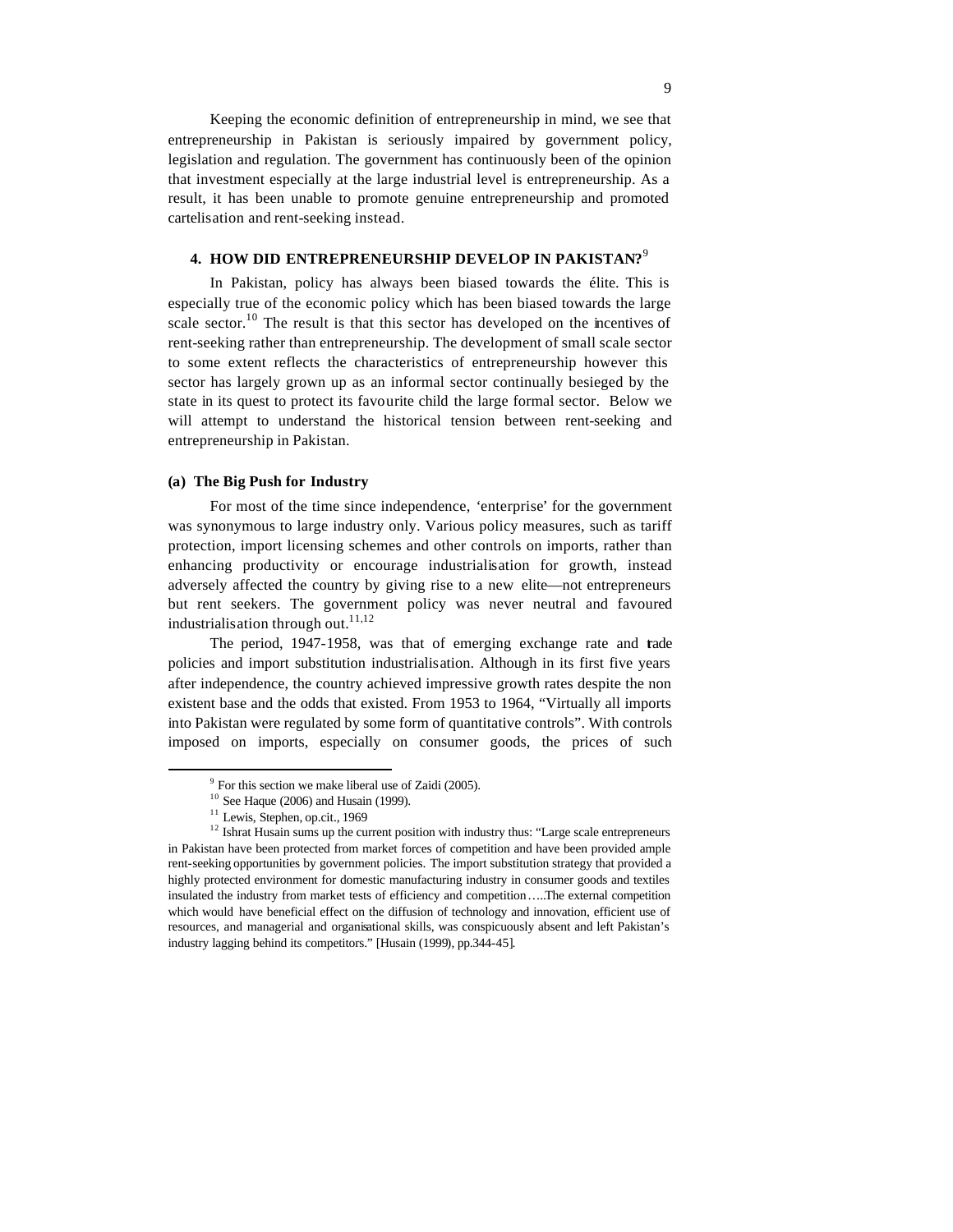Keeping the economic definition of entrepreneurship in mind, we see that entrepreneurship in Pakistan is seriously impaired by government policy, legislation and regulation. The government has continuously been of the opinion that investment especially at the large industrial level is entrepreneurship. As a result, it has been unable to promote genuine entrepreneurship and promoted cartelisation and rent-seeking instead.

# **4. HOW DID ENTREPRENEURSHIP DEVELOP IN PAKISTAN?** 9

In Pakistan, policy has always been biased towards the élite. This is especially true of the economic policy which has been biased towards the large scale sector.<sup>10</sup> The result is that this sector has developed on the incentives of rent-seeking rather than entrepreneurship. The development of small scale sector to some extent reflects the characteristics of entrepreneurship however this sector has largely grown up as an informal sector continually besieged by the state in its quest to protect its favourite child the large formal sector. Below we will attempt to understand the historical tension between rent-seeking and entrepreneurship in Pakistan.

# **(a) The Big Push for Industry**

For most of the time since independence, 'enterprise' for the government was synonymous to large industry only. Various policy measures, such as tariff protection, import licensing schemes and other controls on imports, rather than enhancing productivity or encourage industrialisation for growth, instead adversely affected the country by giving rise to a new elite—not entrepreneurs but rent seekers. The government policy was never neutral and favoured industrialis ation through out.<sup>11,12</sup>

The period, 1947-1958, was that of emerging exchange rate and trade policies and import substitution industrialisation. Although in its first five years after independence, the country achieved impressive growth rates despite the non existent base and the odds that existed. From 1953 to 1964, "Virtually all imports into Pakistan were regulated by some form of quantitative controls". With controls imposed on imports, especially on consumer goods, the prices of such

 $9^9$  For this section we make liberal use of Zaidi (2005).

 $10$  See Haque (2006) and Husain (1999).

<sup>&</sup>lt;sup>11</sup> Lewis, Stephen, op.cit., 1969

<sup>&</sup>lt;sup>12</sup> Ishrat Husain sums up the current position with industry thus: "Large scale entrepreneurs in Pakistan have been protected from market forces of competition and have been provided ample rent-seeking opportunities by government policies. The import substitution strategy that provided a highly protected environment for domestic manufacturing industry in consumer goods and textiles insulated the industry from market tests of efficiency and competition…..The external competition which would have beneficial effect on the diffusion of technology and innovation, efficient use of resources, and managerial and organisational skills, was conspicuously absent and left Pakistan's industry lagging behind its competitors." [Husain (1999), pp.344-45].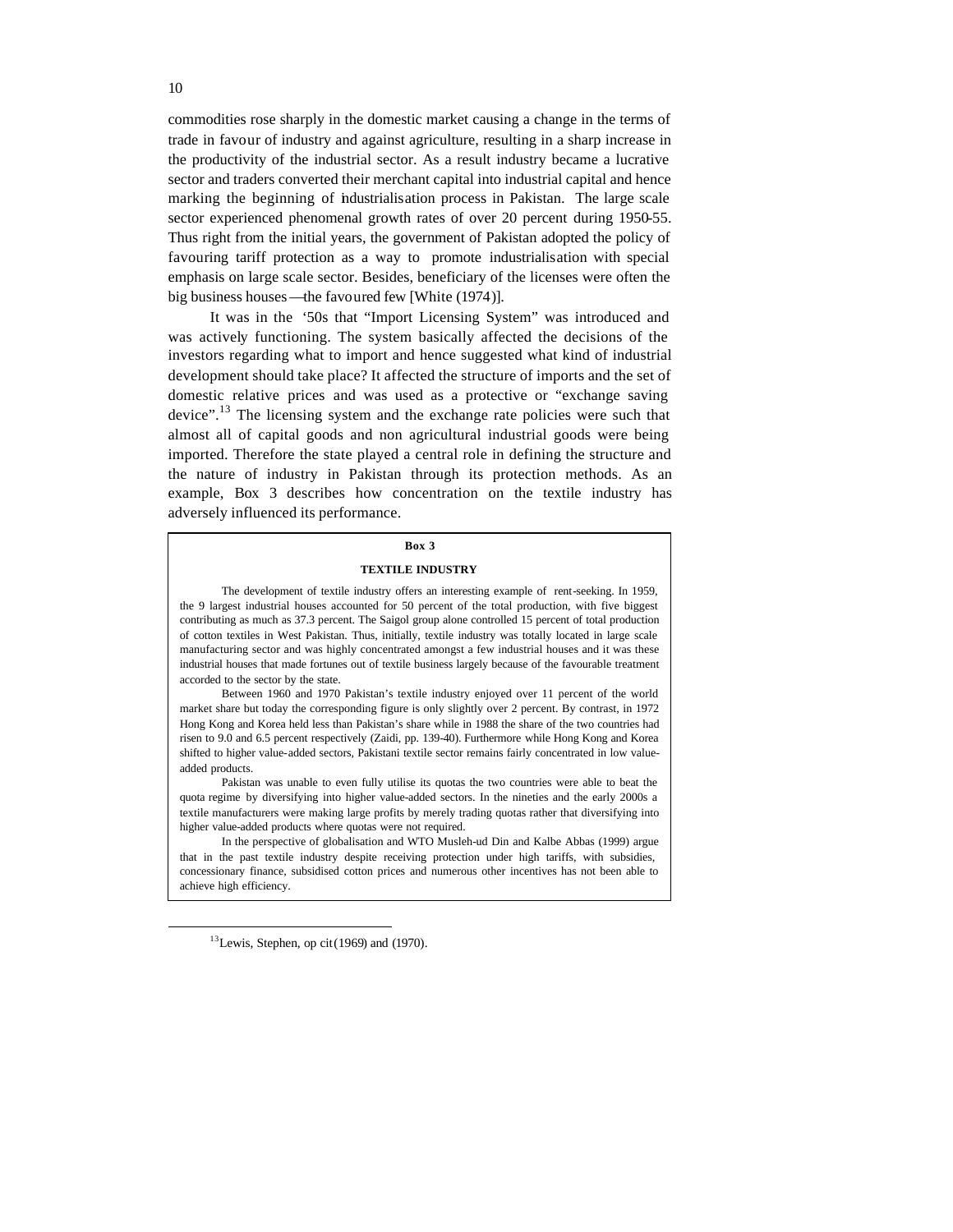commodities rose sharply in the domestic market causing a change in the terms of trade in favour of industry and against agriculture, resulting in a sharp increase in the productivity of the industrial sector. As a result industry became a lucrative sector and traders converted their merchant capital into industrial capital and hence marking the beginning of industrialisation process in Pakistan. The large scale sector experienced phenomenal growth rates of over 20 percent during 1950-55. Thus right from the initial years, the government of Pakistan adopted the policy of favouring tariff protection as a way to promote industrialisation with special emphasis on large scale sector. Besides, beneficiary of the licenses were often the big business houses—the favoured few [White (1974)].

It was in the '50s that "Import Licensing System" was introduced and was actively functioning. The system basically affected the decisions of the investors regarding what to import and hence suggested what kind of industrial development should take place? It affected the structure of imports and the set of domestic relative prices and was used as a protective or "exchange saving device".<sup>13</sup> The licensing system and the exchange rate policies were such that almost all of capital goods and non agricultural industrial goods were being imported. Therefore the state played a central role in defining the structure and the nature of industry in Pakistan through its protection methods. As an example, Box 3 describes how concentration on the textile industry has adversely influenced its performance.

#### **Box 3**

#### **TEXTILE INDUSTRY**

The development of textile industry offers an interesting example of rent-seeking. In 1959, the 9 largest industrial houses accounted for 50 percent of the total production, with five biggest contributing as much as 37.3 percent. The Saigol group alone controlled 15 percent of total production of cotton textiles in West Pakistan. Thus, initially, textile industry was totally located in large scale manufacturing sector and was highly concentrated amongst a few industrial houses and it was these industrial houses that made fortunes out of textile business largely because of the favourable treatment accorded to the sector by the state.

Between 1960 and 1970 Pakistan's textile industry enjoyed over 11 percent of the world market share but today the corresponding figure is only slightly over 2 percent. By contrast, in 1972 Hong Kong and Korea held less than Pakistan's share while in 1988 the share of the two countries had risen to 9.0 and 6.5 percent respectively (Zaidi, pp. 139-40). Furthermore while Hong Kong and Korea shifted to higher value-added sectors, Pakistani textile sector remains fairly concentrated in low valueadded products.

Pakistan was unable to even fully utilise its quotas the two countries were able to beat the quota regime by diversifying into higher value-added sectors. In the nineties and the early 2000s a textile manufacturers were making large profits by merely trading quotas rather that diversifying into higher value-added products where quotas were not required.

In the perspective of globalisation and WTO Musleh-ud Din and Kalbe Abbas (1999) argue that in the past textile industry despite receiving protection under high tariffs, with subsidies, concessionary finance, subsidised cotton prices and numerous other incentives has not been able to achieve high efficiency.

 $13$ Lewis, Stephen, op cit (1969) and (1970).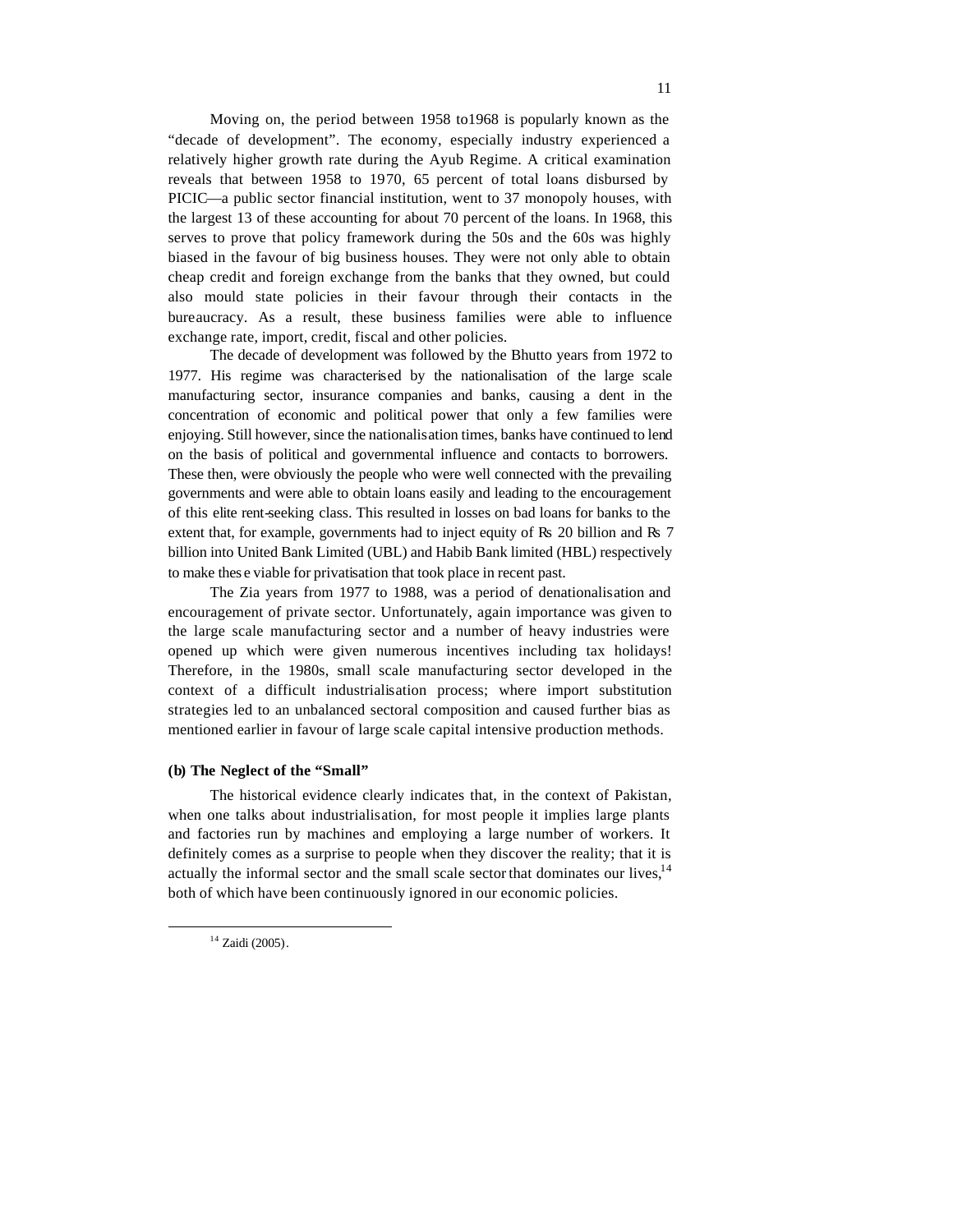Moving on, the period between 1958 to1968 is popularly known as the "decade of development". The economy, especially industry experienced a relatively higher growth rate during the Ayub Regime. A critical examination reveals that between 1958 to 1970, 65 percent of total loans disbursed by PICIC—a public sector financial institution, went to 37 monopoly houses, with the largest 13 of these accounting for about 70 percent of the loans. In 1968, this serves to prove that policy framework during the 50s and the 60s was highly biased in the favour of big business houses. They were not only able to obtain cheap credit and foreign exchange from the banks that they owned, but could also mould state policies in their favour through their contacts in the bureaucracy. As a result, these business families were able to influence exchange rate, import, credit, fiscal and other policies.

The decade of development was followed by the Bhutto years from 1972 to 1977. His regime was characterised by the nationalisation of the large scale manufacturing sector, insurance companies and banks, causing a dent in the concentration of economic and political power that only a few families were enjoying. Still however, since the nationalisation times, banks have continued to lend on the basis of political and governmental influence and contacts to borrowers. These then, were obviously the people who were well connected with the prevailing governments and were able to obtain loans easily and leading to the encouragement of this elite rent-seeking class. This resulted in losses on bad loans for banks to the extent that, for example, governments had to inject equity of Rs 20 billion and Rs 7 billion into United Bank Limited (UBL) and Habib Bank limited (HBL) respectively to make thes e viable for privatisation that took place in recent past.

The Zia years from 1977 to 1988, was a period of denationalisation and encouragement of private sector. Unfortunately, again importance was given to the large scale manufacturing sector and a number of heavy industries were opened up which were given numerous incentives including tax holidays! Therefore, in the 1980s, small scale manufacturing sector developed in the context of a difficult industrialisation process; where import substitution strategies led to an unbalanced sectoral composition and caused further bias as mentioned earlier in favour of large scale capital intensive production methods.

#### **(b) The Neglect of the "Small"**

The historical evidence clearly indicates that, in the context of Pakistan, when one talks about industrialisation, for most people it implies large plants and factories run by machines and employing a large number of workers. It definitely comes as a surprise to people when they discover the reality; that it is actually the informal sector and the small scale sector that dominates our lives,<sup>14</sup> both of which have been continuously ignored in our economic policies.

<sup>&</sup>lt;sup>14</sup> Zaidi (2005).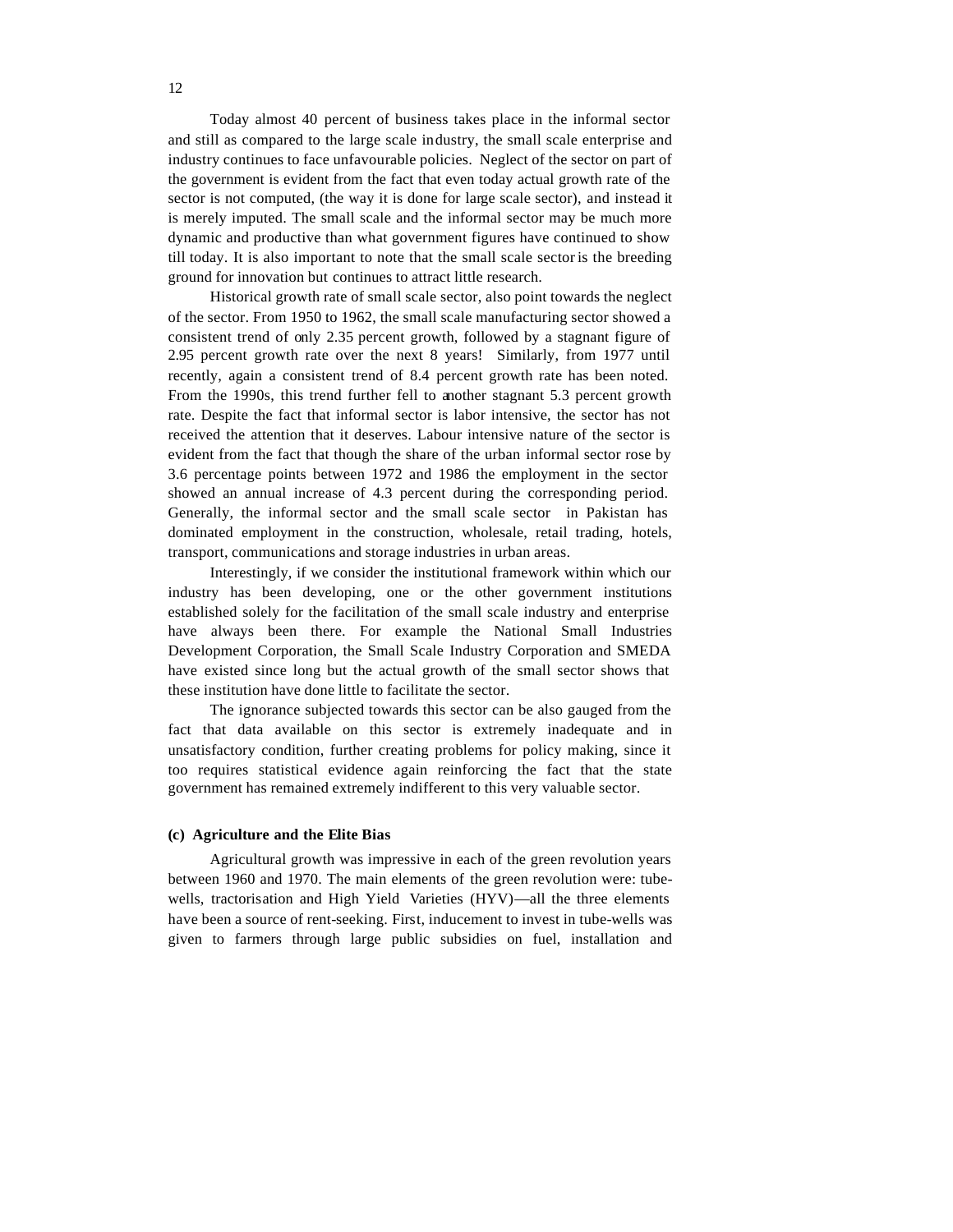Today almost 40 percent of business takes place in the informal sector and still as compared to the large scale industry, the small scale enterprise and industry continues to face unfavourable policies. Neglect of the sector on part of the government is evident from the fact that even today actual growth rate of the sector is not computed, (the way it is done for large scale sector), and instead it is merely imputed. The small scale and the informal sector may be much more dynamic and productive than what government figures have continued to show till today. It is also important to note that the small scale sector is the breeding ground for innovation but continues to attract little research.

Historical growth rate of small scale sector, also point towards the neglect of the sector. From 1950 to 1962, the small scale manufacturing sector showed a consistent trend of only 2.35 percent growth, followed by a stagnant figure of 2.95 percent growth rate over the next 8 years! Similarly, from 1977 until recently, again a consistent trend of 8.4 percent growth rate has been noted. From the 1990s, this trend further fell to another stagnant 5.3 percent growth rate. Despite the fact that informal sector is labor intensive, the sector has not received the attention that it deserves. Labour intensive nature of the sector is evident from the fact that though the share of the urban informal sector rose by 3.6 percentage points between 1972 and 1986 the employment in the sector showed an annual increase of 4.3 percent during the corresponding period. Generally, the informal sector and the small scale sector in Pakistan has dominated employment in the construction, wholesale, retail trading, hotels, transport, communications and storage industries in urban areas.

Interestingly, if we consider the institutional framework within which our industry has been developing, one or the other government institutions established solely for the facilitation of the small scale industry and enterprise have always been there. For example the National Small Industries Development Corporation, the Small Scale Industry Corporation and SMEDA have existed since long but the actual growth of the small sector shows that these institution have done little to facilitate the sector.

The ignorance subjected towards this sector can be also gauged from the fact that data available on this sector is extremely inadequate and in unsatisfactory condition, further creating problems for policy making, since it too requires statistical evidence again reinforcing the fact that the state government has remained extremely indifferent to this very valuable sector.

#### **(c) Agriculture and the Elite Bias**

Agricultural growth was impressive in each of the green revolution years between 1960 and 1970. The main elements of the green revolution were: tubewells, tractorisation and High Yield Varieties (HYV)—all the three elements have been a source of rent-seeking. First, inducement to invest in tube-wells was given to farmers through large public subsidies on fuel, installation and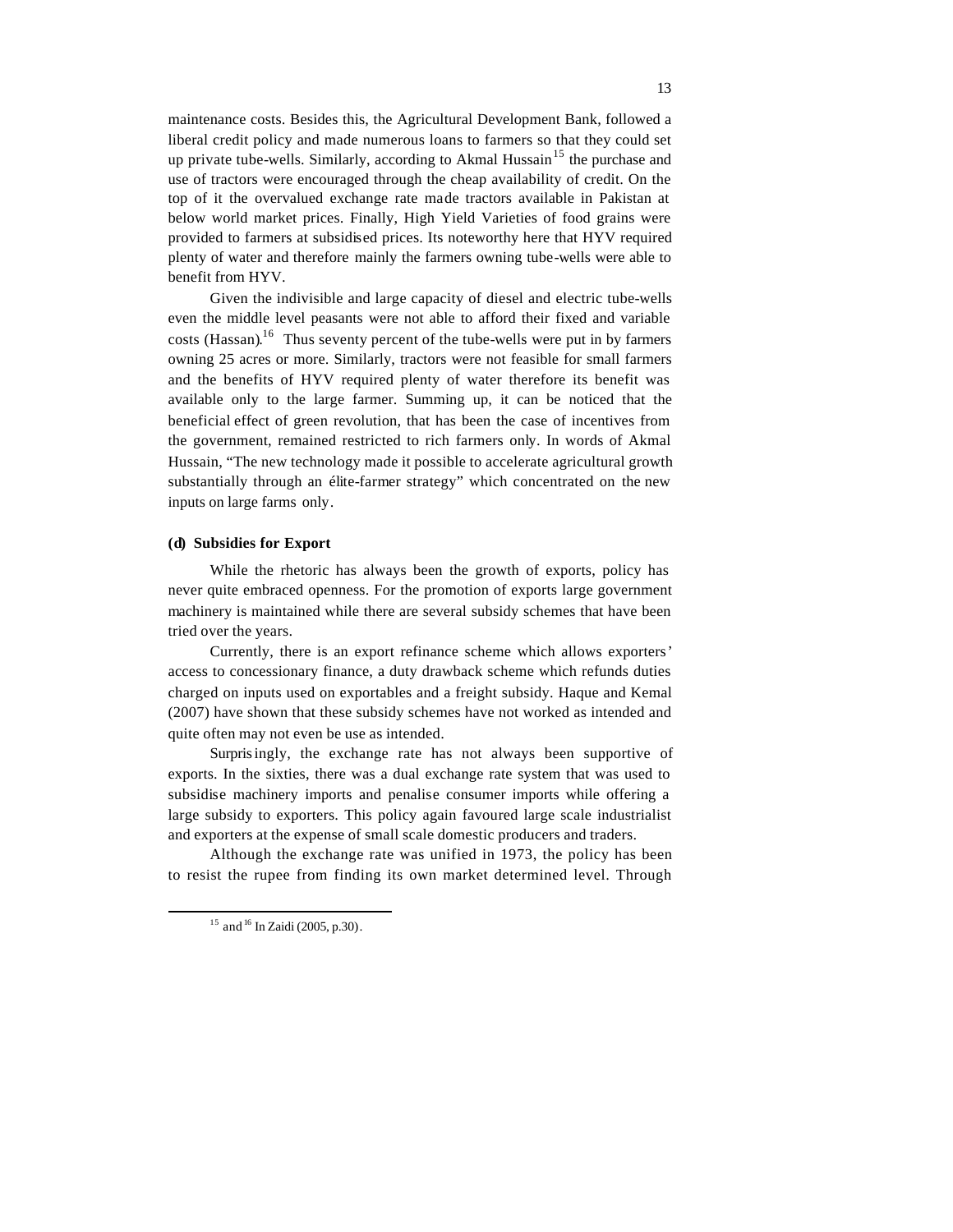maintenance costs. Besides this, the Agricultural Development Bank, followed a liberal credit policy and made numerous loans to farmers so that they could set up private tube-wells. Similarly, according to Akmal Hussain<sup>15</sup> the purchase and use of tractors were encouraged through the cheap availability of credit. On the top of it the overvalued exchange rate made tractors available in Pakistan at below world market prices. Finally, High Yield Varieties of food grains were provided to farmers at subsidised prices. Its noteworthy here that HYV required plenty of water and therefore mainly the farmers owning tube-wells were able to benefit from HYV.

Given the indivisible and large capacity of diesel and electric tube-wells even the middle level peasants were not able to afford their fixed and variable costs (Hassan).<sup>16</sup> Thus seventy percent of the tube-wells were put in by farmers owning 25 acres or more. Similarly, tractors were not feasible for small farmers and the benefits of HYV required plenty of water therefore its benefit was available only to the large farmer. Summing up, it can be noticed that the beneficial effect of green revolution, that has been the case of incentives from the government, remained restricted to rich farmers only. In words of Akmal Hussain, "The new technology made it possible to accelerate agricultural growth substantially through an élite-farmer strategy" which concentrated on the new inputs on large farms only.

### **(d) Subsidies for Export**

While the rhetoric has always been the growth of exports, policy has never quite embraced openness. For the promotion of exports large government machinery is maintained while there are several subsidy schemes that have been tried over the years.

Currently, there is an export refinance scheme which allows exporters' access to concessionary finance, a duty drawback scheme which refunds duties charged on inputs used on exportables and a freight subsidy. Haque and Kemal (2007) have shown that these subsidy schemes have not worked as intended and quite often may not even be use as intended.

Surprisingly, the exchange rate has not always been supportive of exports. In the sixties, there was a dual exchange rate system that was used to subsidise machinery imports and penalise consumer imports while offering a large subsidy to exporters. This policy again favoured large scale industrialist and exporters at the expense of small scale domestic producers and traders.

Although the exchange rate was unified in 1973, the policy has been to resist the rupee from finding its own market determined level. Through

 $15$  and  $16$  In Zaidi (2005, p.30).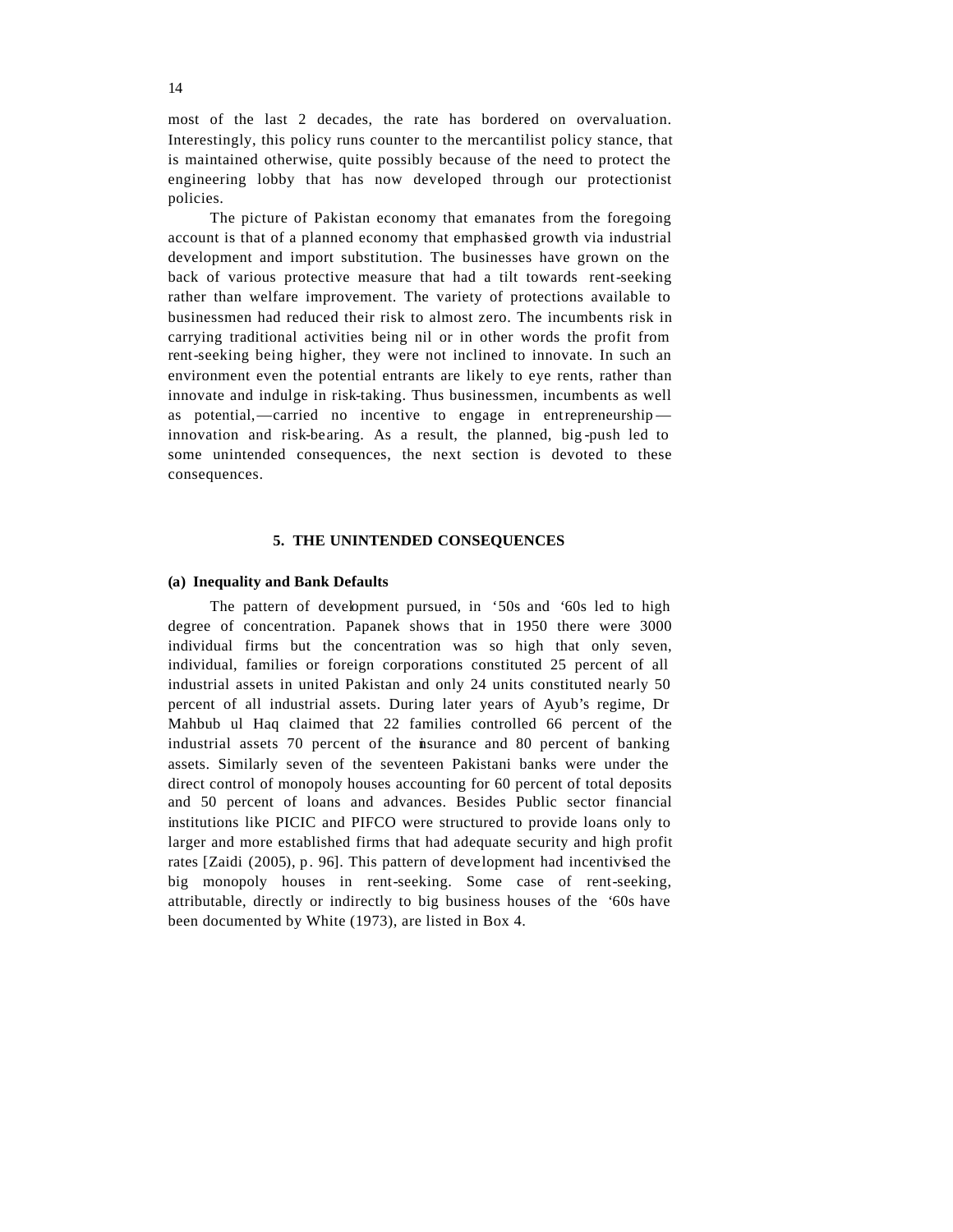most of the last 2 decades, the rate has bordered on overvaluation. Interestingly, this policy runs counter to the mercantilist policy stance, that is maintained otherwise, quite possibly because of the need to protect the engineering lobby that has now developed through our protectionist policies.

The picture of Pakistan economy that emanates from the foregoing account is that of a planned economy that emphasised growth via industrial development and import substitution. The businesses have grown on the back of various protective measure that had a tilt towards rent-seeking rather than welfare improvement. The variety of protections available to businessmen had reduced their risk to almost zero. The incumbents risk in carrying traditional activities being nil or in other words the profit from rent-seeking being higher, they were not inclined to innovate. In such an environment even the potential entrants are likely to eye rents, rather than innovate and indulge in risk-taking. Thus businessmen, incumbents as well as potential,—carried no incentive to engage in entrepreneurship innovation and risk-bearing. As a result, the planned, big -push led to some unintended consequences, the next section is devoted to these consequences.

#### **5. THE UNINTENDED CONSEQUENCES**

#### **(a) Inequality and Bank Defaults**

The pattern of development pursued, in '50s and '60s led to high degree of concentration. Papanek shows that in 1950 there were 3000 individual firms but the concentration was so high that only seven, individual, families or foreign corporations constituted 25 percent of all industrial assets in united Pakistan and only 24 units constituted nearly 50 percent of all industrial assets. During later years of Ayub's regime, Dr Mahbub ul Haq claimed that 22 families controlled 66 percent of the industrial assets 70 percent of the insurance and 80 percent of banking assets. Similarly seven of the seventeen Pakistani banks were under the direct control of monopoly houses accounting for 60 percent of total deposits and 50 percent of loans and advances. Besides Public sector financial institutions like PICIC and PIFCO were structured to provide loans only to larger and more established firms that had adequate security and high profit rates [Zaidi (2005), p. 96]. This pattern of development had incentivised the big monopoly houses in rent-seeking. Some case of rent-seeking, attributable, directly or indirectly to big business houses of the '60s have been documented by White (1973), are listed in Box 4.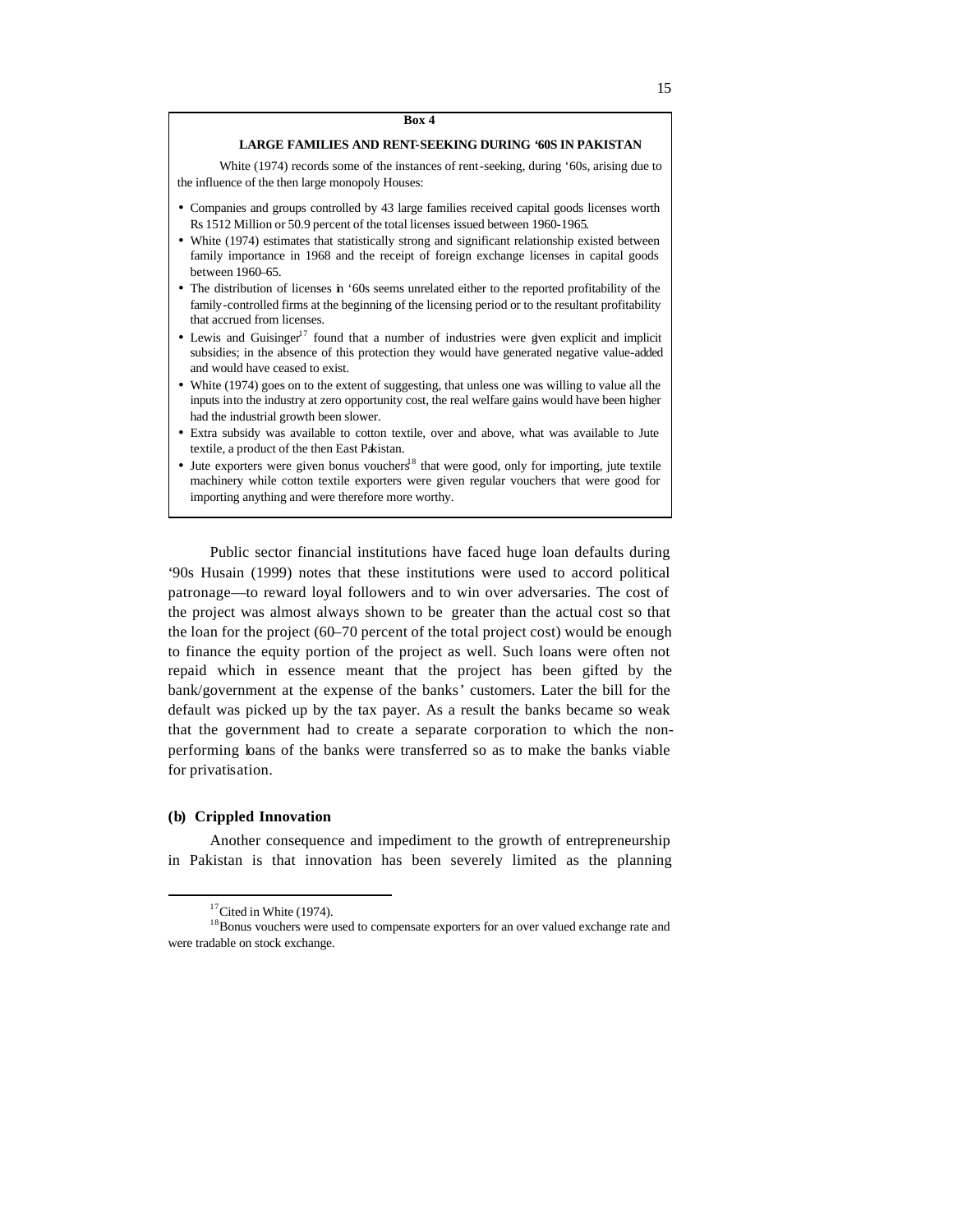# **LARGE FAMILIES AND RENT-SEEKING DURING '60S IN PAKISTAN**

White (1974) records some of the instances of rent-seeking, during '60s, arising due to the influence of the then large monopoly Houses:

- Companies and groups controlled by 43 large families received capital goods licenses worth Rs 1512 Million or 50.9 percent of the total licenses issued between 1960-1965.
- White (1974) estimates that statistically strong and significant relationship existed between family importance in 1968 and the receipt of foreign exchange licenses in capital goods between 1960–65.
- The distribution of licenses in '60s seems unrelated either to the reported profitability of the family-controlled firms at the beginning of the licensing period or to the resultant profitability that accrued from licenses.
- Lewis and Guisinger<sup>17</sup> found that a number of industries were given explicit and implicit subsidies; in the absence of this protection they would have generated negative value-added and would have ceased to exist.
- White (1974) goes on to the extent of suggesting, that unless one was willing to value all the inputs into the industry at zero opportunity cost, the real welfare gains would have been higher had the industrial growth been slower.
- Extra subsidy was available to cotton textile, over and above, what was available to Jute textile, a product of the then East Pakistan.
- Jute exporters were given bonus vouchers<sup>18</sup> that were good, only for importing, jute textile machinery while cotton textile exporters were given regular vouchers that were good for importing anything and were therefore more worthy.

Public sector financial institutions have faced huge loan defaults during '90s Husain (1999) notes that these institutions were used to accord political patronage—to reward loyal followers and to win over adversaries. The cost of the project was almost always shown to be greater than the actual cost so that the loan for the project (60–70 percent of the total project cost) would be enough to finance the equity portion of the project as well. Such loans were often not repaid which in essence meant that the project has been gifted by the bank/government at the expense of the banks' customers. Later the bill for the default was picked up by the tax payer. As a result the banks became so weak that the government had to create a separate corporation to which the nonperforming loans of the banks were transferred so as to make the banks viable for privatisation.

#### **(b) Crippled Innovation**

 $\overline{a}$ 

Another consequence and impediment to the growth of entrepreneurship in Pakistan is that innovation has been severely limited as the planning

 $17$ Cited in White (1974).

<sup>&</sup>lt;sup>18</sup>Bonus vouchers were used to compensate exporters for an over valued exchange rate and were tradable on stock exchange.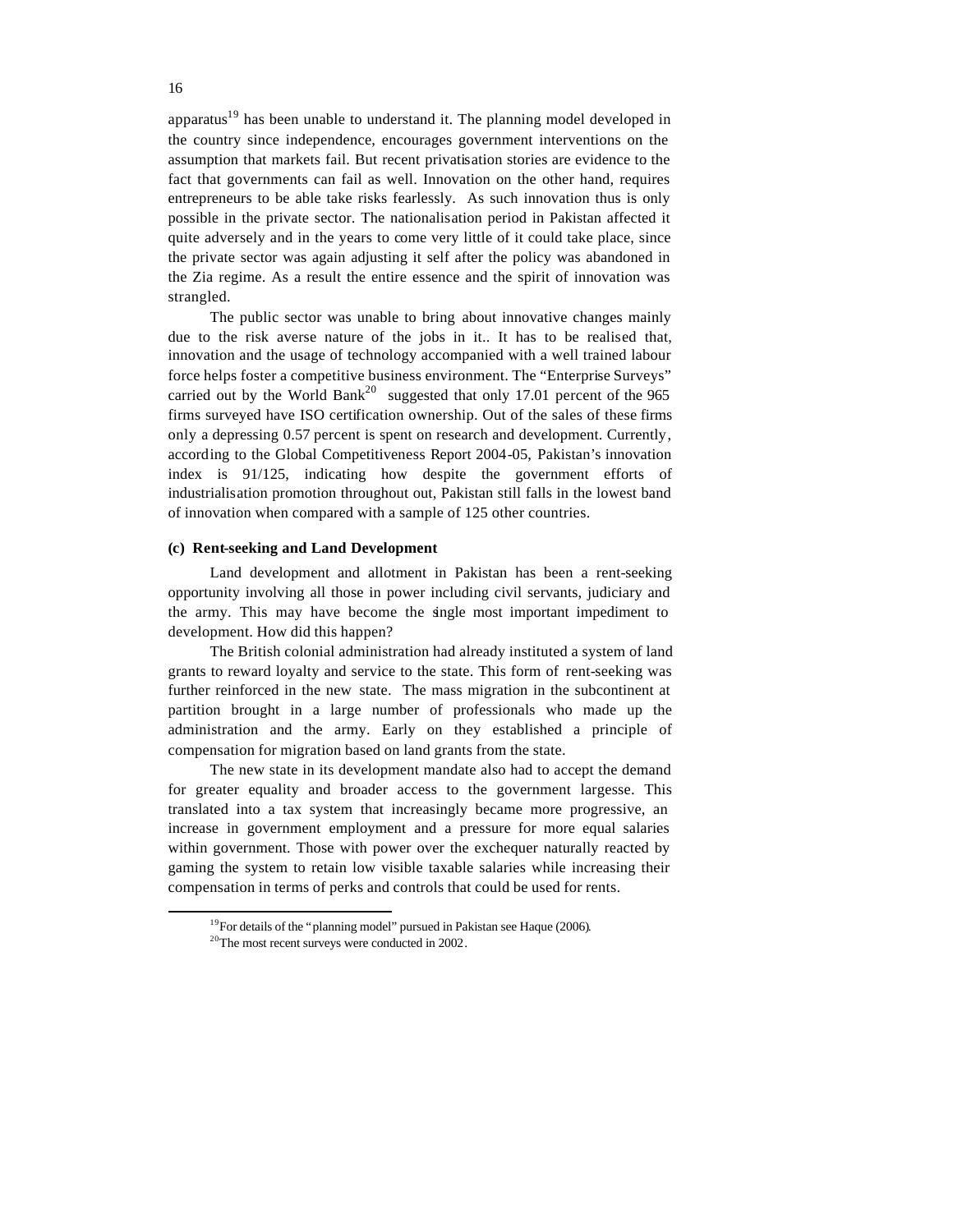apparatus<sup>19</sup> has been unable to understand it. The planning model developed in the country since independence, encourages government interventions on the assumption that markets fail. But recent privatisation stories are evidence to the fact that governments can fail as well. Innovation on the other hand, requires entrepreneurs to be able take risks fearlessly. As such innovation thus is only possible in the private sector. The nationalisation period in Pakistan affected it quite adversely and in the years to come very little of it could take place, since the private sector was again adjusting it self after the policy was abandoned in the Zia regime. As a result the entire essence and the spirit of innovation was strangled.

The public sector was unable to bring about innovative changes mainly due to the risk averse nature of the jobs in it.. It has to be realised that, innovation and the usage of technology accompanied with a well trained labour force helps foster a competitive business environment. The "Enterprise Surveys" carried out by the World Bank<sup>20</sup> suggested that only 17.01 percent of the 965 firms surveyed have ISO certification ownership. Out of the sales of these firms only a depressing 0.57 percent is spent on research and development. Currently, according to the Global Competitiveness Report 2004-05, Pakistan's innovation index is 91/125, indicating how despite the government efforts of industrialisation promotion throughout out, Pakistan still falls in the lowest band of innovation when compared with a sample of 125 other countries.

#### **(c) Rent-seeking and Land Development**

Land development and allotment in Pakistan has been a rent-seeking opportunity involving all those in power including civil servants, judiciary and the army. This may have become the single most important impediment to development. How did this happen?

The British colonial administration had already instituted a system of land grants to reward loyalty and service to the state. This form of rent-seeking was further reinforced in the new state. The mass migration in the subcontinent at partition brought in a large number of professionals who made up the administration and the army. Early on they established a principle of compensation for migration based on land grants from the state.

The new state in its development mandate also had to accept the demand for greater equality and broader access to the government largesse. This translated into a tax system that increasingly became more progressive, an increase in government employment and a pressure for more equal salaries within government. Those with power over the exchequer naturally reacted by gaming the system to retain low visible taxable salaries while increasing their compensation in terms of perks and controls that could be used for rents.

<sup>&</sup>lt;sup>19</sup>For details of the "planning model" pursued in Pakistan see Haque (2006).

<sup>20</sup>The most recent surveys were conducted in 2002.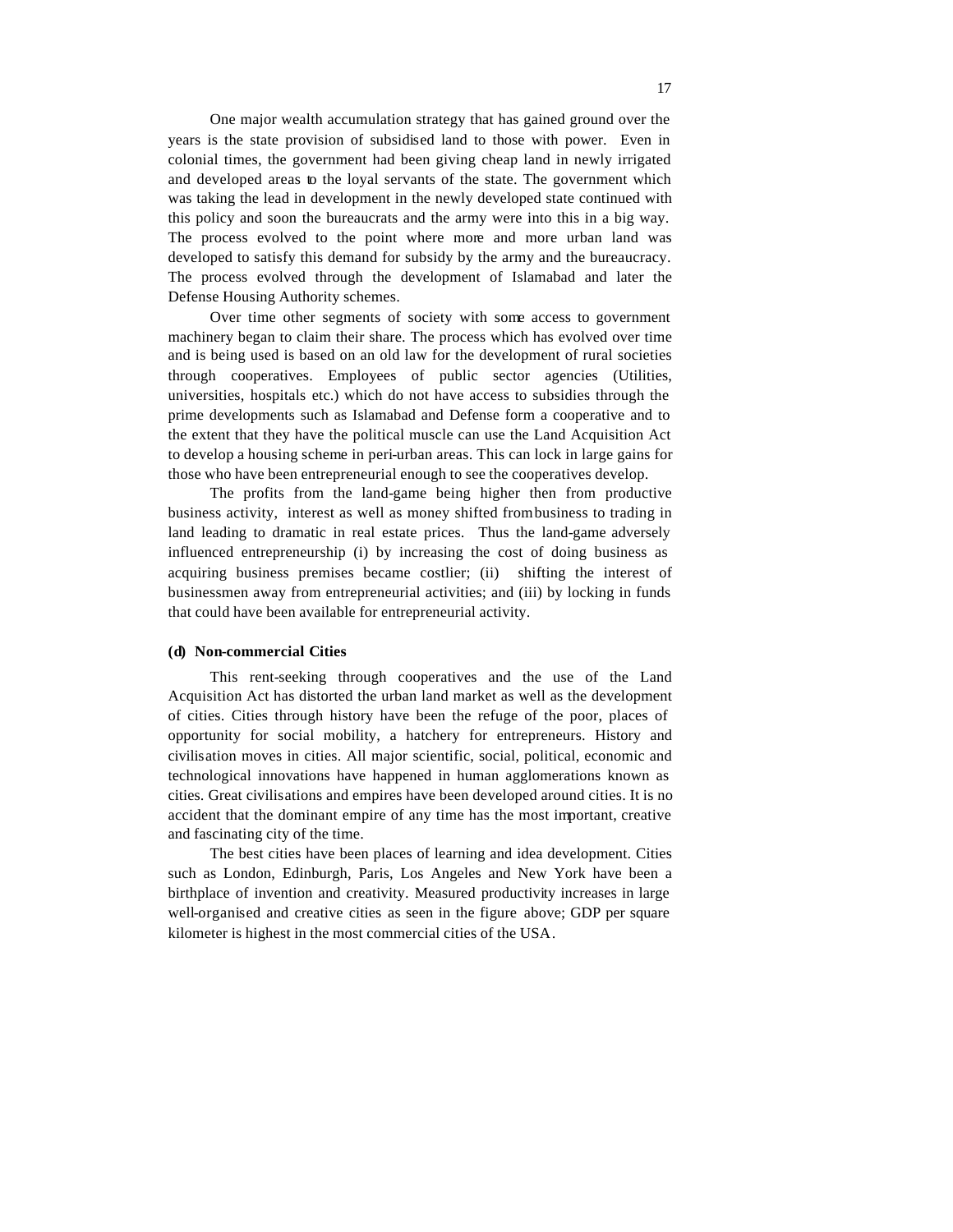One major wealth accumulation strategy that has gained ground over the years is the state provision of subsidised land to those with power. Even in colonial times, the government had been giving cheap land in newly irrigated and developed areas to the loyal servants of the state. The government which was taking the lead in development in the newly developed state continued with this policy and soon the bureaucrats and the army were into this in a big way. The process evolved to the point where more and more urban land was developed to satisfy this demand for subsidy by the army and the bureaucracy. The process evolved through the development of Islamabad and later the Defense Housing Authority schemes.

Over time other segments of society with some access to government machinery began to claim their share. The process which has evolved over time and is being used is based on an old law for the development of rural societies through cooperatives. Employees of public sector agencies (Utilities, universities, hospitals etc.) which do not have access to subsidies through the prime developments such as Islamabad and Defense form a cooperative and to the extent that they have the political muscle can use the Land Acquisition Act to develop a housing scheme in peri-urban areas. This can lock in large gains for those who have been entrepreneurial enough to see the cooperatives develop.

The profits from the land-game being higher then from productive business activity, interest as well as money shifted from business to trading in land leading to dramatic in real estate prices. Thus the land-game adversely influenced entrepreneurship (i) by increasing the cost of doing business as acquiring business premises became costlier; (ii) shifting the interest of businessmen away from entrepreneurial activities; and (iii) by locking in funds that could have been available for entrepreneurial activity.

#### **(d) Non-commercial Cities**

This rent-seeking through cooperatives and the use of the Land Acquisition Act has distorted the urban land market as well as the development of cities. Cities through history have been the refuge of the poor, places of opportunity for social mobility, a hatchery for entrepreneurs. History and civilisation moves in cities. All major scientific, social, political, economic and technological innovations have happened in human agglomerations known as cities. Great civilisations and empires have been developed around cities. It is no accident that the dominant empire of any time has the most important, creative and fascinating city of the time.

The best cities have been places of learning and idea development. Cities such as London, Edinburgh, Paris, Los Angeles and New York have been a birthplace of invention and creativity. Measured productivity increases in large well-organised and creative cities as seen in the figure above; GDP per square kilometer is highest in the most commercial cities of the USA.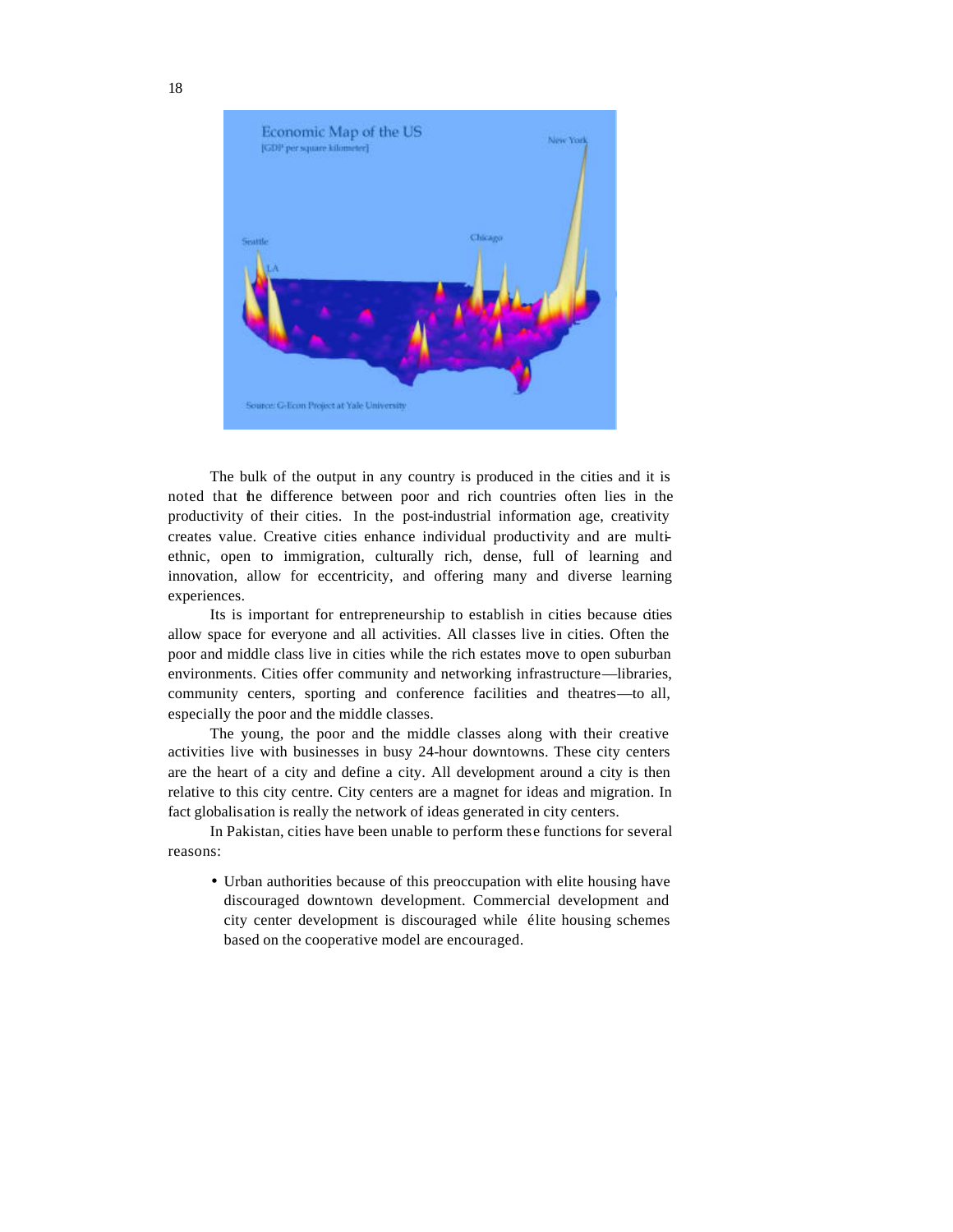

The bulk of the output in any country is produced in the cities and it is noted that the difference between poor and rich countries often lies in the productivity of their cities. In the post-industrial information age, creativity creates value. Creative cities enhance individual productivity and are multiethnic, open to immigration, culturally rich, dense, full of learning and innovation, allow for eccentricity, and offering many and diverse learning experiences.

Its is important for entrepreneurship to establish in cities because cities allow space for everyone and all activities. All classes live in cities. Often the poor and middle class live in cities while the rich estates move to open suburban environments. Cities offer community and networking infrastructure—libraries, community centers, sporting and conference facilities and theatres—to all, especially the poor and the middle classes.

The young, the poor and the middle classes along with their creative activities live with businesses in busy 24-hour downtowns. These city centers are the heart of a city and define a city. All development around a city is then relative to this city centre. City centers are a magnet for ideas and migration. In fact globalisation is really the network of ideas generated in city centers.

In Pakistan, cities have been unable to perform these functions for several reasons:

• Urban authorities because of this preoccupation with elite housing have discouraged downtown development. Commercial development and city center development is discouraged while élite housing schemes based on the cooperative model are encouraged.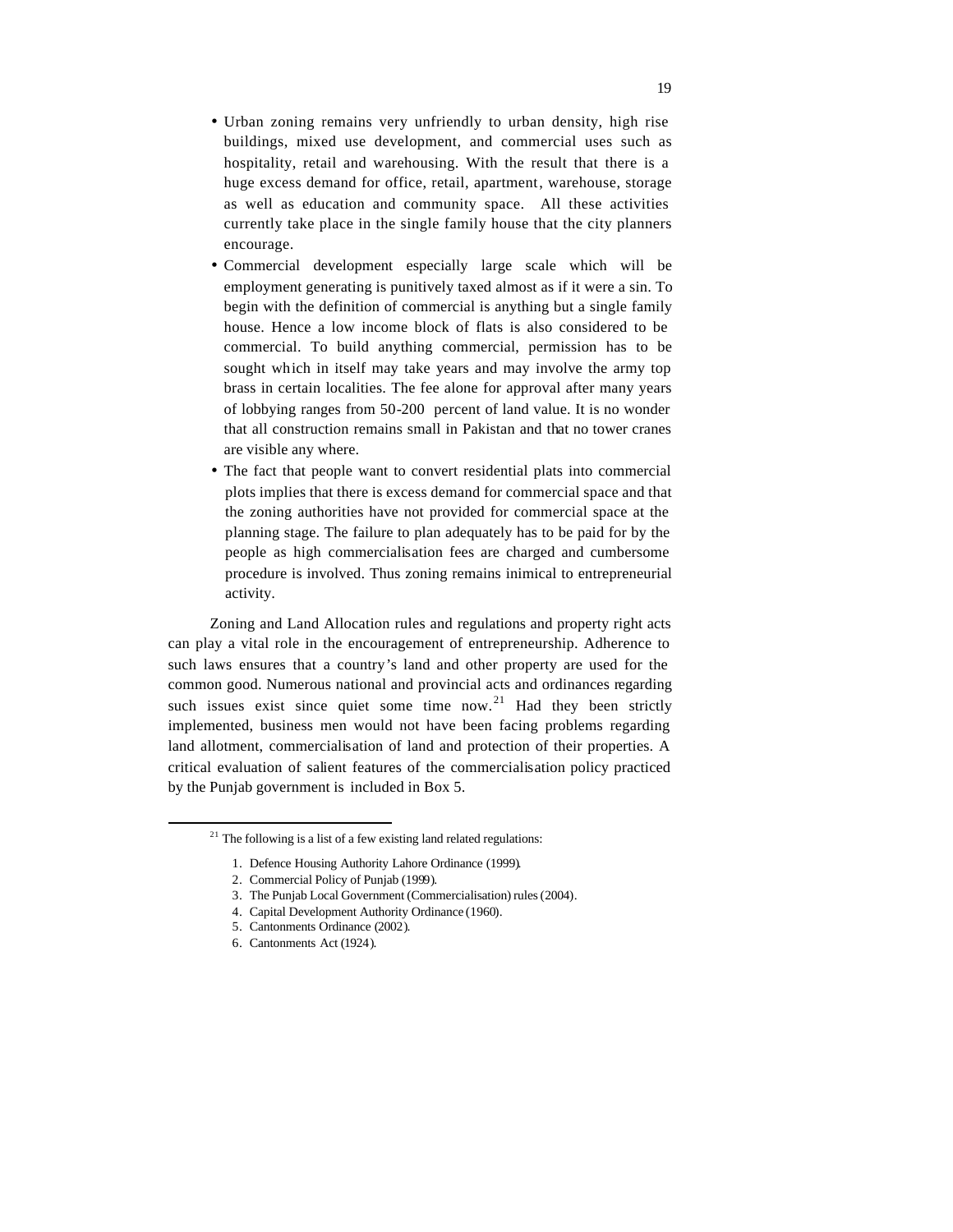- Urban zoning remains very unfriendly to urban density, high rise buildings, mixed use development, and commercial uses such as hospitality, retail and warehousing. With the result that there is a huge excess demand for office, retail, apartment, warehouse, storage as well as education and community space. All these activities currently take place in the single family house that the city planners encourage.
- Commercial development especially large scale which will be employment generating is punitively taxed almost as if it were a sin. To begin with the definition of commercial is anything but a single family house. Hence a low income block of flats is also considered to be commercial. To build anything commercial, permission has to be sought which in itself may take years and may involve the army top brass in certain localities. The fee alone for approval after many years of lobbying ranges from 50-200 percent of land value. It is no wonder that all construction remains small in Pakistan and that no tower cranes are visible any where.
- The fact that people want to convert residential plats into commercial plots implies that there is excess demand for commercial space and that the zoning authorities have not provided for commercial space at the planning stage. The failure to plan adequately has to be paid for by the people as high commercialisation fees are charged and cumbersome procedure is involved. Thus zoning remains inimical to entrepreneurial activity.

Zoning and Land Allocation rules and regulations and property right acts can play a vital role in the encouragement of entrepreneurship. Adherence to such laws ensures that a country's land and other property are used for the common good. Numerous national and provincial acts and ordinances regarding such issues exist since quiet some time now.<sup>21</sup> Had they been strictly implemented, business men would not have been facing problems regarding land allotment, commercialisation of land and protection of their properties. A critical evaluation of salient features of the commercialisation policy practiced by the Punjab government is included in Box 5.

- 3. The Punjab Local Government (Commercialisation) rules (2004).
- 4. Capital Development Authority Ordinance (1960).
- 5. Cantonments Ordinance (2002).
- 6. Cantonments Act (1924).

 $21$  The following is a list of a few existing land related regulations:

<sup>1.</sup> Defence Housing Authority Lahore Ordinance (1999).

<sup>2.</sup> Commercial Policy of Punjab (1999).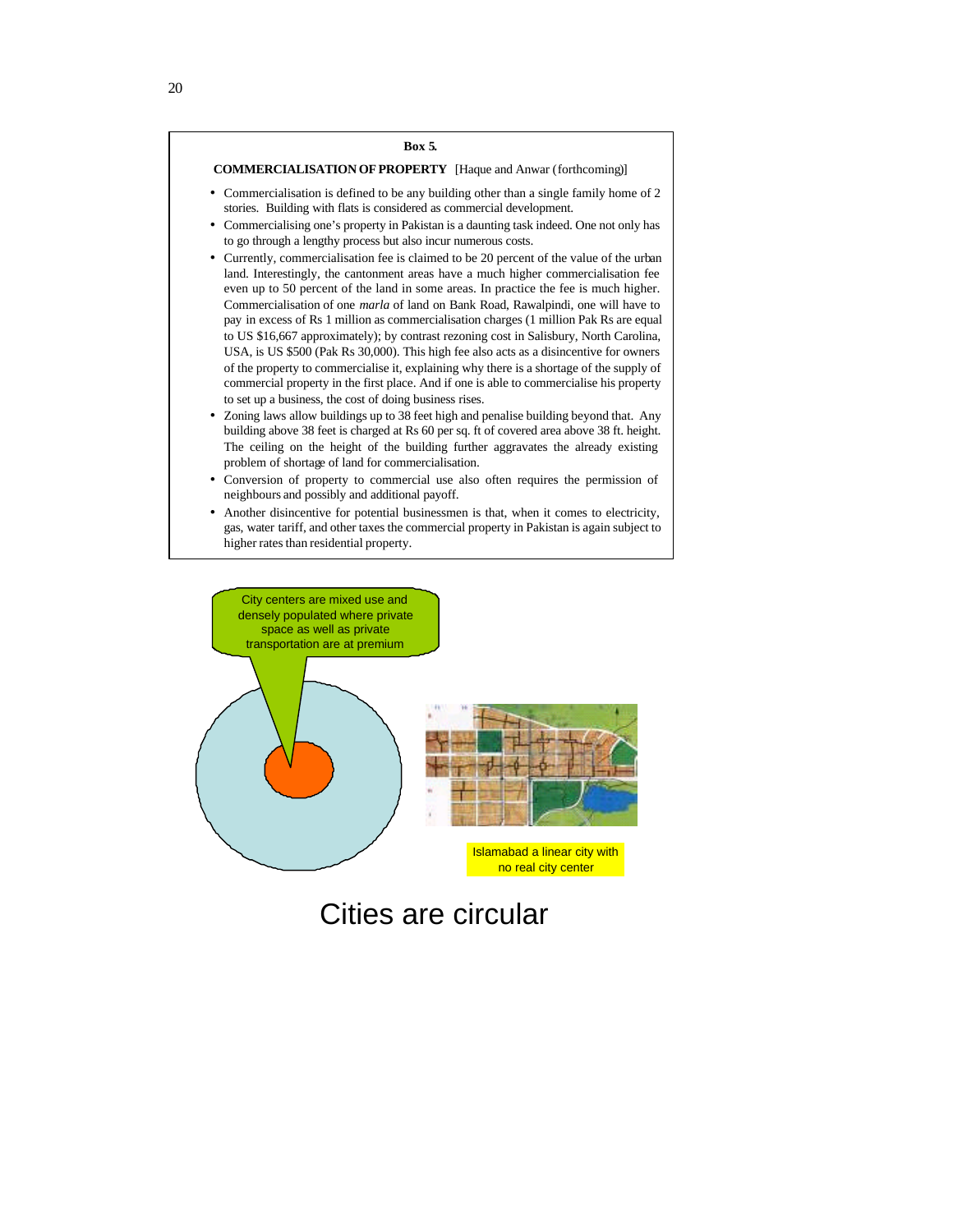#### **Box 5.**

# **COMMERCIALISATION OF PROPERTY** [Haque and Anwar (forthcoming)]

- Commercialisation is defined to be any building other than a single family home of 2 stories. Building with flats is considered as commercial development.
- Commercialising one's property in Pakistan is a daunting task indeed. One not only has to go through a lengthy process but also incur numerous costs.
- Currently, commercialisation fee is claimed to be 20 percent of the value of the urban land. Interestingly, the cantonment areas have a much higher commercialisation fee even up to 50 percent of the land in some areas. In practice the fee is much higher. Commercialisation of one *marla* of land on Bank Road, Rawalpindi, one will have to pay in excess of Rs 1 million as commercialisation charges (1 million Pak Rs are equal to US \$16,667 approximately); by contrast rezoning cost in Salisbury, North Carolina, USA, is US \$500 (Pak Rs 30,000). This high fee also acts as a disincentive for owners of the property to commercialise it, explaining why there is a shortage of the supply of commercial property in the first place. And if one is able to commercialise his property to set up a business, the cost of doing business rises.
- Zoning laws allow buildings up to 38 feet high and penalise building beyond that. Any building above 38 feet is charged at Rs 60 per sq. ft of covered area above 38 ft. height. The ceiling on the height of the building further aggravates the already existing problem of shortage of land for commercialisation.
- Conversion of property to commercial use also often requires the permission of neighbours and possibly and additional payoff.
- Another disincentive for potential businessmen is that, when it comes to electricity, gas, water tariff, and other taxes the commercial property in Pakistan is again subject to higher rates than residential property.

City centers are mixed use and densely populated where private space as well as private transportation are at premium



# Cities are circular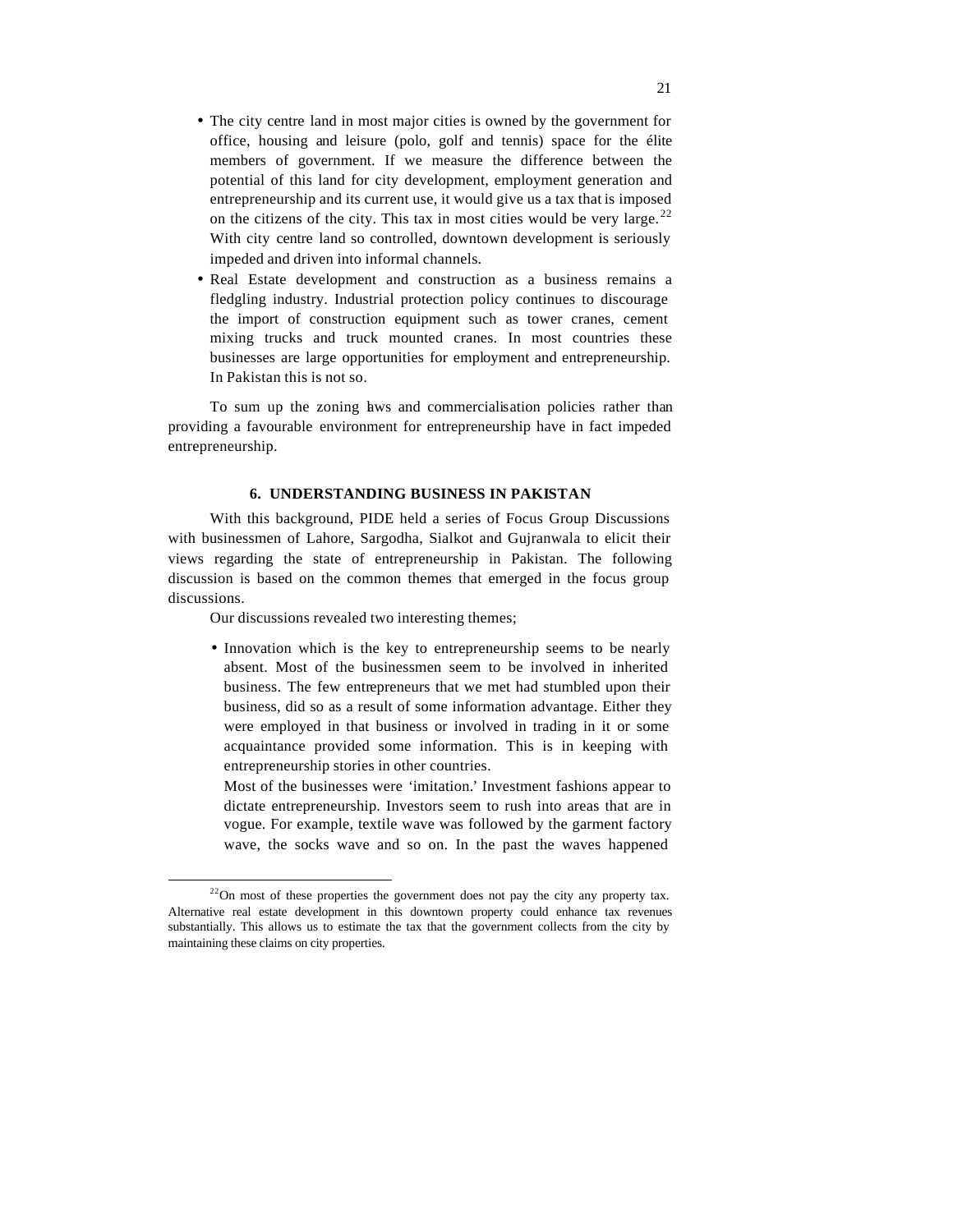- The city centre land in most major cities is owned by the government for office, housing and leisure (polo, golf and tennis) space for the élite members of government. If we measure the difference between the potential of this land for city development, employment generation and entrepreneurship and its current use, it would give us a tax that is imposed on the citizens of the city. This tax in most cities would be very large. $^{22}$ With city centre land so controlled, downtown development is seriously impeded and driven into informal channels.
- Real Estate development and construction as a business remains a fledgling industry. Industrial protection policy continues to discourage the import of construction equipment such as tower cranes, cement mixing trucks and truck mounted cranes. In most countries these businesses are large opportunities for employment and entrepreneurship. In Pakistan this is not so.

To sum up the zoning laws and commercialisation policies rather than providing a favourable environment for entrepreneurship have in fact impeded entrepreneurship.

#### **6. UNDERSTANDING BUSINESS IN PAKISTAN**

With this background, PIDE held a series of Focus Group Discussions with businessmen of Lahore, Sargodha, Sialkot and Gujranwala to elicit their views regarding the state of entrepreneurship in Pakistan. The following discussion is based on the common themes that emerged in the focus group discussions.

Our discussions revealed two interesting themes;

 $\overline{a}$ 

• Innovation which is the key to entrepreneurship seems to be nearly absent. Most of the businessmen seem to be involved in inherited business. The few entrepreneurs that we met had stumbled upon their business, did so as a result of some information advantage. Either they were employed in that business or involved in trading in it or some acquaintance provided some information. This is in keeping with entrepreneurship stories in other countries.

Most of the businesses were 'imitation.' Investment fashions appear to dictate entrepreneurship. Investors seem to rush into areas that are in vogue. For example, textile wave was followed by the garment factory wave, the socks wave and so on. In the past the waves happened

 $22$ On most of these properties the government does not pay the city any property tax. Alternative real estate development in this downtown property could enhance tax revenues substantially. This allows us to estimate the tax that the government collects from the city by maintaining these claims on city properties.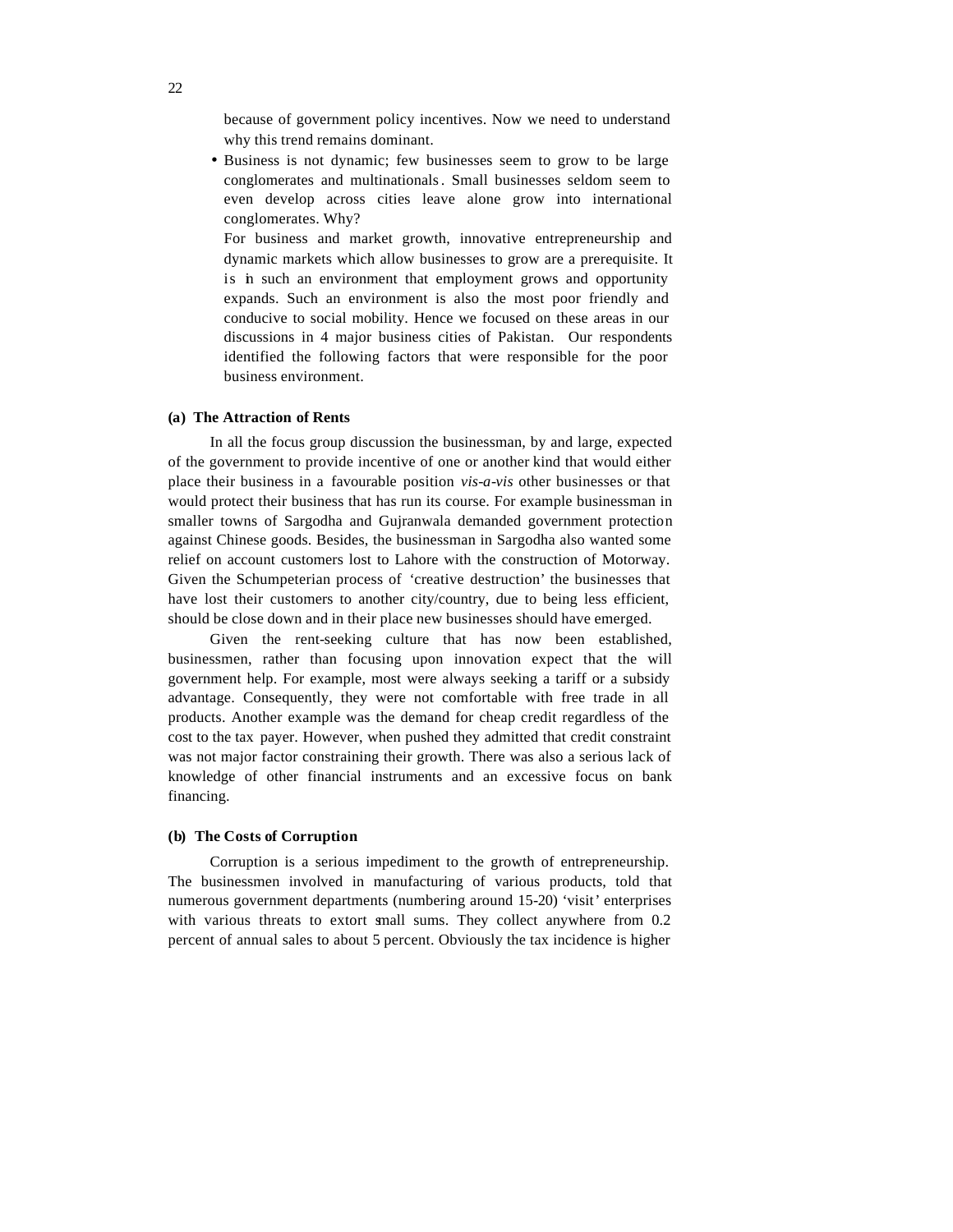because of government policy incentives. Now we need to understand why this trend remains dominant.

• Business is not dynamic; few businesses seem to grow to be large conglomerates and multinationals. Small businesses seldom seem to even develop across cities leave alone grow into international conglomerates. Why?

For business and market growth, innovative entrepreneurship and dynamic markets which allow businesses to grow are a prerequisite. It is in such an environment that employment grows and opportunity expands. Such an environment is also the most poor friendly and conducive to social mobility. Hence we focused on these areas in our discussions in 4 major business cities of Pakistan. Our respondents identified the following factors that were responsible for the poor business environment.

#### **(a) The Attraction of Rents**

In all the focus group discussion the businessman, by and large, expected of the government to provide incentive of one or another kind that would either place their business in a favourable position *vis-a-vis* other businesses or that would protect their business that has run its course. For example businessman in smaller towns of Sargodha and Gujranwala demanded government protection against Chinese goods. Besides, the businessman in Sargodha also wanted some relief on account customers lost to Lahore with the construction of Motorway. Given the Schumpeterian process of 'creative destruction' the businesses that have lost their customers to another city/country, due to being less efficient, should be close down and in their place new businesses should have emerged.

Given the rent-seeking culture that has now been established, businessmen, rather than focusing upon innovation expect that the will government help. For example, most were always seeking a tariff or a subsidy advantage. Consequently, they were not comfortable with free trade in all products. Another example was the demand for cheap credit regardless of the cost to the tax payer. However, when pushed they admitted that credit constraint was not major factor constraining their growth. There was also a serious lack of knowledge of other financial instruments and an excessive focus on bank financing.

#### **(b) The Costs of Corruption**

Corruption is a serious impediment to the growth of entrepreneurship. The businessmen involved in manufacturing of various products, told that numerous government departments (numbering around 15-20) 'visit' enterprises with various threats to extort small sums. They collect anywhere from 0.2 percent of annual sales to about 5 percent. Obviously the tax incidence is higher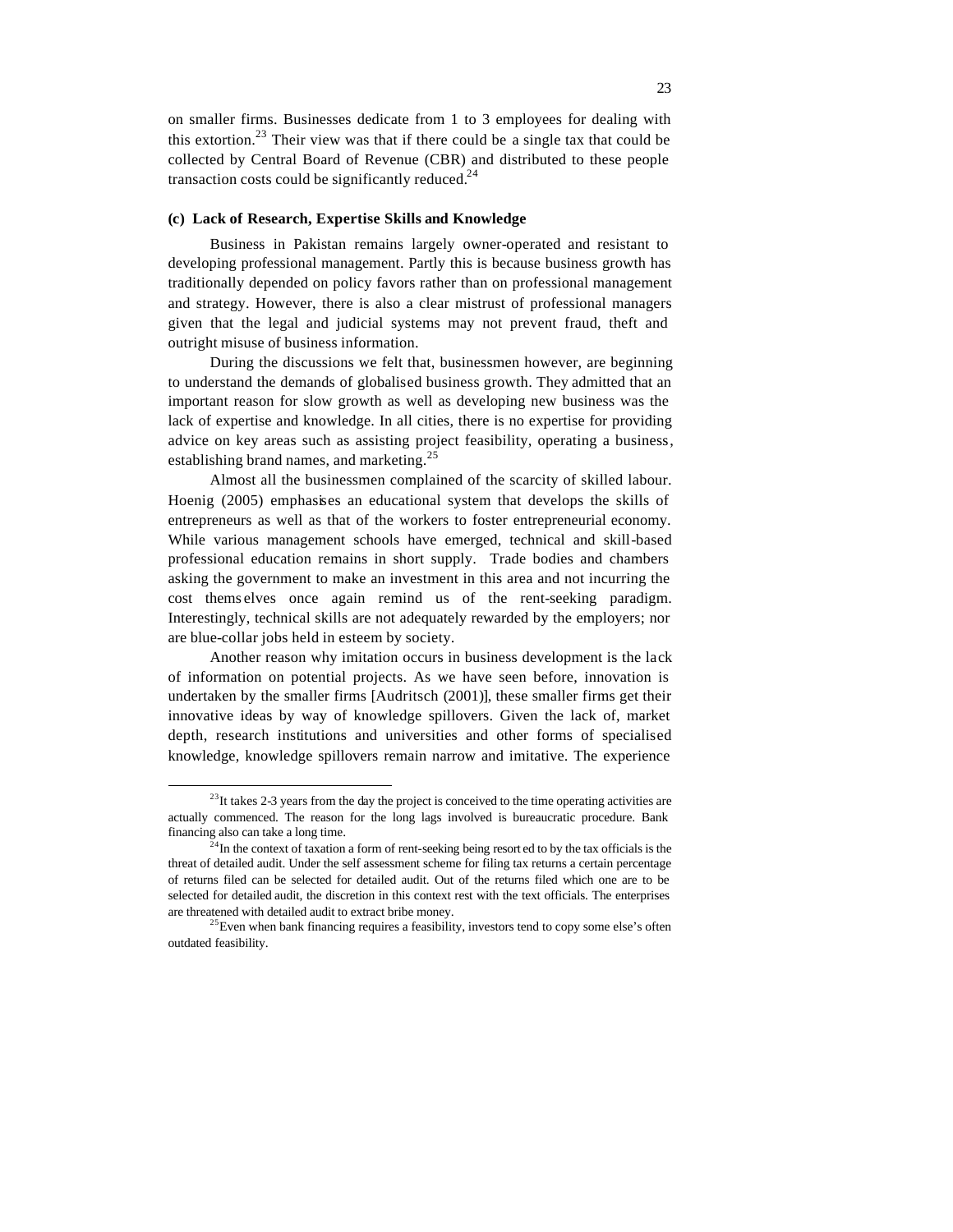on smaller firms. Businesses dedicate from 1 to 3 employees for dealing with this extortion.<sup>23</sup> Their view was that if there could be a single tax that could be collected by Central Board of Revenue (CBR) and distributed to these people transaction costs could be significantly reduced. $24$ 

#### **(c) Lack of Research, Expertise Skills and Knowledge**

Business in Pakistan remains largely owner-operated and resistant to developing professional management. Partly this is because business growth has traditionally depended on policy favors rather than on professional management and strategy. However, there is also a clear mistrust of professional managers given that the legal and judicial systems may not prevent fraud, theft and outright misuse of business information.

During the discussions we felt that, businessmen however, are beginning to understand the demands of globalised business growth. They admitted that an important reason for slow growth as well as developing new business was the lack of expertise and knowledge. In all cities, there is no expertise for providing advice on key areas such as assisting project feasibility, operating a business, establishing brand names, and marketing.<sup>25</sup>

Almost all the businessmen complained of the scarcity of skilled labour. Hoenig (2005) emphasises an educational system that develops the skills of entrepreneurs as well as that of the workers to foster entrepreneurial economy. While various management schools have emerged, technical and skill-based professional education remains in short supply. Trade bodies and chambers asking the government to make an investment in this area and not incurring the cost thems elves once again remind us of the rent-seeking paradigm. Interestingly, technical skills are not adequately rewarded by the employers; nor are blue-collar jobs held in esteem by society.

Another reason why imitation occurs in business development is the lack of information on potential projects. As we have seen before, innovation is undertaken by the smaller firms [Audritsch (2001)], these smaller firms get their innovative ideas by way of knowledge spillovers. Given the lack of, market depth, research institutions and universities and other forms of specialised knowledge, knowledge spillovers remain narrow and imitative. The experience

 $^{23}$ It takes 2-3 years from the day the project is conceived to the time operating activities are actually commenced. The reason for the long lags involved is bureaucratic procedure. Bank financing also can take a long time.

 $2^{24}$ In the context of taxation a form of rent-seeking being resort ed to by the tax officials is the threat of detailed audit. Under the self assessment scheme for filing tax returns a certain percentage of returns filed can be selected for detailed audit. Out of the returns filed which one are to be selected for detailed audit, the discretion in this context rest with the text officials. The enterprises are threatened with detailed audit to extract bribe money.

<sup>&</sup>lt;sup>25</sup>Even when bank financing requires a feasibility, investors tend to copy some else's often outdated feasibility.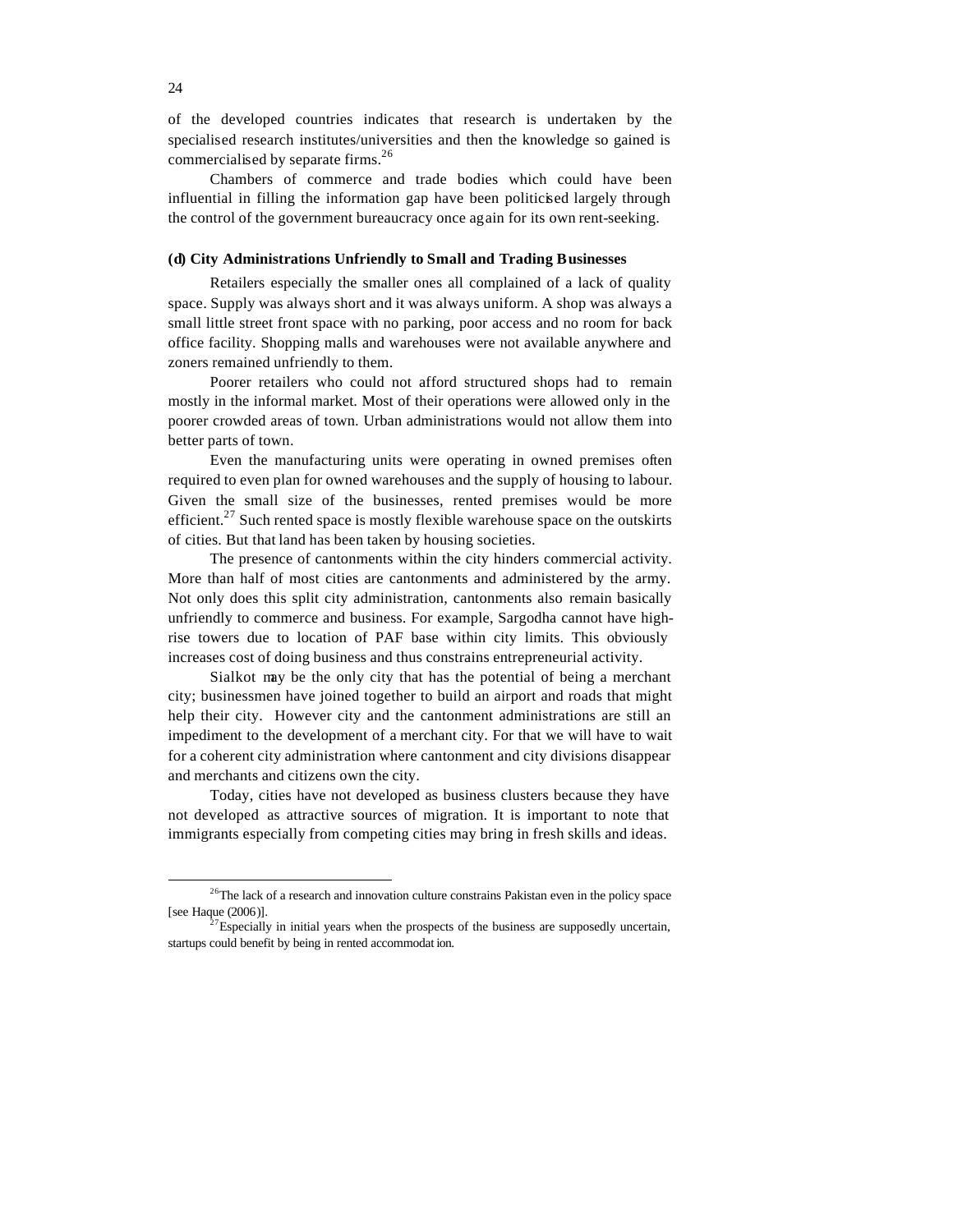of the developed countries indicates that research is undertaken by the specialised research institutes/universities and then the knowledge so gained is commercialised by separate firms.<sup>26</sup>

Chambers of commerce and trade bodies which could have been influential in filling the information gap have been politicised largely through the control of the government bureaucracy once again for its own rent-seeking.

### **(d) City Administrations Unfriendly to Small and Trading Businesses**

Retailers especially the smaller ones all complained of a lack of quality space. Supply was always short and it was always uniform. A shop was always a small little street front space with no parking, poor access and no room for back office facility. Shopping malls and warehouses were not available anywhere and zoners remained unfriendly to them.

Poorer retailers who could not afford structured shops had to remain mostly in the informal market. Most of their operations were allowed only in the poorer crowded areas of town. Urban administrations would not allow them into better parts of town.

Even the manufacturing units were operating in owned premises often required to even plan for owned warehouses and the supply of housing to labour. Given the small size of the businesses, rented premises would be more efficient.<sup>27</sup> Such rented space is mostly flexible warehouse space on the outskirts of cities. But that land has been taken by housing societies.

The presence of cantonments within the city hinders commercial activity. More than half of most cities are cantonments and administered by the army. Not only does this split city administration, cantonments also remain basically unfriendly to commerce and business. For example, Sargodha cannot have highrise towers due to location of PAF base within city limits. This obviously increases cost of doing business and thus constrains entrepreneurial activity.

Sialkot may be the only city that has the potential of being a merchant city; businessmen have joined together to build an airport and roads that might help their city. However city and the cantonment administrations are still an impediment to the development of a merchant city. For that we will have to wait for a coherent city administration where cantonment and city divisions disappear and merchants and citizens own the city.

Today, cities have not developed as business clusters because they have not developed as attractive sources of migration. It is important to note that immigrants especially from competing cities may bring in fresh skills and ideas.

<sup>&</sup>lt;sup>26</sup>The lack of a research and innovation culture constrains Pakistan even in the policy space [see Haque (2006)].

 $2^{27}$ Especially in initial years when the prospects of the business are supposedly uncertain, startups could benefit by being in rented accommodat ion.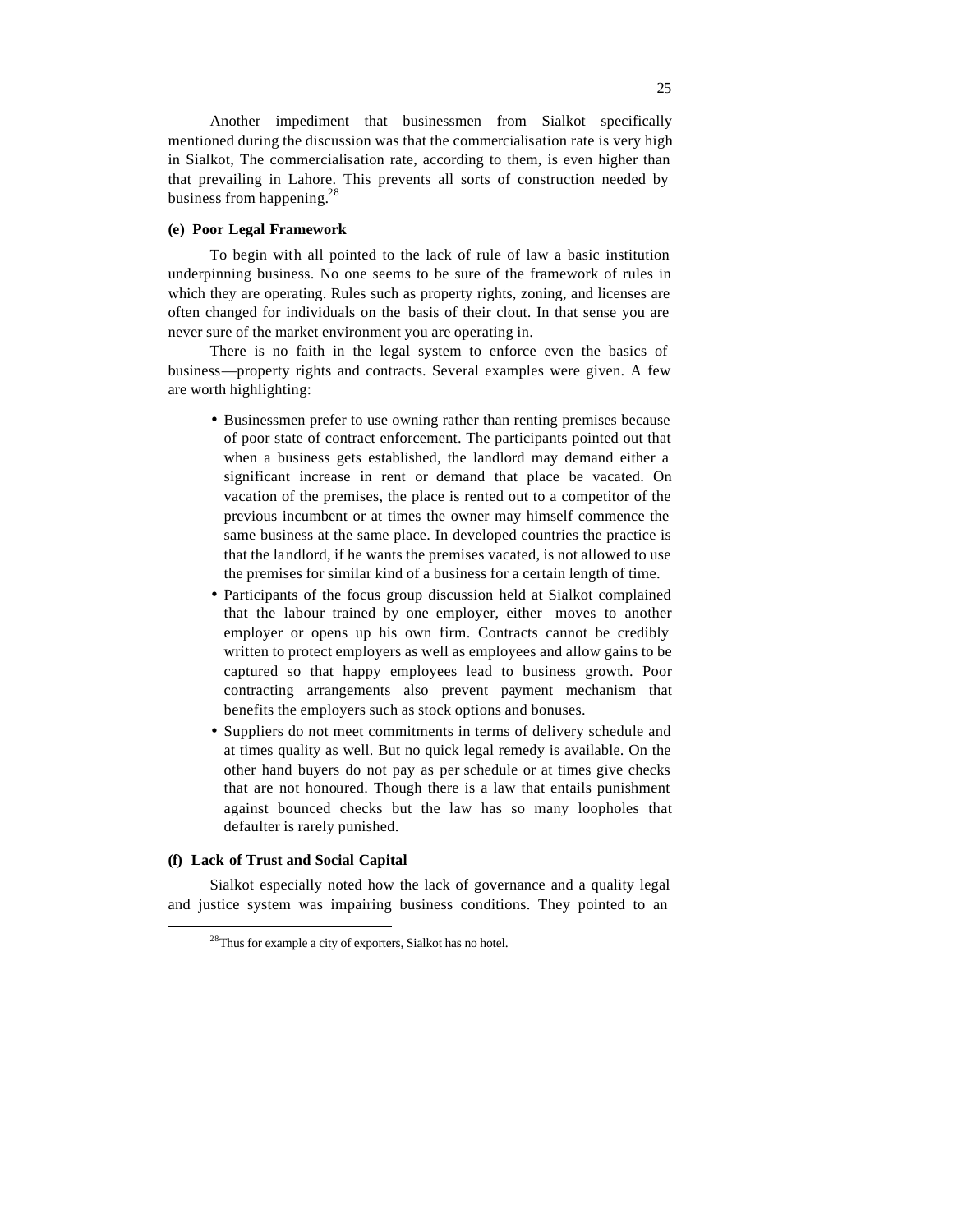Another impediment that businessmen from Sialkot specifically mentioned during the discussion was that the commercialisation rate is very high in Sialkot, The commercialisation rate, according to them, is even higher than that prevailing in Lahore. This prevents all sorts of construction needed by business from happening.<sup>28</sup>

# **(e) Poor Legal Framework**

To begin with all pointed to the lack of rule of law a basic institution underpinning business. No one seems to be sure of the framework of rules in which they are operating. Rules such as property rights, zoning, and licenses are often changed for individuals on the basis of their clout. In that sense you are never sure of the market environment you are operating in.

There is no faith in the legal system to enforce even the basics of business—property rights and contracts. Several examples were given. A few are worth highlighting:

- Businessmen prefer to use owning rather than renting premises because of poor state of contract enforcement. The participants pointed out that when a business gets established, the landlord may demand either a significant increase in rent or demand that place be vacated. On vacation of the premises, the place is rented out to a competitor of the previous incumbent or at times the owner may himself commence the same business at the same place. In developed countries the practice is that the landlord, if he wants the premises vacated, is not allowed to use the premises for similar kind of a business for a certain length of time.
- Participants of the focus group discussion held at Sialkot complained that the labour trained by one employer, either moves to another employer or opens up his own firm. Contracts cannot be credibly written to protect employers as well as employees and allow gains to be captured so that happy employees lead to business growth. Poor contracting arrangements also prevent payment mechanism that benefits the employers such as stock options and bonuses.
- Suppliers do not meet commitments in terms of delivery schedule and at times quality as well. But no quick legal remedy is available. On the other hand buyers do not pay as per schedule or at times give checks that are not honoured. Though there is a law that entails punishment against bounced checks but the law has so many loopholes that defaulter is rarely punished.

#### **(f) Lack of Trust and Social Capital**

 $\overline{a}$ 

Sialkot especially noted how the lack of governance and a quality legal and justice system was impairing business conditions. They pointed to an

<sup>&</sup>lt;sup>28</sup>Thus for example a city of exporters, Sialkot has no hotel.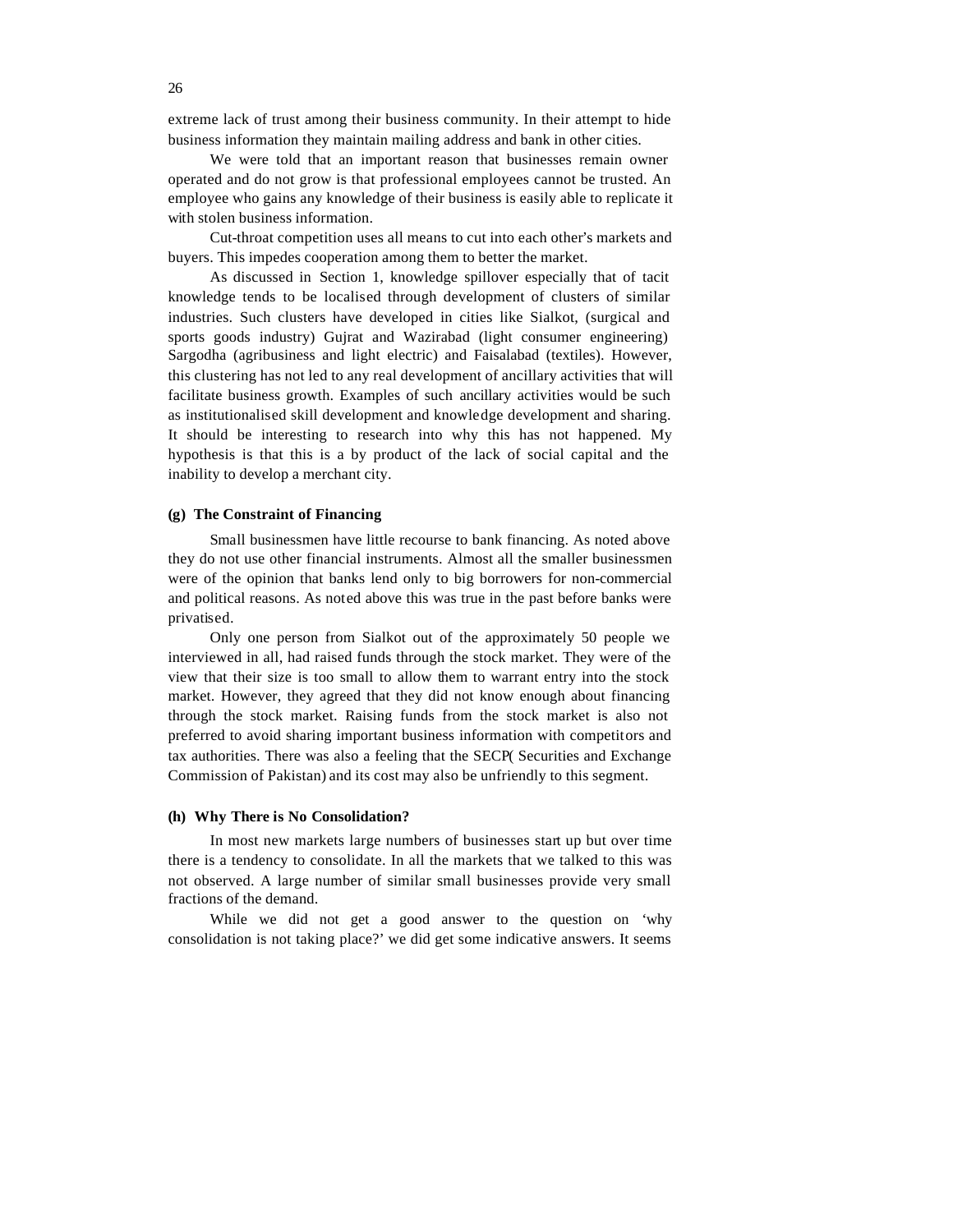extreme lack of trust among their business community. In their attempt to hide business information they maintain mailing address and bank in other cities.

We were told that an important reason that businesses remain owner operated and do not grow is that professional employees cannot be trusted. An employee who gains any knowledge of their business is easily able to replicate it with stolen business information.

Cut-throat competition uses all means to cut into each other's markets and buyers. This impedes cooperation among them to better the market.

As discussed in Section 1, knowledge spillover especially that of tacit knowledge tends to be localised through development of clusters of similar industries. Such clusters have developed in cities like Sialkot, (surgical and sports goods industry) Gujrat and Wazirabad (light consumer engineering) Sargodha (agribusiness and light electric) and Faisalabad (textiles). However, this clustering has not led to any real development of ancillary activities that will facilitate business growth. Examples of such ancillary activities would be such as institutionalised skill development and knowledge development and sharing. It should be interesting to research into why this has not happened. My hypothesis is that this is a by product of the lack of social capital and the inability to develop a merchant city.

#### **(g) The Constraint of Financing**

Small businessmen have little recourse to bank financing. As noted above they do not use other financial instruments. Almost all the smaller businessmen were of the opinion that banks lend only to big borrowers for non-commercial and political reasons. As noted above this was true in the past before banks were privatised.

Only one person from Sialkot out of the approximately 50 people we interviewed in all, had raised funds through the stock market. They were of the view that their size is too small to allow them to warrant entry into the stock market. However, they agreed that they did not know enough about financing through the stock market. Raising funds from the stock market is also not preferred to avoid sharing important business information with competitors and tax authorities. There was also a feeling that the SECP( Securities and Exchange Commission of Pakistan) and its cost may also be unfriendly to this segment.

#### **(h) Why There is No Consolidation?**

In most new markets large numbers of businesses start up but over time there is a tendency to consolidate. In all the markets that we talked to this was not observed. A large number of similar small businesses provide very small fractions of the demand.

While we did not get a good answer to the question on 'why consolidation is not taking place?' we did get some indicative answers. It seems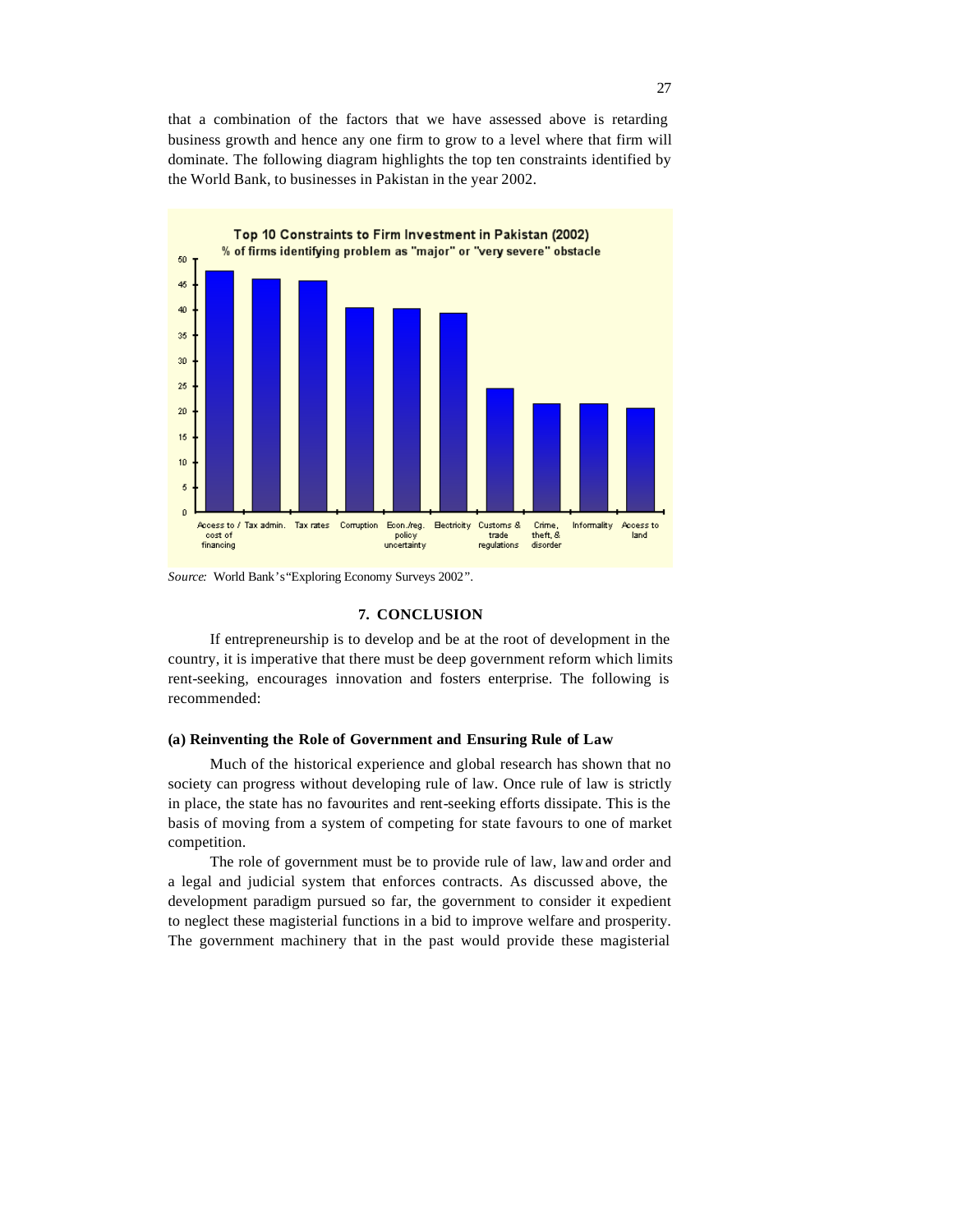that a combination of the factors that we have assessed above is retarding business growth and hence any one firm to grow to a level where that firm will dominate. The following diagram highlights the top ten constraints identified by the World Bank, to businesses in Pakistan in the year 2002.



*Source:* World Bank's "Exploring Economy Surveys 2002".

#### **7. CONCLUSION**

If entrepreneurship is to develop and be at the root of development in the country, it is imperative that there must be deep government reform which limits rent-seeking, encourages innovation and fosters enterprise. The following is recommended:

#### **(a) Reinventing the Role of Government and Ensuring Rule of Law**

Much of the historical experience and global research has shown that no society can progress without developing rule of law. Once rule of law is strictly in place, the state has no favourites and rent-seeking efforts dissipate. This is the basis of moving from a system of competing for state favours to one of market competition.

The role of government must be to provide rule of law, law and order and a legal and judicial system that enforces contracts. As discussed above, the development paradigm pursued so far, the government to consider it expedient to neglect these magisterial functions in a bid to improve welfare and prosperity. The government machinery that in the past would provide these magisterial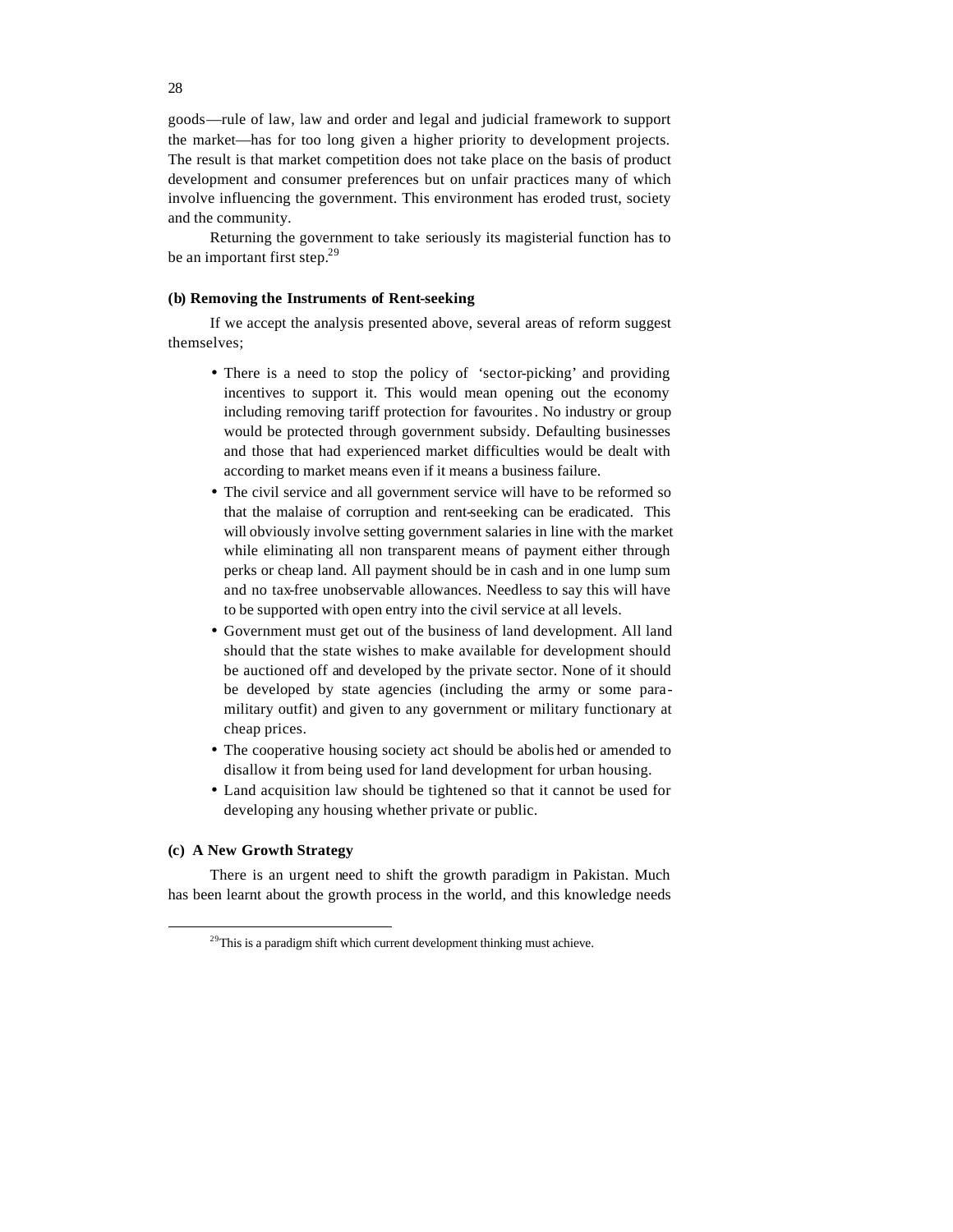goods—rule of law, law and order and legal and judicial framework to support the market—has for too long given a higher priority to development projects. The result is that market competition does not take place on the basis of product development and consumer preferences but on unfair practices many of which involve influencing the government. This environment has eroded trust, society and the community.

Returning the government to take seriously its magisterial function has to be an important first step.<sup>29</sup>

# **(b) Removing the Instruments of Rent-seeking**

If we accept the analysis presented above, several areas of reform suggest themselves;

- There is a need to stop the policy of 'sector-picking' and providing incentives to support it. This would mean opening out the economy including removing tariff protection for favourites. No industry or group would be protected through government subsidy. Defaulting businesses and those that had experienced market difficulties would be dealt with according to market means even if it means a business failure.
- The civil service and all government service will have to be reformed so that the malaise of corruption and rent-seeking can be eradicated. This will obviously involve setting government salaries in line with the market while eliminating all non transparent means of payment either through perks or cheap land. All payment should be in cash and in one lump sum and no tax-free unobservable allowances. Needless to say this will have to be supported with open entry into the civil service at all levels.
- Government must get out of the business of land development. All land should that the state wishes to make available for development should be auctioned off and developed by the private sector. None of it should be developed by state agencies (including the army or some paramilitary outfit) and given to any government or military functionary at cheap prices.
- The cooperative housing society act should be abolis hed or amended to disallow it from being used for land development for urban housing.
- Land acquisition law should be tightened so that it cannot be used for developing any housing whether private or public.

#### **(c) A New Growth Strategy**

 $\overline{a}$ 

There is an urgent need to shift the growth paradigm in Pakistan. Much has been learnt about the growth process in the world, and this knowledge needs

 $29$ This is a paradigm shift which current development thinking must achieve.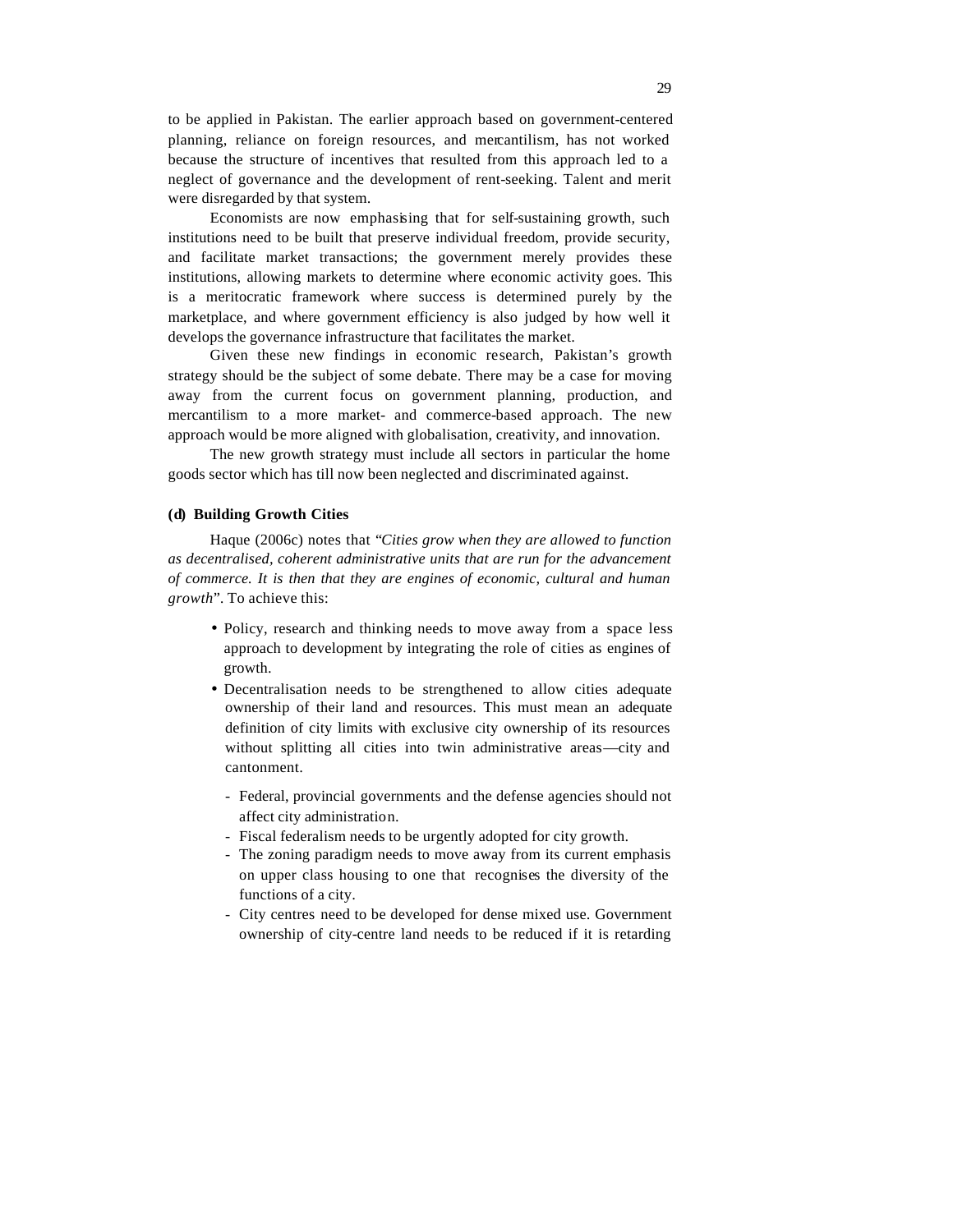to be applied in Pakistan. The earlier approach based on government-centered planning, reliance on foreign resources, and mercantilism, has not worked because the structure of incentives that resulted from this approach led to a neglect of governance and the development of rent-seeking. Talent and merit were disregarded by that system.

Economists are now emphasising that for self-sustaining growth, such institutions need to be built that preserve individual freedom, provide security, and facilitate market transactions; the government merely provides these institutions, allowing markets to determine where economic activity goes. This is a meritocratic framework where success is determined purely by the marketplace, and where government efficiency is also judged by how well it develops the governance infrastructure that facilitates the market.

Given these new findings in economic research, Pakistan's growth strategy should be the subject of some debate. There may be a case for moving away from the current focus on government planning, production, and mercantilism to a more market- and commerce-based approach. The new approach would be more aligned with globalisation, creativity, and innovation.

The new growth strategy must include all sectors in particular the home goods sector which has till now been neglected and discriminated against.

# **(d) Building Growth Cities**

Haque (2006c) notes that "*Cities grow when they are allowed to function as decentralised, coherent administrative units that are run for the advancement of commerce. It is then that they are engines of economic, cultural and human growth*"*.* To achieve this:

- Policy, research and thinking needs to move away from a space less approach to development by integrating the role of cities as engines of growth.
- Decentralisation needs to be strengthened to allow cities adequate ownership of their land and resources. This must mean an adequate definition of city limits with exclusive city ownership of its resources without splitting all cities into twin administrative areas—city and cantonment.
	- Federal, provincial governments and the defense agencies should not affect city administration.
	- Fiscal federalism needs to be urgently adopted for city growth.
	- The zoning paradigm needs to move away from its current emphasis on upper class housing to one that recognises the diversity of the functions of a city.
	- City centres need to be developed for dense mixed use. Government ownership of city-centre land needs to be reduced if it is retarding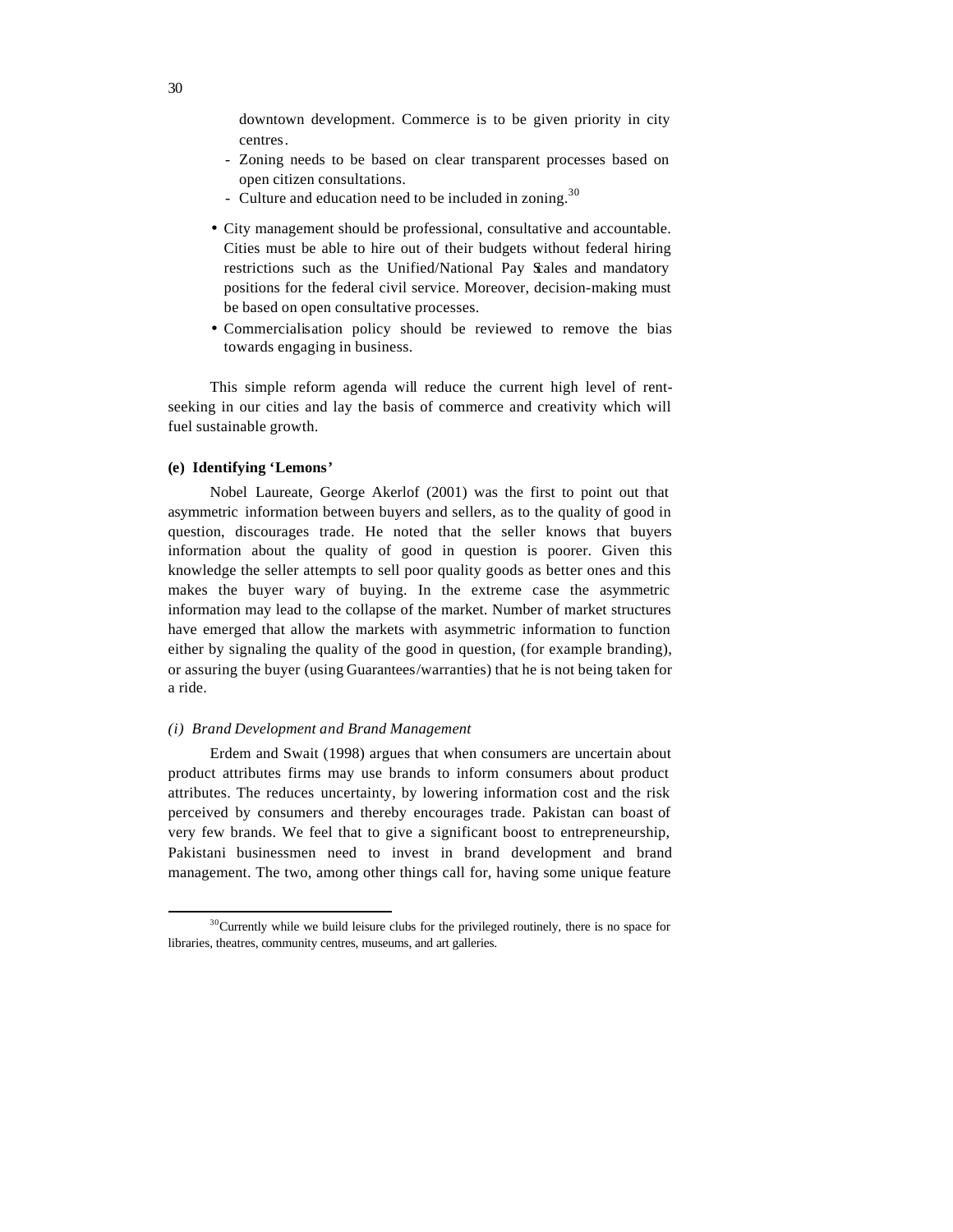downtown development. Commerce is to be given priority in city centres.

- Zoning needs to be based on clear transparent processes based on open citizen consultations.
- Culture and education need to be included in zoning.<sup>30</sup>
- City management should be professional, consultative and accountable. Cities must be able to hire out of their budgets without federal hiring restrictions such as the Unified/National Pay Scales and mandatory positions for the federal civil service. Moreover, decision-making must be based on open consultative processes.
- Commercialisation policy should be reviewed to remove the bias towards engaging in business.

This simple reform agenda will reduce the current high level of rentseeking in our cities and lay the basis of commerce and creativity which will fuel sustainable growth.

#### **(e) Identifying 'Lemons'**

 $\overline{a}$ 

Nobel Laureate, George Akerlof (2001) was the first to point out that asymmetric information between buyers and sellers, as to the quality of good in question, discourages trade. He noted that the seller knows that buyers information about the quality of good in question is poorer. Given this knowledge the seller attempts to sell poor quality goods as better ones and this makes the buyer wary of buying. In the extreme case the asymmetric information may lead to the collapse of the market. Number of market structures have emerged that allow the markets with asymmetric information to function either by signaling the quality of the good in question, (for example branding), or assuring the buyer (using Guarantees/warranties) that he is not being taken for a ride.

## *(i) Brand Development and Brand Management*

Erdem and Swait (1998) argues that when consumers are uncertain about product attributes firms may use brands to inform consumers about product attributes. The reduces uncertainty, by lowering information cost and the risk perceived by consumers and thereby encourages trade. Pakistan can boast of very few brands. We feel that to give a significant boost to entrepreneurship, Pakistani businessmen need to invest in brand development and brand management. The two, among other things call for, having some unique feature

 $30$ Currently while we build leisure clubs for the privileged routinely, there is no space for libraries, theatres, community centres, museums, and art galleries.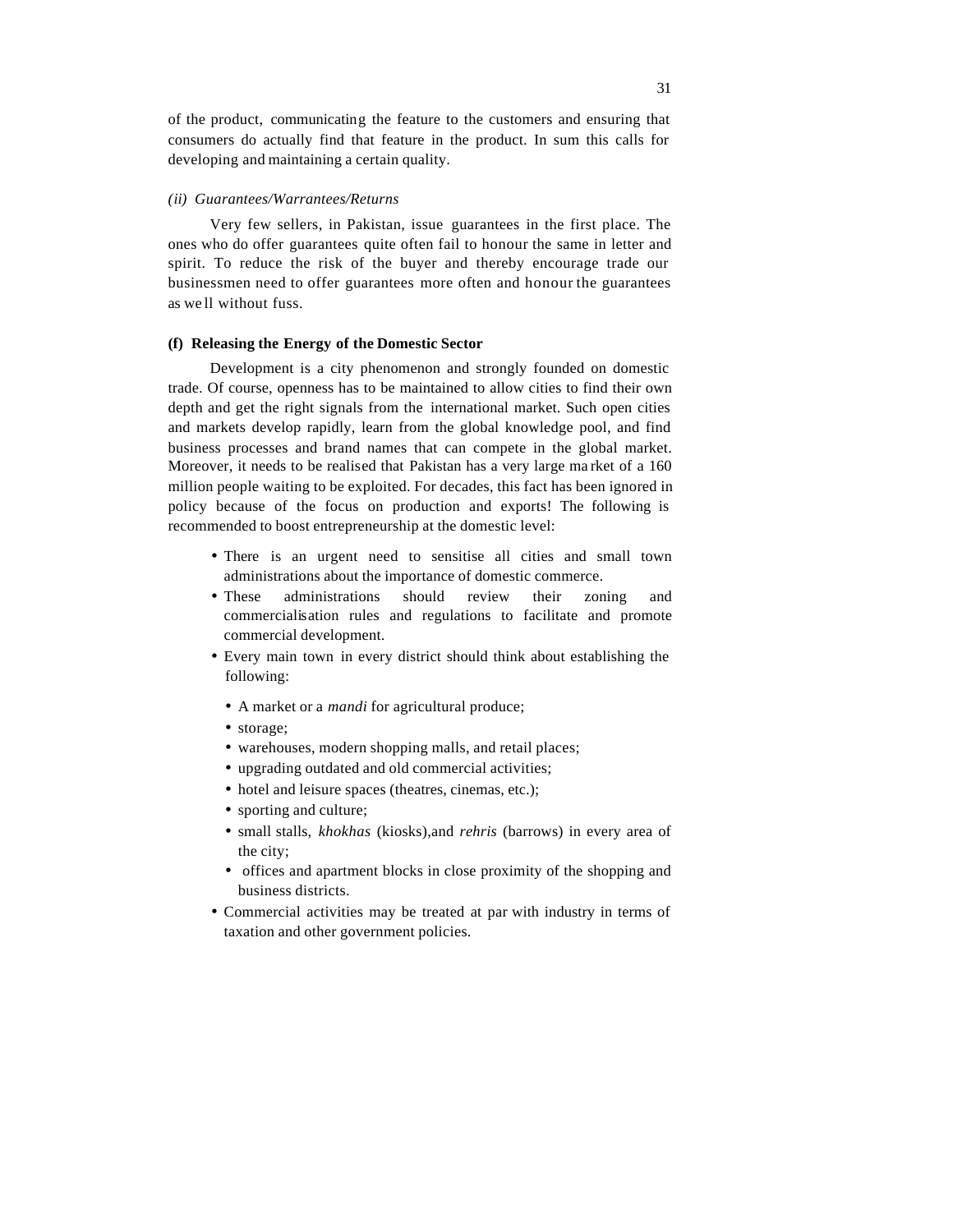of the product, communicating the feature to the customers and ensuring that consumers do actually find that feature in the product. In sum this calls for developing and maintaining a certain quality.

#### *(ii) Guarantees/Warrantees/Returns*

Very few sellers, in Pakistan, issue guarantees in the first place. The ones who do offer guarantees quite often fail to honour the same in letter and spirit. To reduce the risk of the buyer and thereby encourage trade our businessmen need to offer guarantees more often and honour the guarantees as we ll without fuss.

#### **(f) Releasing the Energy of the Domestic Sector**

Development is a city phenomenon and strongly founded on domestic trade. Of course, openness has to be maintained to allow cities to find their own depth and get the right signals from the international market. Such open cities and markets develop rapidly, learn from the global knowledge pool, and find business processes and brand names that can compete in the global market. Moreover, it needs to be realised that Pakistan has a very large ma rket of a 160 million people waiting to be exploited. For decades, this fact has been ignored in policy because of the focus on production and exports! The following is recommended to boost entrepreneurship at the domestic level:

- There is an urgent need to sensitise all cities and small town administrations about the importance of domestic commerce.
- These administrations should review their zoning and commercialisation rules and regulations to facilitate and promote commercial development.
- Every main town in every district should think about establishing the following:
	- A market or a *mandi* for agricultural produce;
	- storage;
	- warehouses, modern shopping malls, and retail places;
	- upgrading outdated and old commercial activities;
	- hotel and leisure spaces (theatres, cinemas, etc.);
	- sporting and culture;
	- small stalls, *khokhas* (kiosks),and *rehris* (barrows) in every area of the city;
	- offices and apartment blocks in close proximity of the shopping and business districts.
- Commercial activities may be treated at par with industry in terms of taxation and other government policies.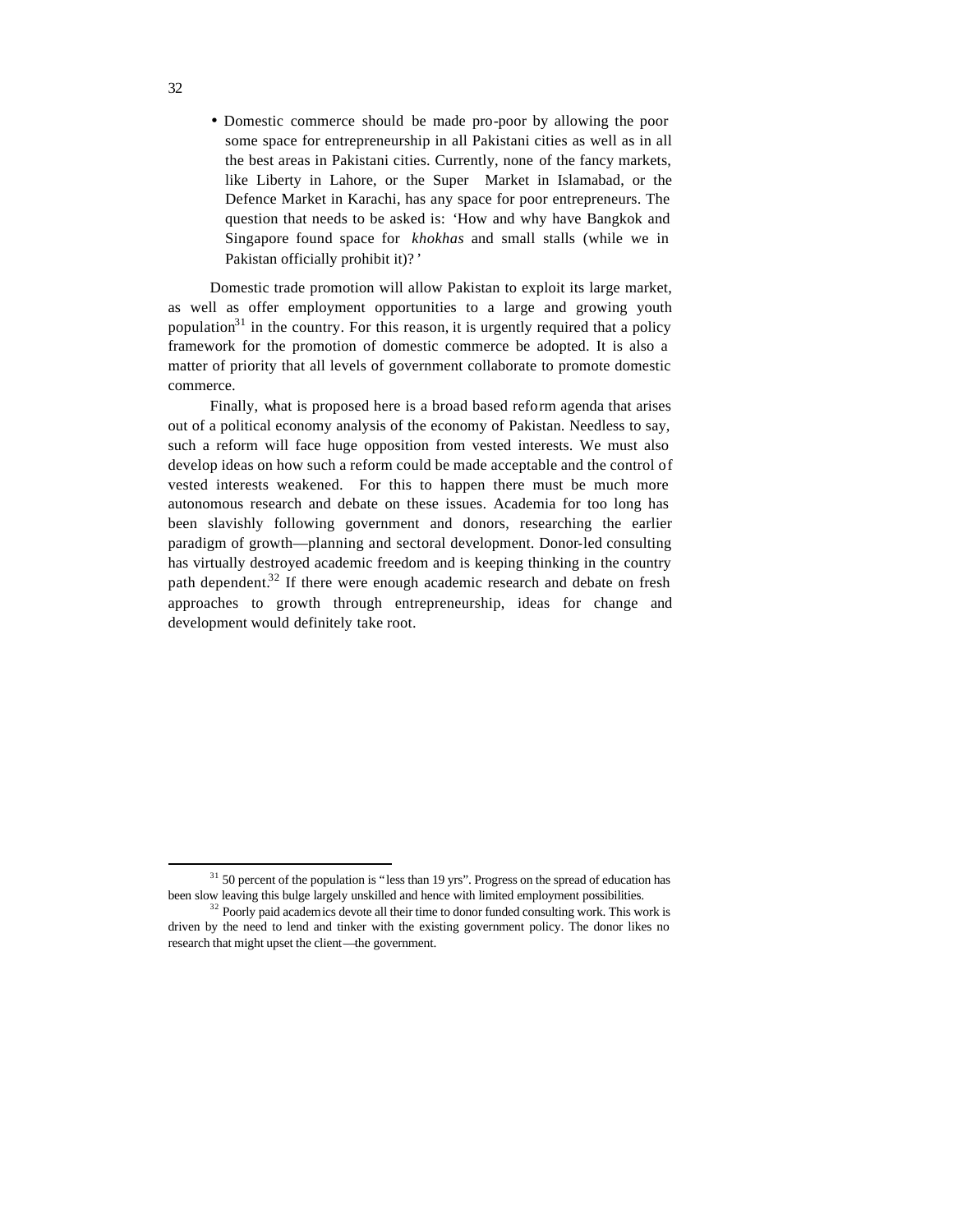• Domestic commerce should be made pro-poor by allowing the poor some space for entrepreneurship in all Pakistani cities as well as in all the best areas in Pakistani cities. Currently, none of the fancy markets, like Liberty in Lahore, or the Super Market in Islamabad, or the Defence Market in Karachi, has any space for poor entrepreneurs. The question that needs to be asked is: 'How and why have Bangkok and Singapore found space for *khokhas* and small stalls (while we in Pakistan officially prohibit it)? '

Domestic trade promotion will allow Pakistan to exploit its large market, as well as offer employment opportunities to a large and growing youth population<sup>31</sup> in the country. For this reason, it is urgently required that a policy framework for the promotion of domestic commerce be adopted. It is also a matter of priority that all levels of government collaborate to promote domestic commerce.

Finally, what is proposed here is a broad based reform agenda that arises out of a political economy analysis of the economy of Pakistan. Needless to say, such a reform will face huge opposition from vested interests. We must also develop ideas on how such a reform could be made acceptable and the control of vested interests weakened. For this to happen there must be much more autonomous research and debate on these issues. Academia for too long has been slavishly following government and donors, researching the earlier paradigm of growth—planning and sectoral development. Donor-led consulting has virtually destroyed academic freedom and is keeping thinking in the country path dependent.<sup>32</sup> If there were enough academic research and debate on fresh approaches to growth through entrepreneurship, ideas for change and development would definitely take root.

 $31$  50 percent of the population is "less than 19 yrs". Progress on the spread of education has been slow leaving this bulge largely unskilled and hence with limited employment possibilities.

<sup>&</sup>lt;sup>32</sup> Poorly paid academics devote all their time to donor funded consulting work. This work is driven by the need to lend and tinker with the existing government policy. The donor likes no research that might upset the client—the government.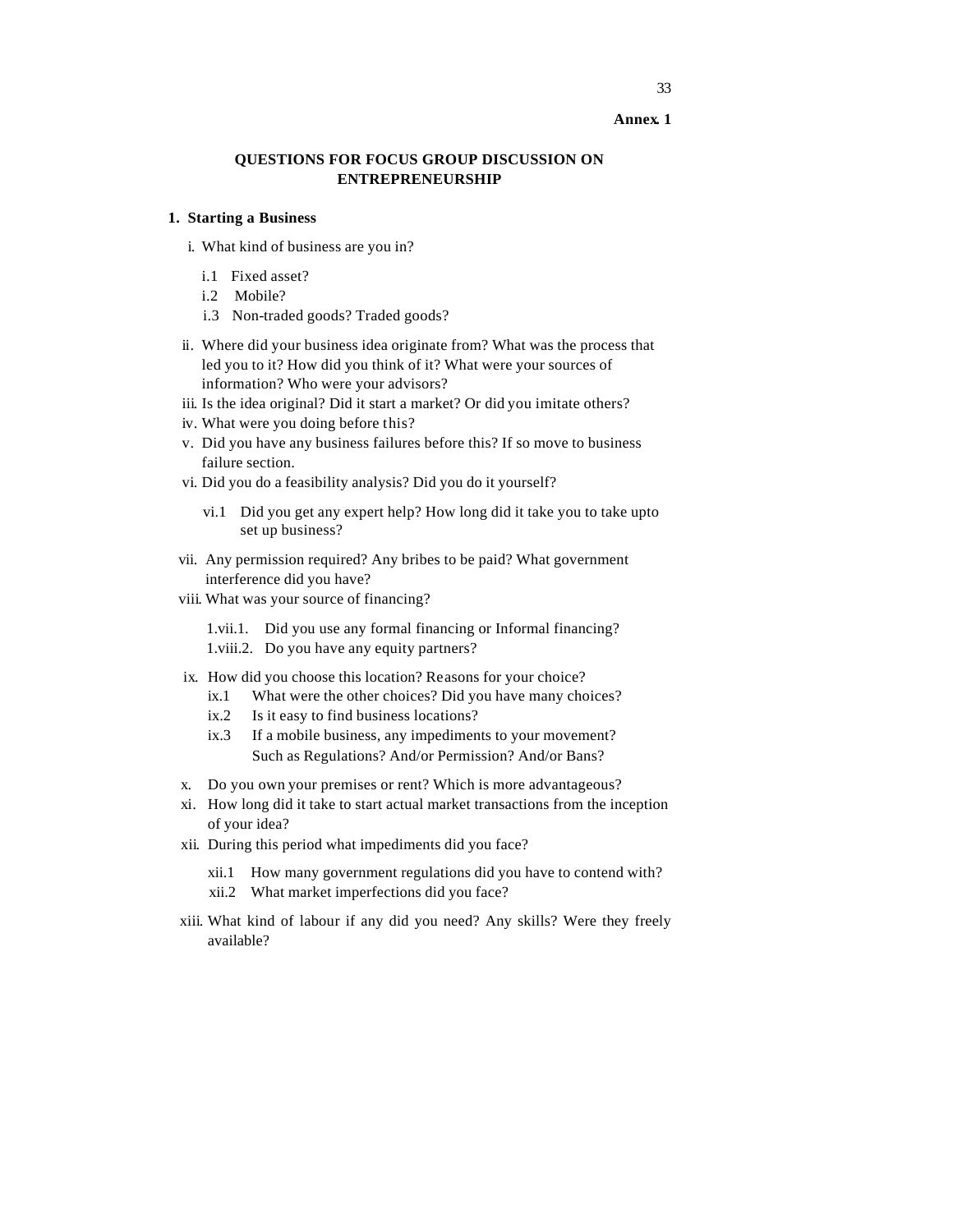#### **Annex. 1**

# **QUESTIONS FOR FOCUS GROUP DISCUSSION ON ENTREPRENEURSHIP**

#### **1. Starting a Business**

- i. What kind of business are you in?
	- i.1 Fixed asset?
	- i.2 Mobile?
	- i.3 Non-traded goods? Traded goods?
- ii. Where did your business idea originate from? What was the process that led you to it? How did you think of it? What were your sources of information? Who were your advisors?
- iii. Is the idea original? Did it start a market? Or did you imitate others?
- iv. What were you doing before this?
- v. Did you have any business failures before this? If so move to business failure section.
- vi. Did you do a feasibility analysis? Did you do it yourself?
	- vi.1 Did you get any expert help? How long did it take you to take upto set up business?
- vii. Any permission required? Any bribes to be paid? What government interference did you have?
- viii. What was your source of financing?

1.vii.1. Did you use any formal financing or Informal financing? 1.viii.2. Do you have any equity partners?

- ix. How did you choose this location? Reasons for your choice?
	- ix.1 What were the other choices? Did you have many choices?
	- ix.2 Is it easy to find business locations?
	- ix.3 If a mobile business, any impediments to your movement? Such as Regulations? And/or Permission? And/or Bans?
- x. Do you own your premises or rent? Which is more advantageous?
- xi. How long did it take to start actual market transactions from the inception of your idea?
- xii. During this period what impediments did you face?
	- xii.1 How many government regulations did you have to contend with?
	- xii.2 What market imperfections did you face?
- xiii. What kind of labour if any did you need? Any skills? Were they freely available?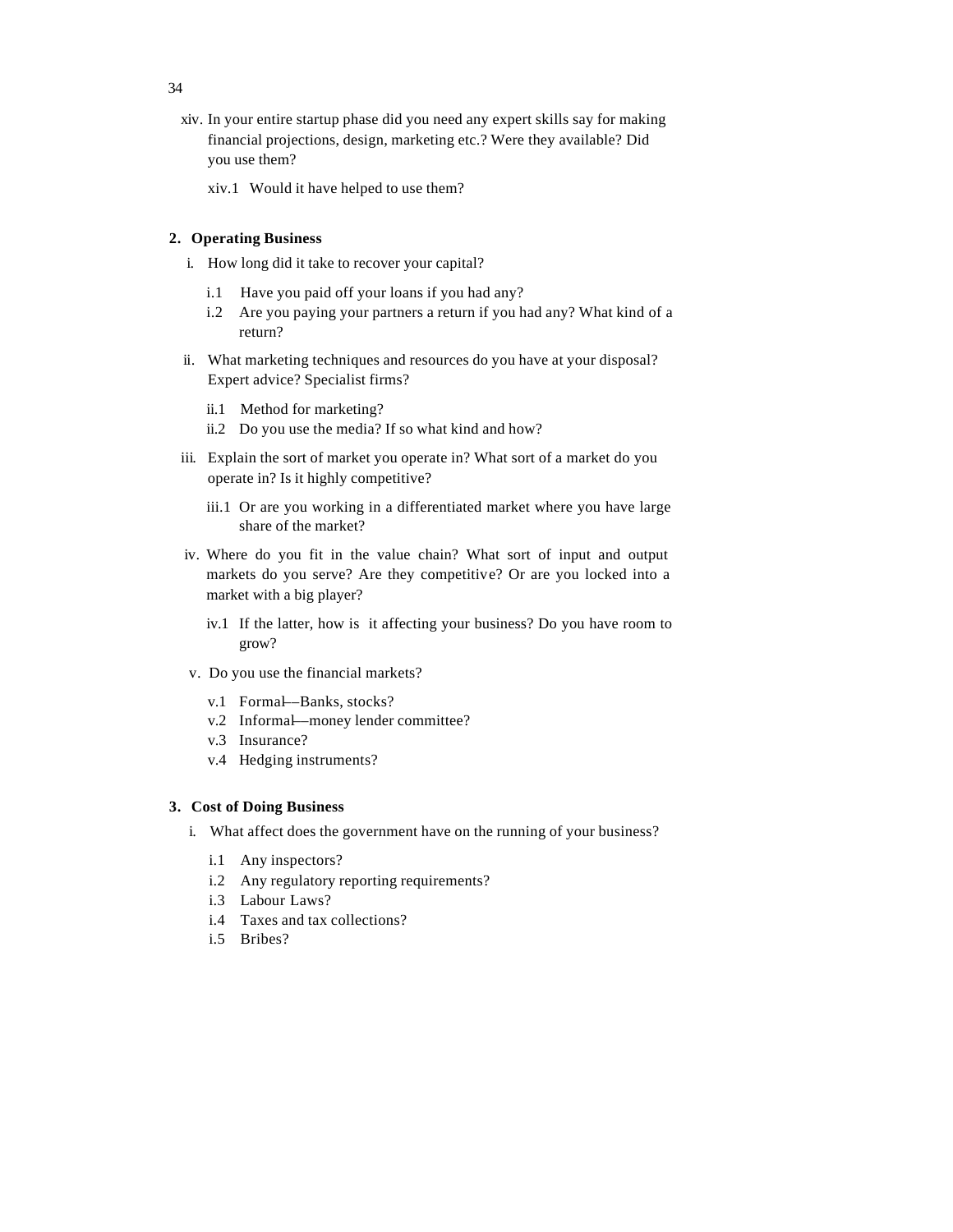- xiv. In your entire startup phase did you need any expert skills say for making financial projections, design, marketing etc.? Were they available? Did you use them?
	- xiv.1 Would it have helped to use them?

# **2. Operating Business**

- i. How long did it take to recover your capital?
	- i.1 Have you paid off your loans if you had any?
	- i.2 Are you paying your partners a return if you had any? What kind of a return?
- ii. What marketing techniques and resources do you have at your disposal? Expert advice? Specialist firms?
	- ii.1 Method for marketing?
	- ii.2 Do you use the media? If so what kind and how?
- iii. Explain the sort of market you operate in? What sort of a market do you operate in? Is it highly competitive?
	- iii.1 Or are you working in a differentiated market where you have large share of the market?
- iv. Where do you fit in the value chain? What sort of input and output markets do you serve? Are they competitive? Or are you locked into a market with a big player?
	- iv.1 If the latter, how is it affecting your business? Do you have room to grow?
- v. Do you use the financial markets?
	- v.1 Formal––Banks, stocks?
	- v.2 Informal––money lender committee?
	- v.3 Insurance?
	- v.4 Hedging instruments?

#### **3. Cost of Doing Business**

- i. What affect does the government have on the running of your business?
	- i.1 Any inspectors?
	- i.2 Any regulatory reporting requirements?
	- i.3 Labour Laws?
	- i.4 Taxes and tax collections?
	- i.5 Bribes?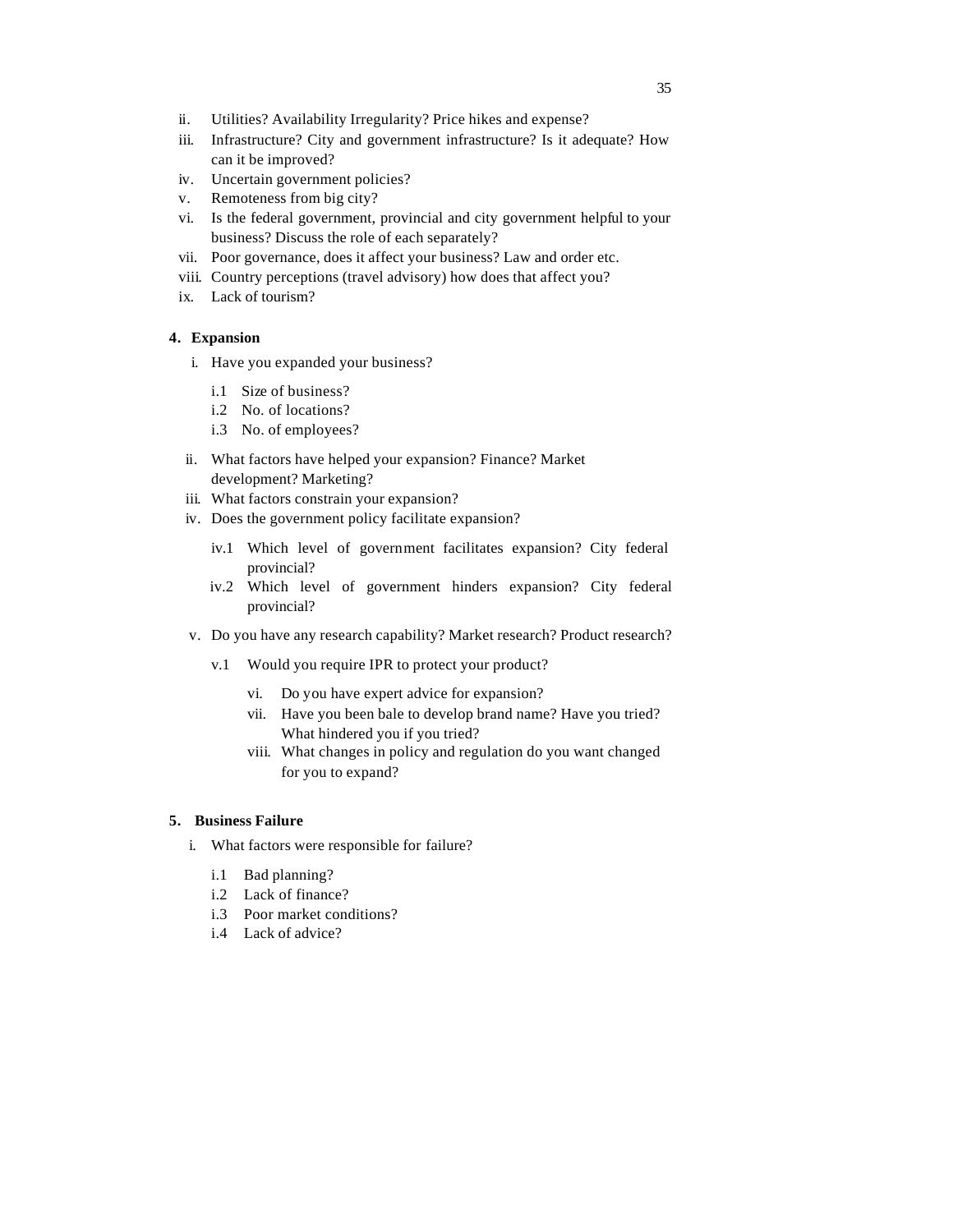- ii. Utilities? Availability Irregularity? Price hikes and expense?
- iii. Infrastructure? City and government infrastructure? Is it adequate? How can it be improved?
- iv. Uncertain government policies?
- v. Remoteness from big city?
- vi. Is the federal government, provincial and city government helpful to your business? Discuss the role of each separately?
- vii. Poor governance, does it affect your business? Law and order etc.
- viii. Country perceptions (travel advisory) how does that affect you?
- ix. Lack of tourism?

# **4. Expansion**

- i. Have you expanded your business?
	- i.1 Size of business?
	- i.2 No. of locations?
	- i.3 No. of employees?
- ii. What factors have helped your expansion? Finance? Market development? Marketing?
- iii. What factors constrain your expansion?
- iv. Does the government policy facilitate expansion?
	- iv.1 Which level of government facilitates expansion? City federal provincial?
	- iv.2 Which level of government hinders expansion? City federal provincial?
- v. Do you have any research capability? Market research? Product research?
	- v.1 Would you require IPR to protect your product?
		- vi. Do you have expert advice for expansion?
		- vii. Have you been bale to develop brand name? Have you tried? What hindered you if you tried?
		- viii. What changes in policy and regulation do you want changed for you to expand?

# **5. Business Failure**

- i. What factors were responsible for failure?
	- i.1 Bad planning?
	- i.2 Lack of finance?
	- i.3 Poor market conditions?
	- i.4 Lack of advice?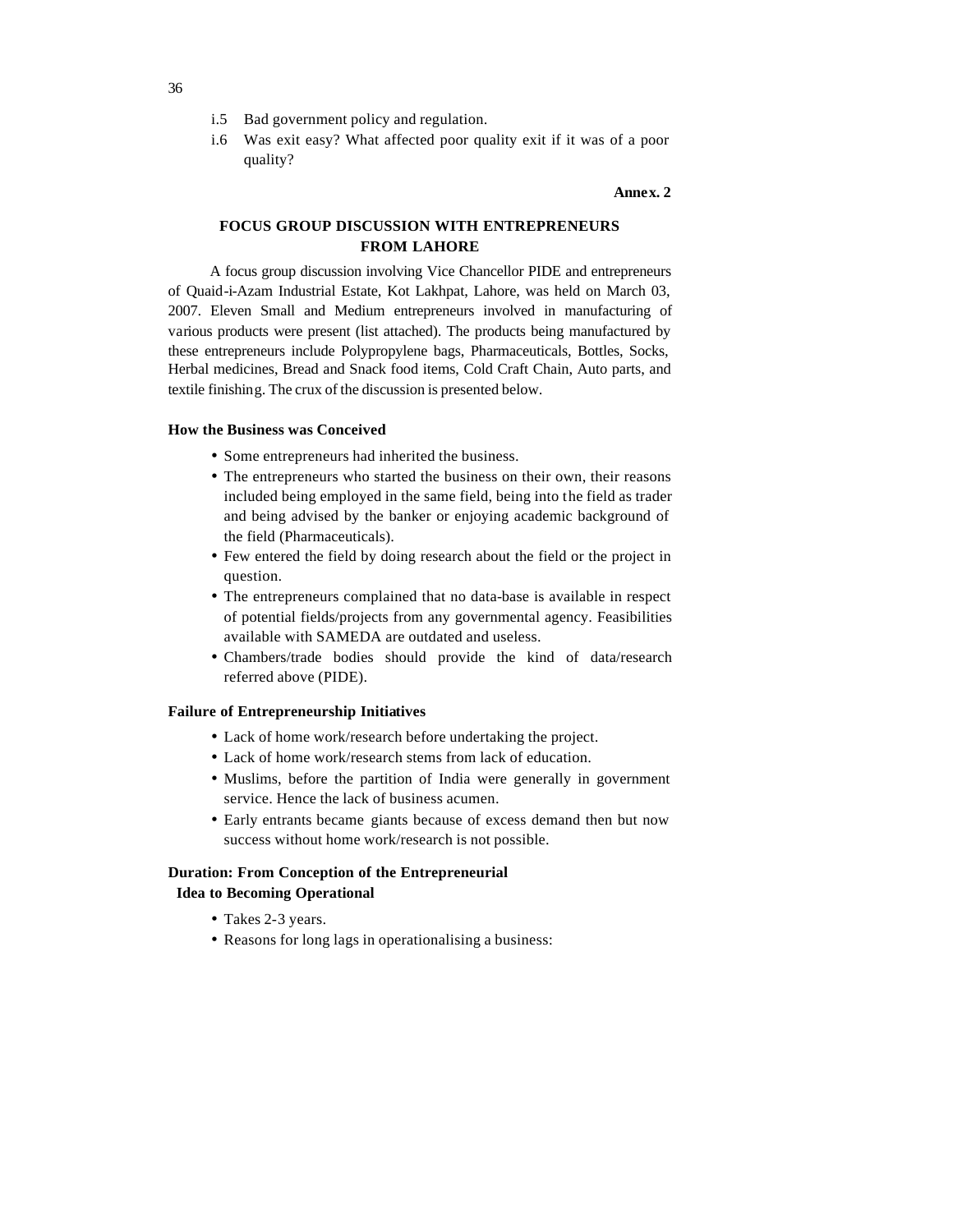- i.5 Bad government policy and regulation.
- i.6 Was exit easy? What affected poor quality exit if it was of a poor quality?

#### **Annex. 2**

# **FOCUS GROUP DISCUSSION WITH ENTREPRENEURS FROM LAHORE**

A focus group discussion involving Vice Chancellor PIDE and entrepreneurs of Quaid-i-Azam Industrial Estate, Kot Lakhpat, Lahore, was held on March 03, 2007. Eleven Small and Medium entrepreneurs involved in manufacturing of various products were present (list attached). The products being manufactured by these entrepreneurs include Polypropylene bags, Pharmaceuticals, Bottles, Socks, Herbal medicines, Bread and Snack food items, Cold Craft Chain, Auto parts, and textile finishing. The crux of the discussion is presented below.

#### **How the Business was Conceived**

- Some entrepreneurs had inherited the business.
- The entrepreneurs who started the business on their own, their reasons included being employed in the same field, being into the field as trader and being advised by the banker or enjoying academic background of the field (Pharmaceuticals).
- Few entered the field by doing research about the field or the project in question.
- The entrepreneurs complained that no data-base is available in respect of potential fields/projects from any governmental agency. Feasibilities available with SAMEDA are outdated and useless.
- Chambers/trade bodies should provide the kind of data/research referred above (PIDE).

#### **Failure of Entrepreneurship Initiatives**

- Lack of home work/research before undertaking the project.
- Lack of home work/research stems from lack of education.
- Muslims, before the partition of India were generally in government service. Hence the lack of business acumen.
- Early entrants became giants because of excess demand then but now success without home work/research is not possible.

# **Duration: From Conception of the Entrepreneurial**

- **Idea to Becoming Operational**
	- Takes 2-3 years.
	- Reasons for long lags in operationalising a business: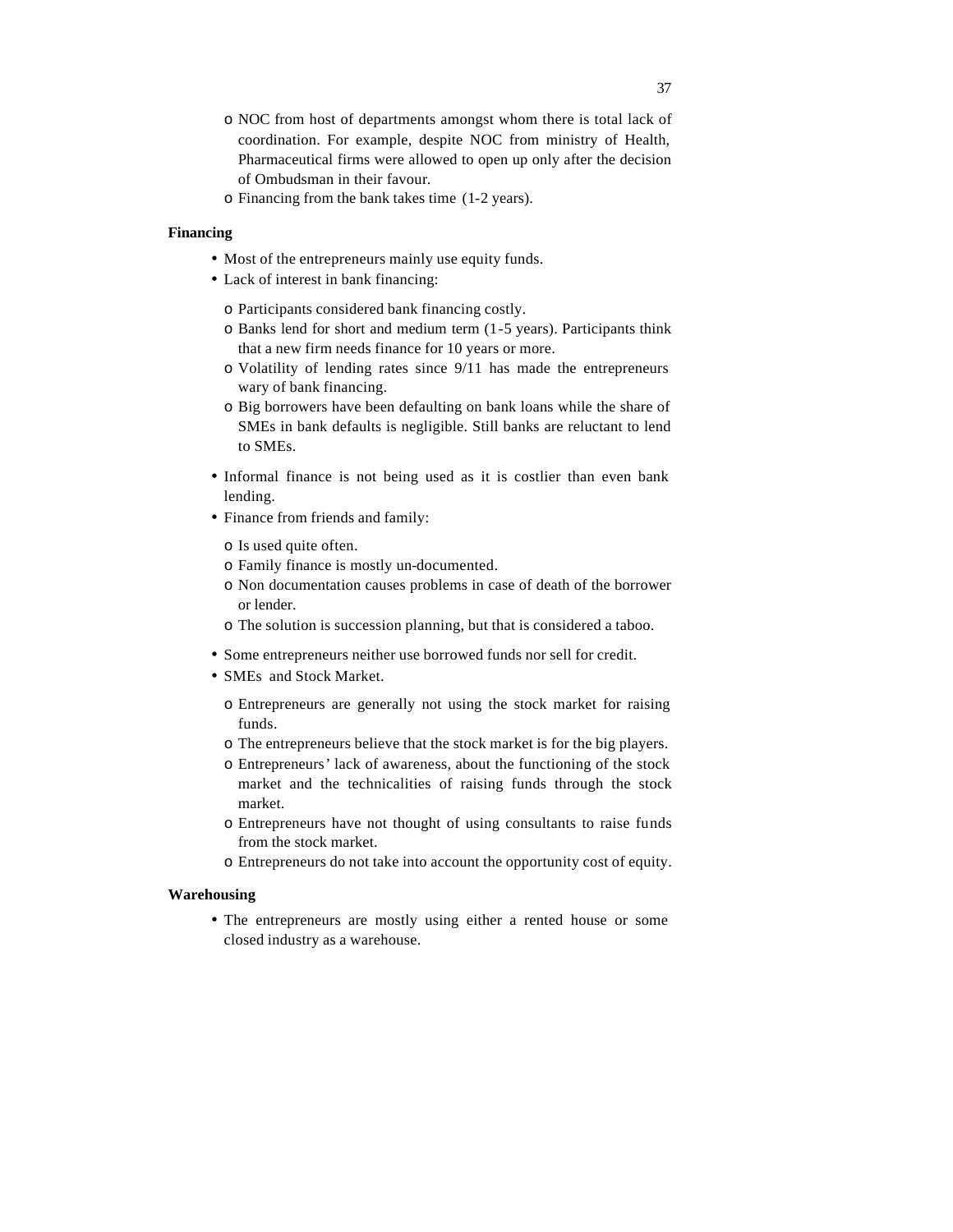- o NOC from host of departments amongst whom there is total lack of coordination. For example, despite NOC from ministry of Health, Pharmaceutical firms were allowed to open up only after the decision of Ombudsman in their favour.
- o Financing from the bank takes time (1-2 years).

# **Financing**

- Most of the entrepreneurs mainly use equity funds.
- Lack of interest in bank financing:
	- o Participants considered bank financing costly.
	- o Banks lend for short and medium term (1-5 years). Participants think that a new firm needs finance for 10 years or more.
	- o Volatility of lending rates since 9/11 has made the entrepreneurs wary of bank financing.
	- o Big borrowers have been defaulting on bank loans while the share of SMEs in bank defaults is negligible. Still banks are reluctant to lend to SMEs.
- Informal finance is not being used as it is costlier than even bank lending.
- Finance from friends and family:
	- o Is used quite often.
	- o Family finance is mostly un-documented.
	- o Non documentation causes problems in case of death of the borrower or lender.
	- o The solution is succession planning, but that is considered a taboo.
- Some entrepreneurs neither use borrowed funds nor sell for credit.
- SMEs and Stock Market.
	- o Entrepreneurs are generally not using the stock market for raising funds.
	- o The entrepreneurs believe that the stock market is for the big players.
	- o Entrepreneurs' lack of awareness, about the functioning of the stock market and the technicalities of raising funds through the stock market.
	- o Entrepreneurs have not thought of using consultants to raise funds from the stock market.
	- o Entrepreneurs do not take into account the opportunity cost of equity.

#### **Warehousing**

• The entrepreneurs are mostly using either a rented house or some closed industry as a warehouse.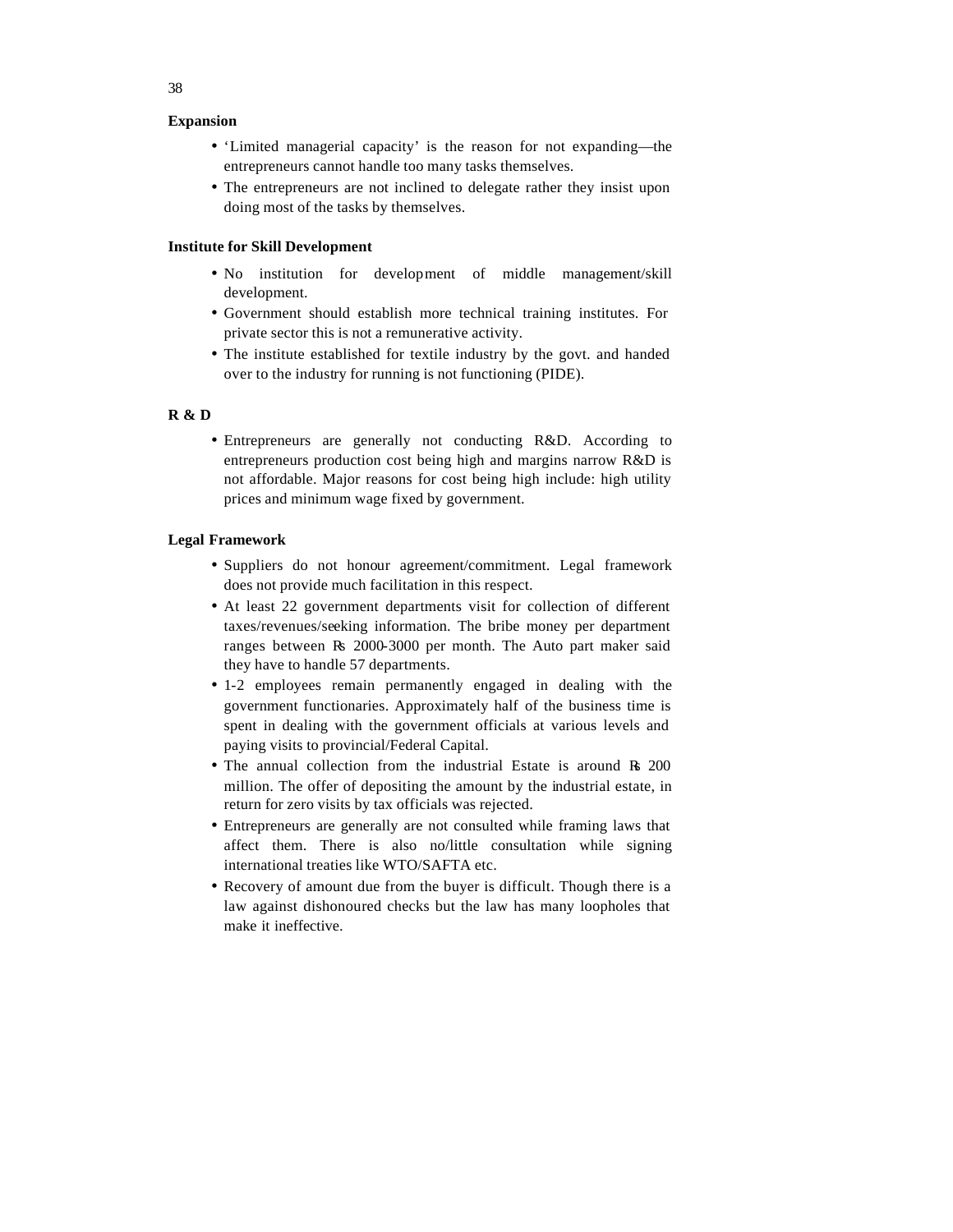# **Expansion**

- 'Limited managerial capacity' is the reason for not expanding—the entrepreneurs cannot handle too many tasks themselves.
- The entrepreneurs are not inclined to delegate rather they insist upon doing most of the tasks by themselves.

# **Institute for Skill Development**

- No institution for development of middle management/skill development.
- Government should establish more technical training institutes. For private sector this is not a remunerative activity.
- The institute established for textile industry by the govt. and handed over to the industry for running is not functioning (PIDE).

#### **R & D**

• Entrepreneurs are generally not conducting R&D. According to entrepreneurs production cost being high and margins narrow R&D is not affordable. Major reasons for cost being high include: high utility prices and minimum wage fixed by government.

# **Legal Framework**

- Suppliers do not honour agreement/commitment. Legal framework does not provide much facilitation in this respect.
- At least 22 government departments visit for collection of different taxes/revenues/seeking information. The bribe money per department ranges between Rs 2000-3000 per month. The Auto part maker said they have to handle 57 departments.
- 1-2 employees remain permanently engaged in dealing with the government functionaries. Approximately half of the business time is spent in dealing with the government officials at various levels and paying visits to provincial/Federal Capital.
- The annual collection from the industrial Estate is around Rs 200 million. The offer of depositing the amount by the industrial estate, in return for zero visits by tax officials was rejected.
- Entrepreneurs are generally are not consulted while framing laws that affect them. There is also no/little consultation while signing international treaties like WTO/SAFTA etc.
- Recovery of amount due from the buyer is difficult. Though there is a law against dishonoured checks but the law has many loopholes that make it ineffective.

38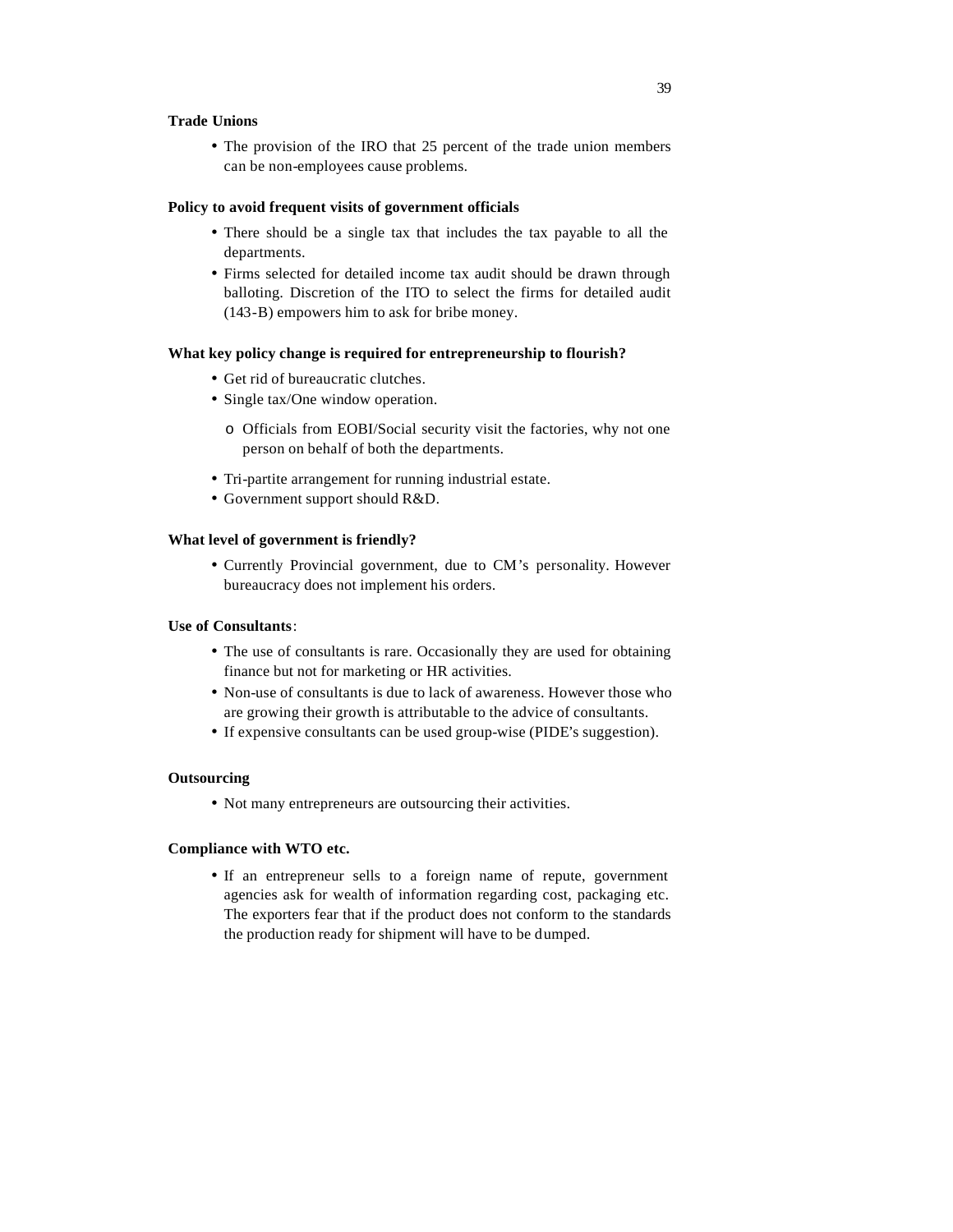# **Trade Unions**

• The provision of the IRO that 25 percent of the trade union members can be non-employees cause problems.

# **Policy to avoid frequent visits of government officials**

- There should be a single tax that includes the tax payable to all the departments.
- Firms selected for detailed income tax audit should be drawn through balloting. Discretion of the ITO to select the firms for detailed audit (143-B) empowers him to ask for bribe money.

#### **What key policy change is required for entrepreneurship to flourish?**

- Get rid of bureaucratic clutches.
- Single tax/One window operation.
	- o Officials from EOBI/Social security visit the factories, why not one person on behalf of both the departments.
- Tri-partite arrangement for running industrial estate.
- Government support should R&D.

# **What level of government is friendly?**

• Currently Provincial government, due to CM's personality. However bureaucracy does not implement his orders.

# **Use of Consultants**:

- The use of consultants is rare. Occasionally they are used for obtaining finance but not for marketing or HR activities.
- Non-use of consultants is due to lack of awareness. However those who are growing their growth is attributable to the advice of consultants.
- If expensive consultants can be used group-wise (PIDE's suggestion).

# **Outsourcing**

• Not many entrepreneurs are outsourcing their activities.

#### **Compliance with WTO etc.**

• If an entrepreneur sells to a foreign name of repute, government agencies ask for wealth of information regarding cost, packaging etc. The exporters fear that if the product does not conform to the standards the production ready for shipment will have to be dumped.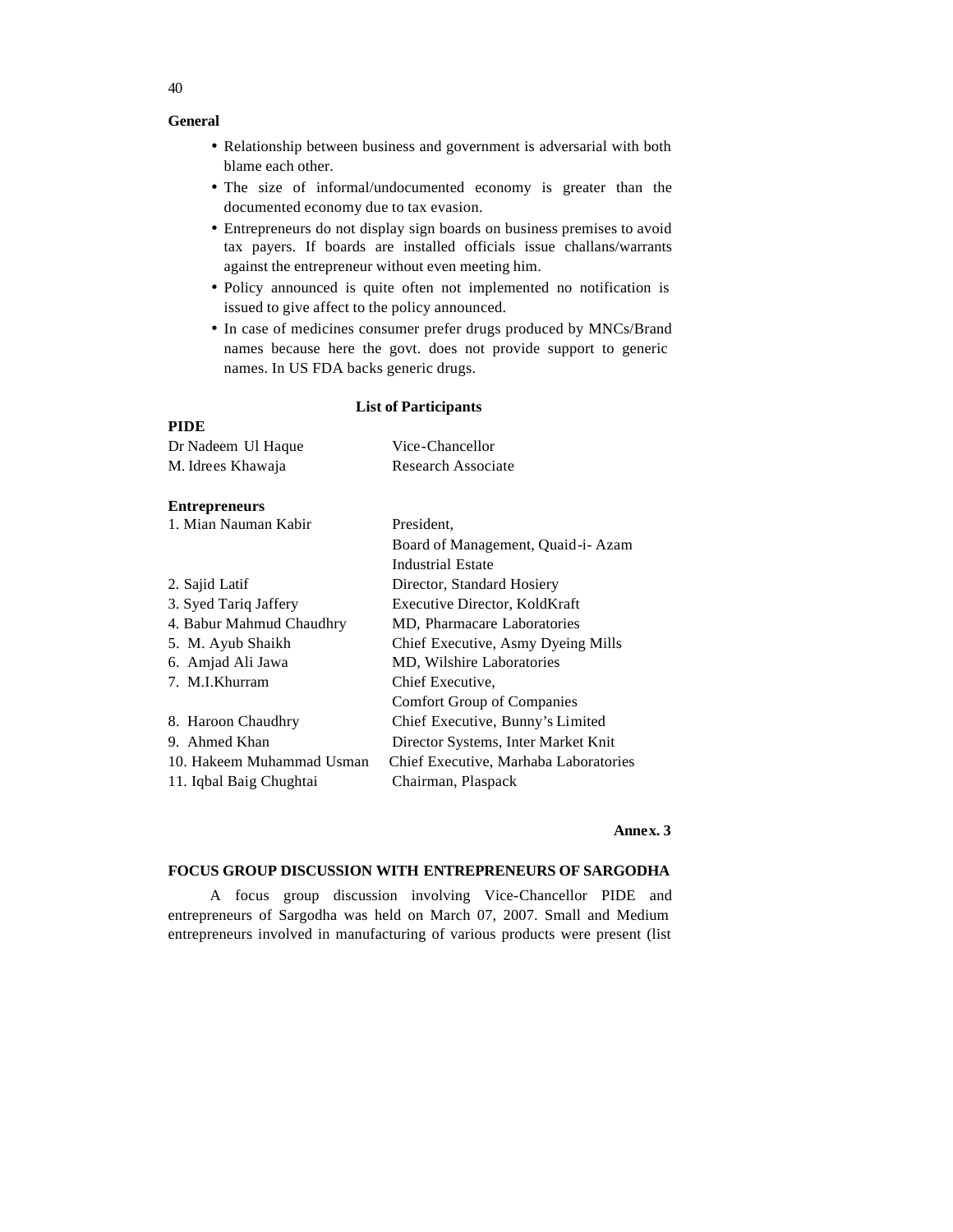# **General**

- Relationship between business and government is adversarial with both blame each other.
- The size of informal/undocumented economy is greater than the documented economy due to tax evasion.
- Entrepreneurs do not display sign boards on business premises to avoid tax payers. If boards are installed officials issue challans/warrants against the entrepreneur without even meeting him.
- Policy announced is quite often not implemented no notification is issued to give affect to the policy announced.
- In case of medicines consumer prefer drugs produced by MNCs/Brand names because here the govt. does not provide support to generic names. In US FDA backs generic drugs.

#### **List of Participants**

# **PIDE**

| Dr Nadeem Ul Haque        | Vice-Chancellor                       |
|---------------------------|---------------------------------------|
| M. Idrees Khawaja         | <b>Research Associate</b>             |
|                           |                                       |
| <b>Entrepreneurs</b>      |                                       |
| 1. Mian Nauman Kabir      | President,                            |
|                           | Board of Management, Quaid-i-Azam     |
|                           | Industrial Estate                     |
| 2. Sajid Latif            | Director, Standard Hosiery            |
| 3. Syed Tariq Jaffery     | Executive Director, KoldKraft         |
| 4. Babur Mahmud Chaudhry  | MD, Pharmacare Laboratories           |
| 5. M. Ayub Shaikh         | Chief Executive, Asmy Dyeing Mills    |
| 6. Amjad Ali Jawa         | MD, Wilshire Laboratories             |
| 7. M.I.Khurram            | Chief Executive.                      |
|                           | <b>Comfort Group of Companies</b>     |
| 8. Haroon Chaudhry        | Chief Executive, Bunny's Limited      |
| 9. Ahmed Khan             | Director Systems, Inter Market Knit   |
| 10. Hakeem Muhammad Usman | Chief Executive, Marhaba Laboratories |
| 11. Iqbal Baig Chughtai   | Chairman, Plaspack                    |

# **Annex. 3**

# **FOCUS GROUP DISCUSSION WITH ENTREPRENEURS OF SARGODHA**

A focus group discussion involving Vice-Chancellor PIDE and entrepreneurs of Sargodha was held on March 07, 2007. Small and Medium entrepreneurs involved in manufacturing of various products were present (list

40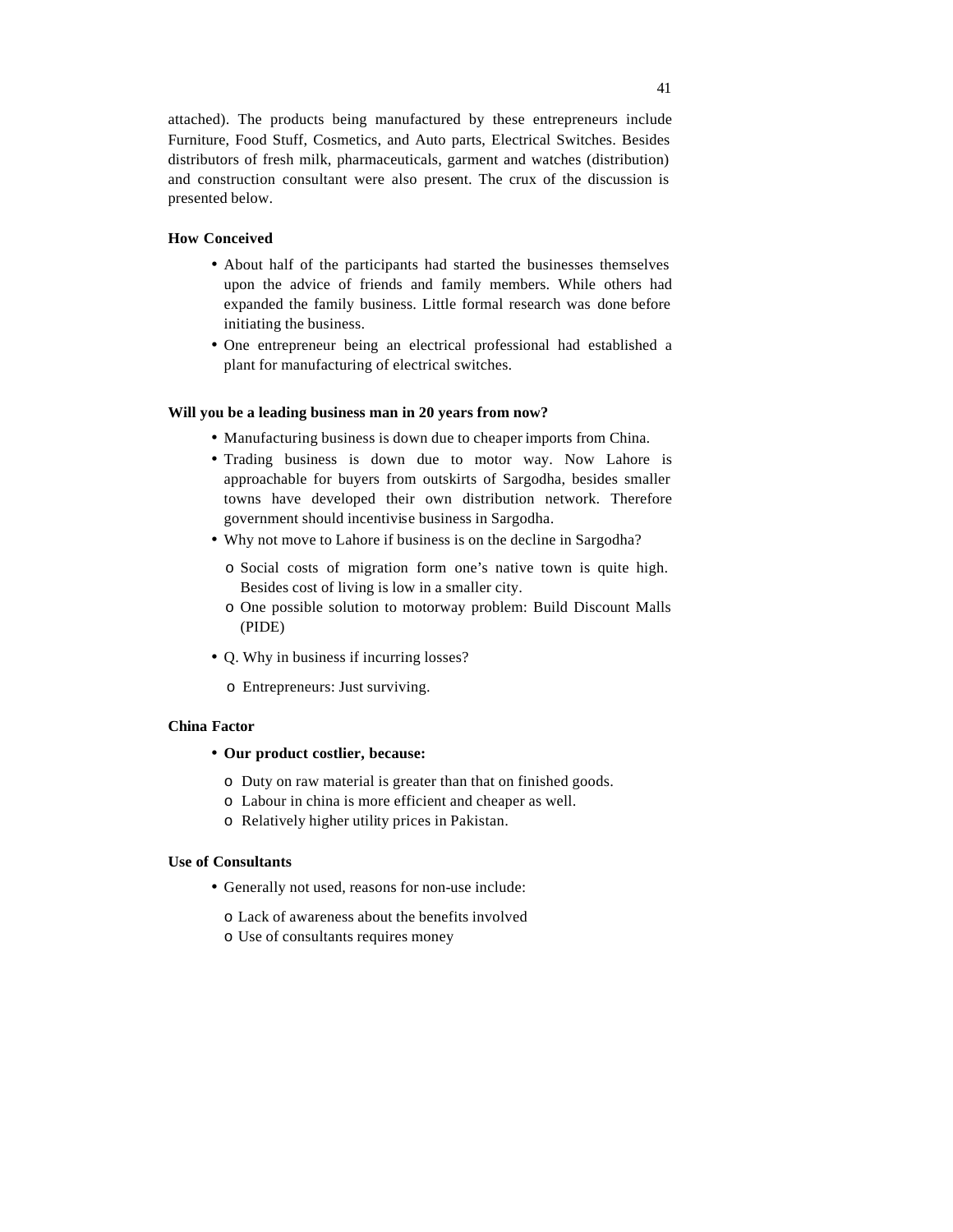attached). The products being manufactured by these entrepreneurs include Furniture, Food Stuff, Cosmetics, and Auto parts, Electrical Switches. Besides distributors of fresh milk, pharmaceuticals, garment and watches (distribution) and construction consultant were also present. The crux of the discussion is presented below.

# **How Conceived**

- About half of the participants had started the businesses themselves upon the advice of friends and family members. While others had expanded the family business. Little formal research was done before initiating the business.
- One entrepreneur being an electrical professional had established a plant for manufacturing of electrical switches.

## **Will you be a leading business man in 20 years from now?**

- Manufacturing business is down due to cheaper imports from China.
- Trading business is down due to motor way. Now Lahore is approachable for buyers from outskirts of Sargodha, besides smaller towns have developed their own distribution network. Therefore government should incentivise business in Sargodha.
- Why not move to Lahore if business is on the decline in Sargodha?
	- o Social costs of migration form one's native town is quite high. Besides cost of living is low in a smaller city.
	- o One possible solution to motorway problem: Build Discount Malls (PIDE)
- Q. Why in business if incurring losses?
	- o Entrepreneurs: Just surviving.

#### **China Factor**

- **Our product costlier, because:**
	- o Duty on raw material is greater than that on finished goods.
	- o Labour in china is more efficient and cheaper as well.
	- o Relatively higher utility prices in Pakistan.

### **Use of Consultants**

- Generally not used, reasons for non-use include:
	- o Lack of awareness about the benefits involved
	- o Use of consultants requires money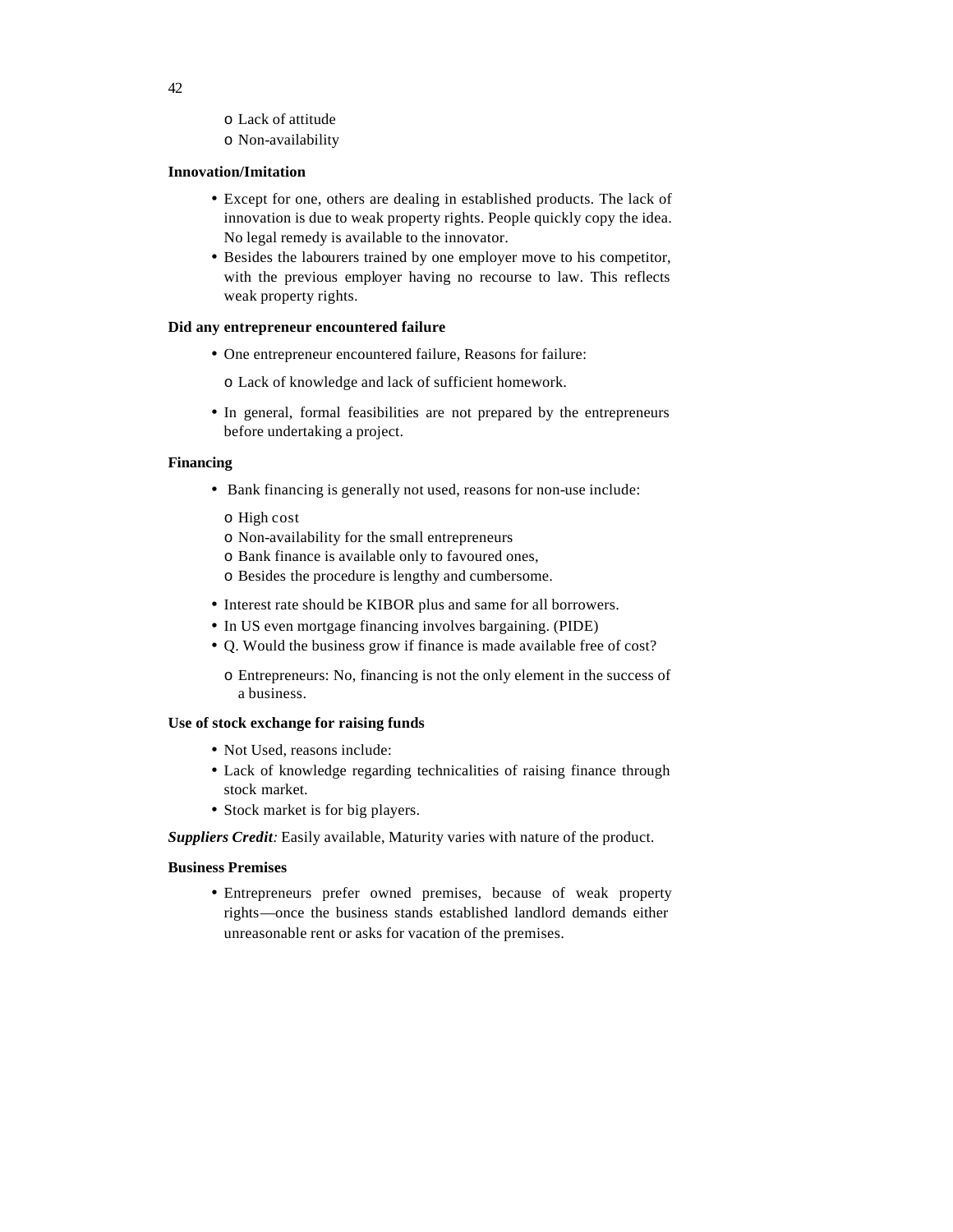- o Lack of attitude
- o Non-availability

# **Innovation/Imitation**

- Except for one, others are dealing in established products. The lack of innovation is due to weak property rights. People quickly copy the idea. No legal remedy is available to the innovator.
- Besides the labourers trained by one employer move to his competitor, with the previous employer having no recourse to law. This reflects weak property rights.

# **Did any entrepreneur encountered failure**

• One entrepreneur encountered failure, Reasons for failure:

o Lack of knowledge and lack of sufficient homework.

• In general, formal feasibilities are not prepared by the entrepreneurs before undertaking a project.

# **Financing**

- Bank financing is generally not used, reasons for non-use include:
	- o High cost
	- o Non-availability for the small entrepreneurs
	- o Bank finance is available only to favoured ones,
	- o Besides the procedure is lengthy and cumbersome.
- Interest rate should be KIBOR plus and same for all borrowers.
- In US even mortgage financing involves bargaining. (PIDE)
- Q. Would the business grow if finance is made available free of cost?
	- o Entrepreneurs: No, financing is not the only element in the success of a business.

# **Use of stock exchange for raising funds**

- Not Used, reasons include:
- Lack of knowledge regarding technicalities of raising finance through stock market.
- Stock market is for big players.

*Suppliers Credit:* Easily available, Maturity varies with nature of the product.

# **Business Premises**

• Entrepreneurs prefer owned premises, because of weak property rights—once the business stands established landlord demands either unreasonable rent or asks for vacation of the premises.

42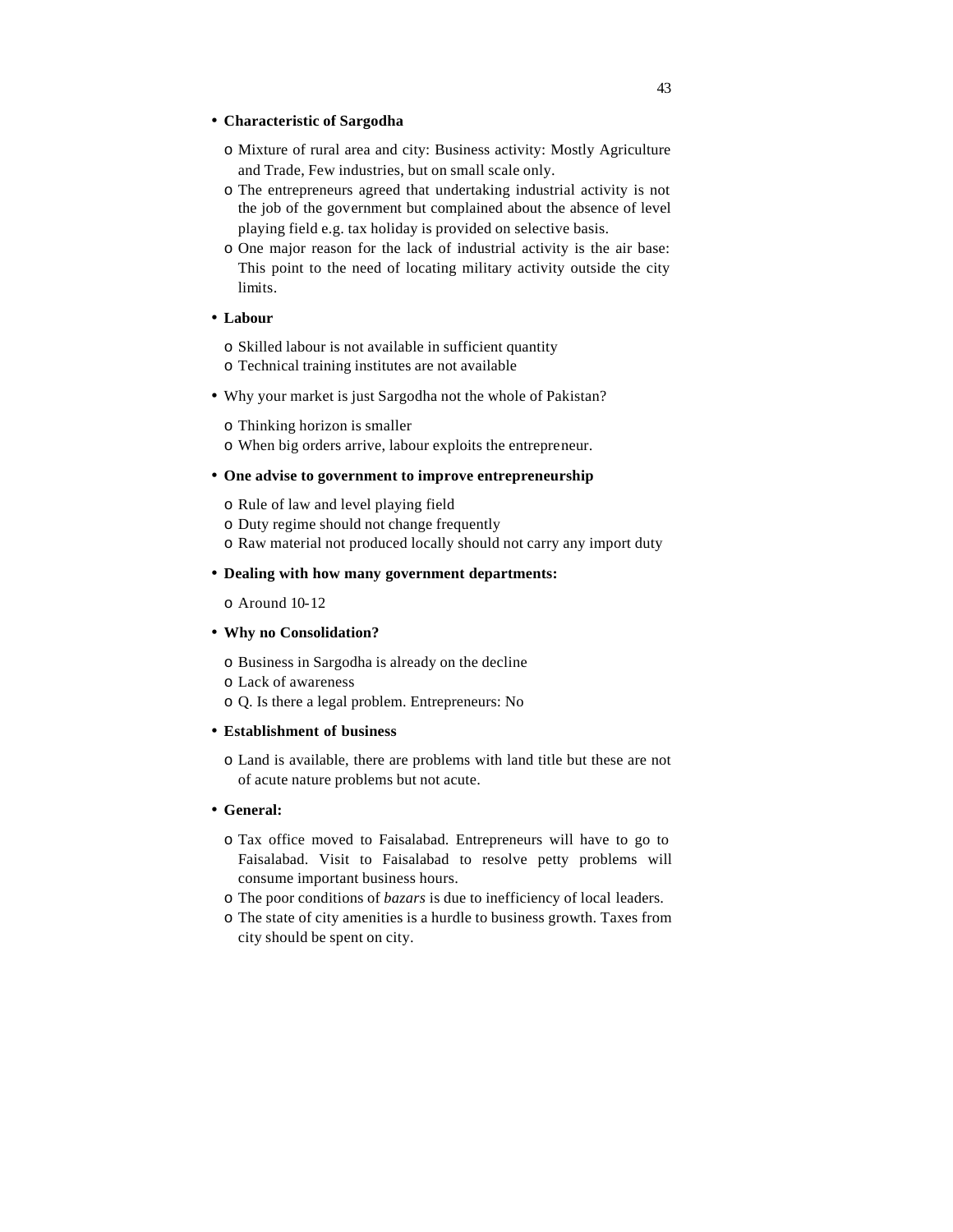#### • **Characteristic of Sargodha**

- o Mixture of rural area and city: Business activity: Mostly Agriculture and Trade, Few industries, but on small scale only.
- o The entrepreneurs agreed that undertaking industrial activity is not the job of the government but complained about the absence of level playing field e.g. tax holiday is provided on selective basis.
- o One major reason for the lack of industrial activity is the air base: This point to the need of locating military activity outside the city limits.

# • **Labour**

o Skilled labour is not available in sufficient quantity o Technical training institutes are not available

• Why your market is just Sargodha not the whole of Pakistan?

o Thinking horizon is smaller

o When big orders arrive, labour exploits the entrepreneur.

# • **One advise to government to improve entrepreneurship**

- o Rule of law and level playing field
- o Duty regime should not change frequently
- o Raw material not produced locally should not carry any import duty

# • **Dealing with how many government departments:**

o Around 10-12

# • **Why no Consolidation?**

o Business in Sargodha is already on the decline

- o Lack of awareness
- o Q. Is there a legal problem. Entrepreneurs: No

# • **Establishment of business**

o Land is available, there are problems with land title but these are not of acute nature problems but not acute.

# • **General:**

- o Tax office moved to Faisalabad. Entrepreneurs will have to go to Faisalabad. Visit to Faisalabad to resolve petty problems will consume important business hours.
- o The poor conditions of *bazars* is due to inefficiency of local leaders.
- o The state of city amenities is a hurdle to business growth. Taxes from city should be spent on city.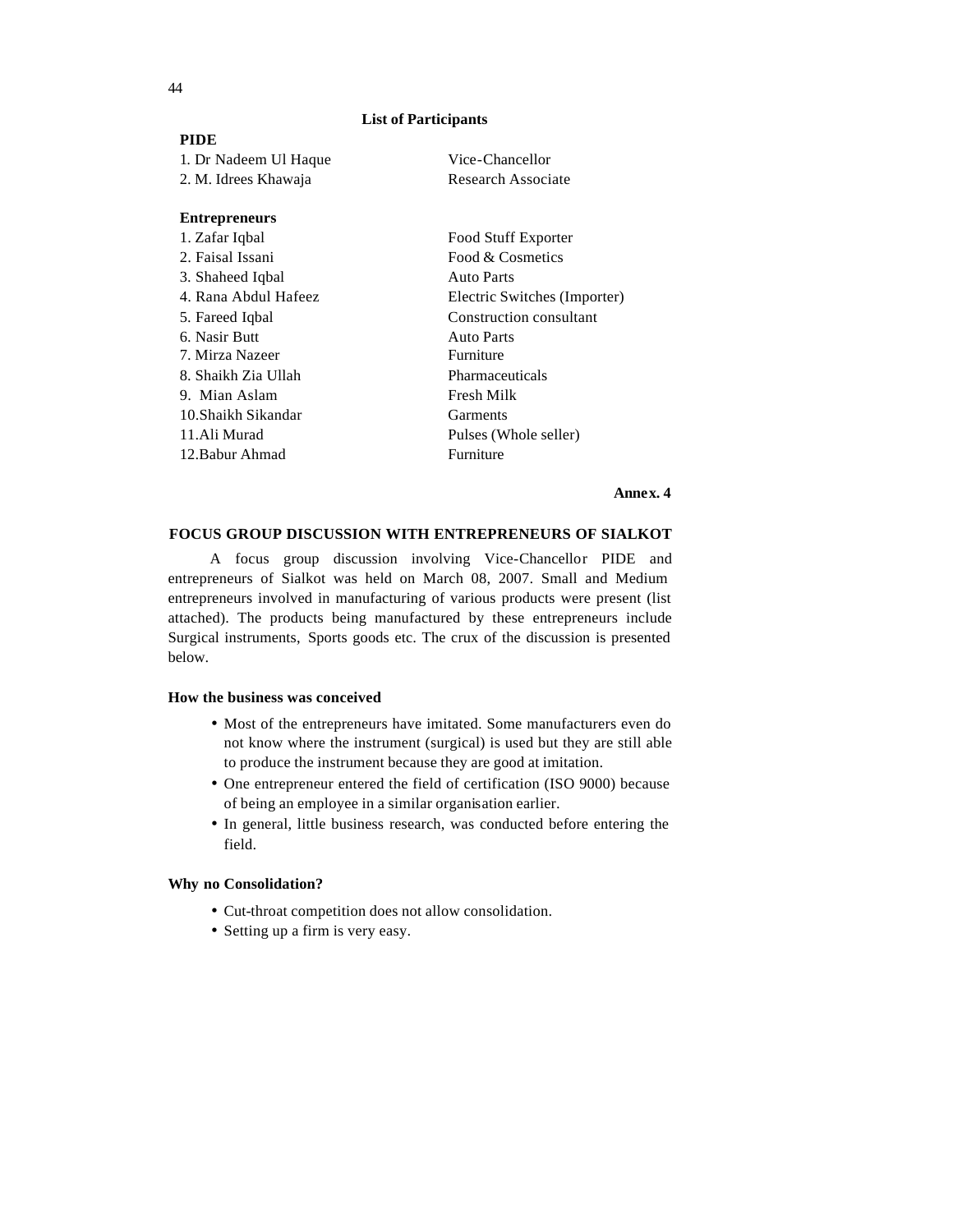# **List of Participants**

| <b>PIDE</b>           |                              |  |
|-----------------------|------------------------------|--|
| 1. Dr Nadeem Ul Haque | Vice-Chancellor              |  |
| 2. M. Idrees Khawaja  | Research Associate           |  |
| <b>Entrepreneurs</b>  |                              |  |
| 1. Zafar Iqbal        | Food Stuff Exporter          |  |
| 2. Faisal Issani      | Food & Cosmetics             |  |
| 3. Shaheed Iqbal      | <b>Auto Parts</b>            |  |
| 4. Rana Abdul Hafeez  | Electric Switches (Importer) |  |
| 5. Fareed Iqbal       | Construction consultant      |  |
| 6. Nasir Butt         | <b>Auto Parts</b>            |  |
| 7. Mirza Nazeer       | Furniture                    |  |
| 8. Shaikh Zia Ullah   | Pharmaceuticals              |  |
| 9. Mian Aslam         | Fresh Milk                   |  |
| 10. Shaikh Sikandar   | Garments                     |  |
| 11.Ali Murad          | Pulses (Whole seller)        |  |
| 12. Babur Ahmad       | Furniture                    |  |

#### **Annex. 4**

# **FOCUS GROUP DISCUSSION WITH ENTREPRENEURS OF SIALKOT**

A focus group discussion involving Vice-Chancellor PIDE and entrepreneurs of Sialkot was held on March 08, 2007. Small and Medium entrepreneurs involved in manufacturing of various products were present (list attached). The products being manufactured by these entrepreneurs include Surgical instruments, Sports goods etc. The crux of the discussion is presented below.

#### **How the business was conceived**

- Most of the entrepreneurs have imitated. Some manufacturers even do not know where the instrument (surgical) is used but they are still able to produce the instrument because they are good at imitation.
- One entrepreneur entered the field of certification (ISO 9000) because of being an employee in a similar organisation earlier.
- In general, little business research, was conducted before entering the field.

## **Why no Consolidation?**

- Cut-throat competition does not allow consolidation.
- Setting up a firm is very easy.

44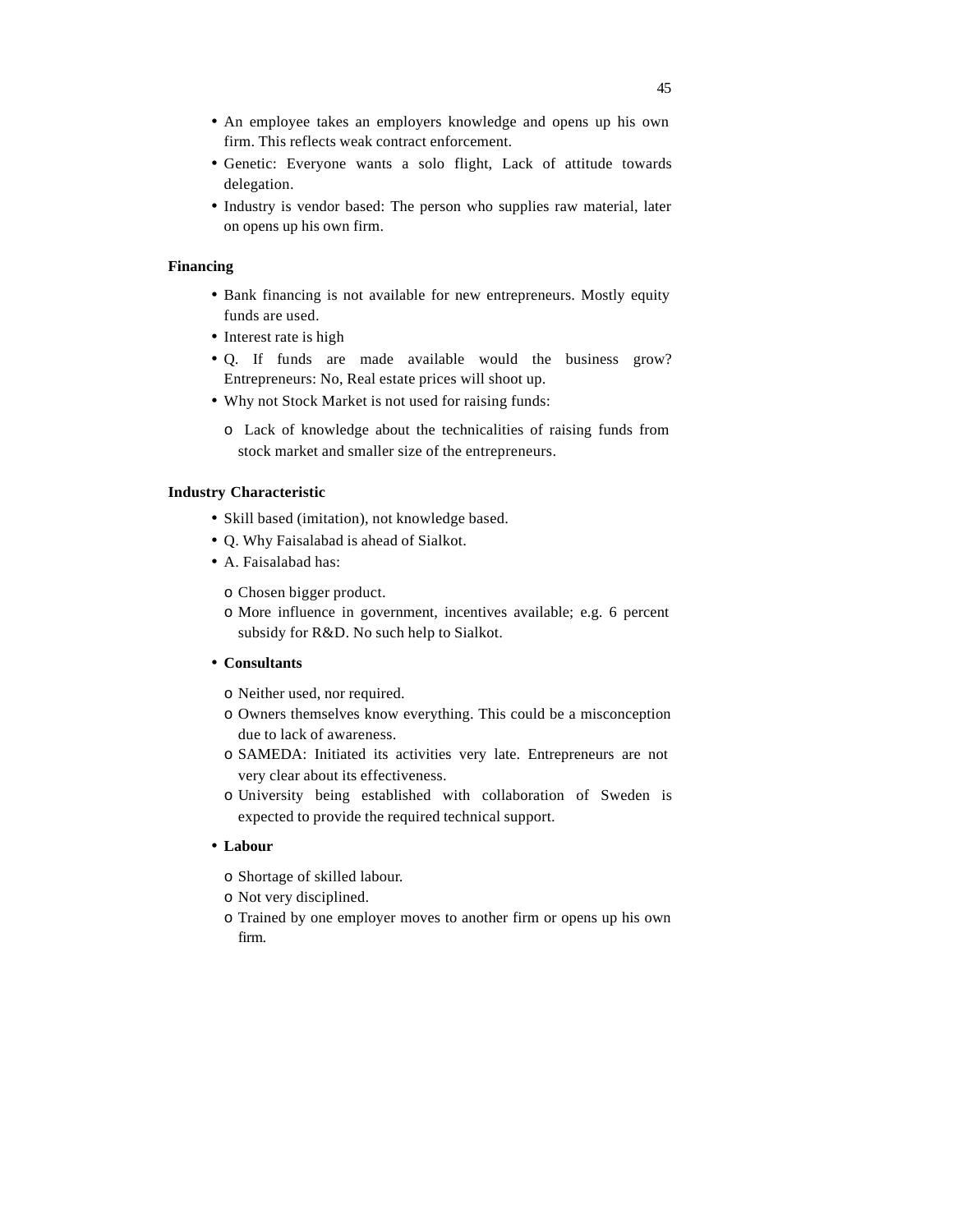- An employee takes an employers knowledge and opens up his own firm. This reflects weak contract enforcement.
- Genetic: Everyone wants a solo flight, Lack of attitude towards delegation.
- Industry is vendor based: The person who supplies raw material, later on opens up his own firm.

#### **Financing**

- Bank financing is not available for new entrepreneurs. Mostly equity funds are used.
- Interest rate is high
- Q. If funds are made available would the business grow? Entrepreneurs: No, Real estate prices will shoot up.
- Why not Stock Market is not used for raising funds:
	- o Lack of knowledge about the technicalities of raising funds from stock market and smaller size of the entrepreneurs.

#### **Industry Characteristic**

- Skill based (imitation), not knowledge based.
- Q. Why Faisalabad is ahead of Sialkot.
- A. Faisalabad has:
	- o Chosen bigger product.
	- o More influence in government, incentives available; e.g. 6 percent subsidy for R&D. No such help to Sialkot.

# • **Consultants**

- o Neither used, nor required.
- o Owners themselves know everything. This could be a misconception due to lack of awareness.
- o SAMEDA: Initiated its activities very late. Entrepreneurs are not very clear about its effectiveness.
- o University being established with collaboration of Sweden is expected to provide the required technical support.

# • **Labour**

- o Shortage of skilled labour.
- o Not very disciplined.
- o Trained by one employer moves to another firm or opens up his own firm.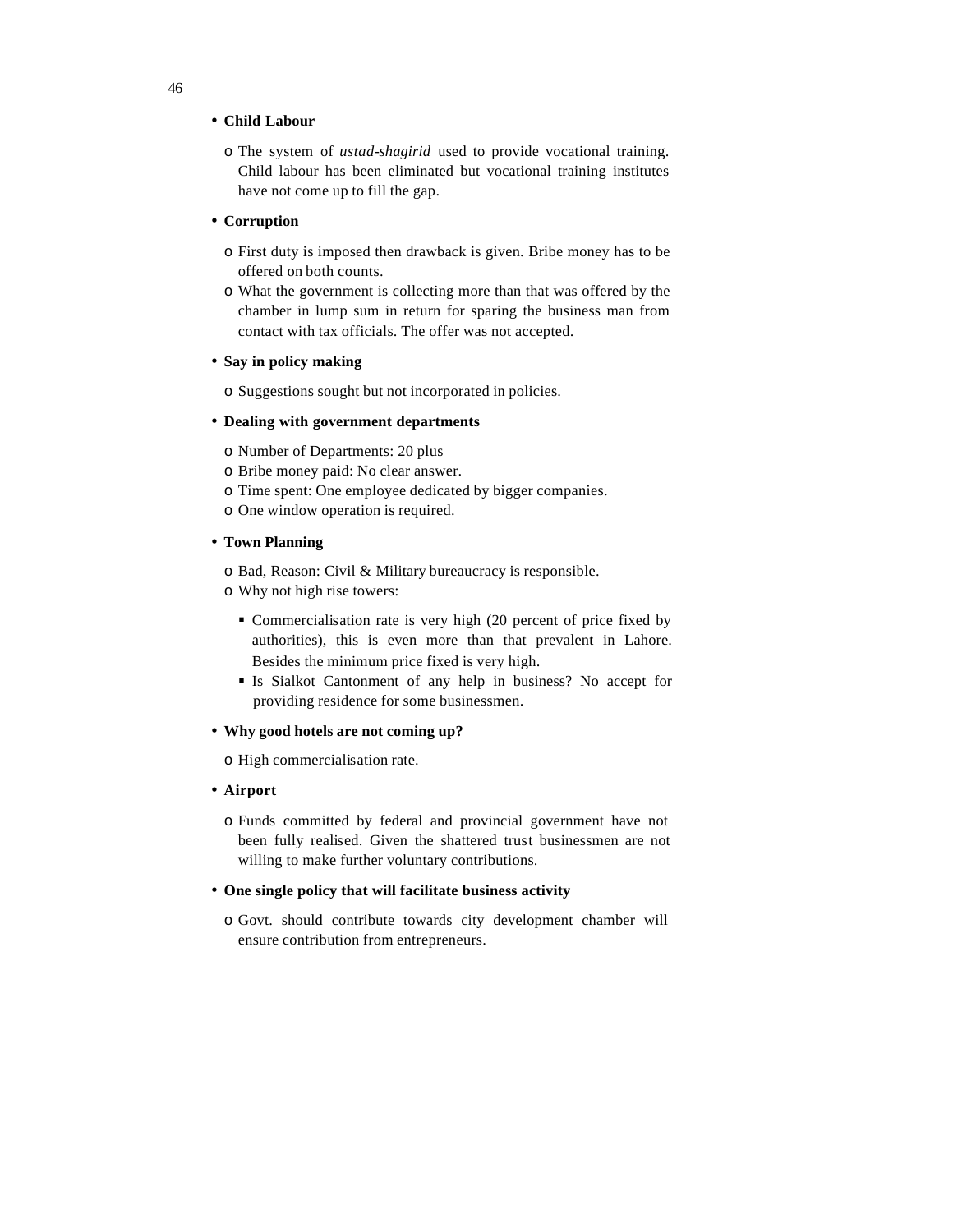# • **Child Labour**

o The system of *ustad-shagirid* used to provide vocational training. Child labour has been eliminated but vocational training institutes have not come up to fill the gap.

#### • **Corruption**

- o First duty is imposed then drawback is given. Bribe money has to be offered on both counts.
- o What the government is collecting more than that was offered by the chamber in lump sum in return for sparing the business man from contact with tax officials. The offer was not accepted.

#### • **Say in policy making**

o Suggestions sought but not incorporated in policies.

## • **Dealing with government departments**

o Number of Departments: 20 plus

- o Bribe money paid: No clear answer.
- o Time spent: One employee dedicated by bigger companies.
- o One window operation is required.

# • **Town Planning**

o Bad, Reason: Civil & Military bureaucracy is responsible.

- o Why not high rise towers:
	- Commercialisation rate is very high (20 percent of price fixed by authorities), this is even more than that prevalent in Lahore. Besides the minimum price fixed is very high.
	- ß Is Sialkot Cantonment of any help in business? No accept for providing residence for some businessmen.
- **Why good hotels are not coming up?**

o High commercialisation rate.

- **Airport**
	- o Funds committed by federal and provincial government have not been fully realised. Given the shattered trust businessmen are not willing to make further voluntary contributions.

# • **One single policy that will facilitate business activity**

o Govt. should contribute towards city development chamber will ensure contribution from entrepreneurs.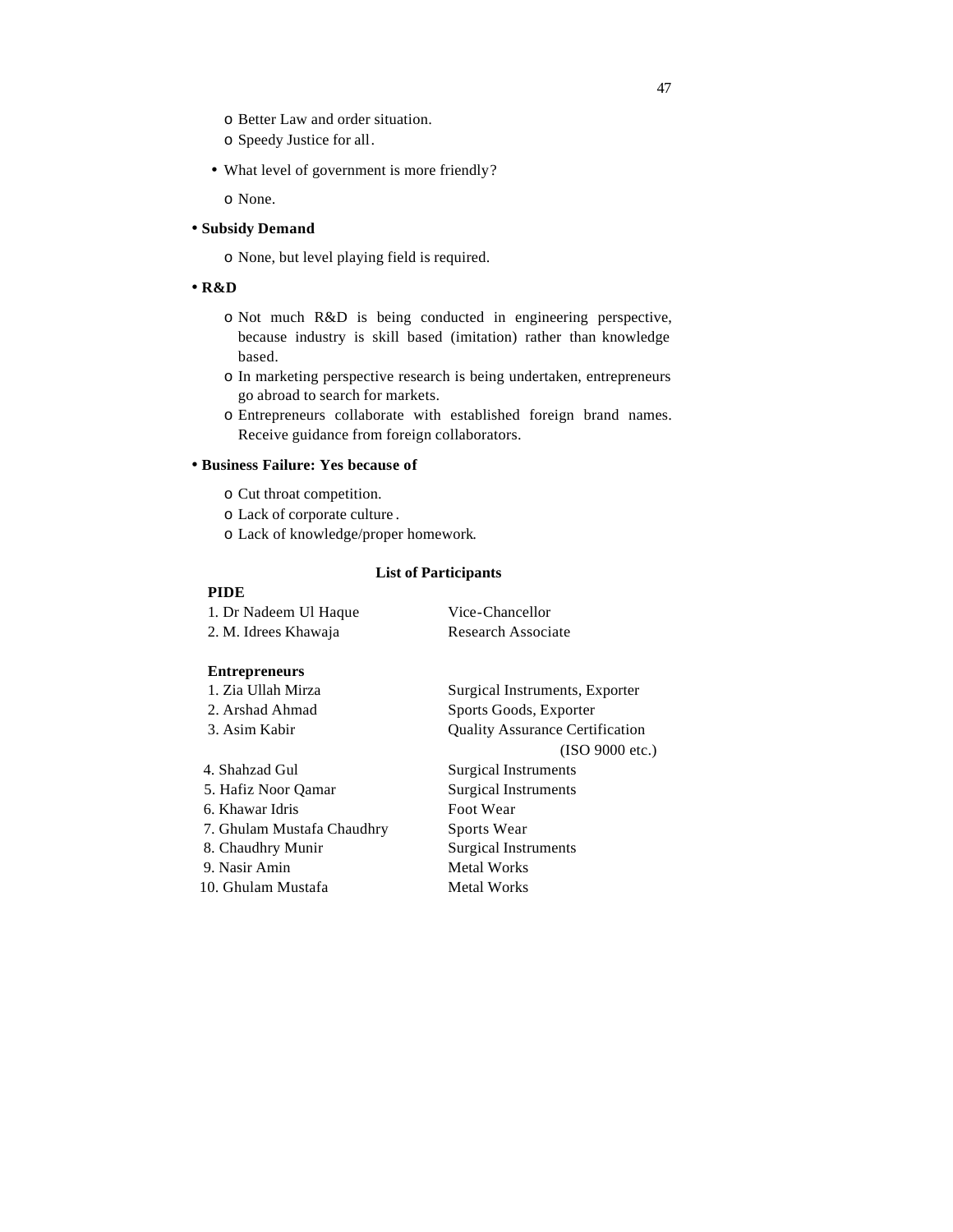- o Better Law and order situation.
- o Speedy Justice for all.
- What level of government is more friendly?

o None.

# • **Subsidy Demand**

o None, but level playing field is required.

# • **R&D**

- o Not much R&D is being conducted in engineering perspective, because industry is skill based (imitation) rather than knowledge based.
- o In marketing perspective research is being undertaken, entrepreneurs go abroad to search for markets.
- o Entrepreneurs collaborate with established foreign brand names. Receive guidance from foreign collaborators.

# • **Business Failure: Yes because of**

- o Cut throat competition.
- o Lack of corporate culture .
- o Lack of knowledge/proper homework.

# **List of Participants**

# **PIDE**

# 1. Dr Nadeem Ul Haque Vice-Chancellor 2. M. Idrees Khawaja Research Associate

## **Entrepreneurs**

| 1. Zia Ullah Mirza         | Surgical Instruments, Exporter         |
|----------------------------|----------------------------------------|
| 2. Arshad Ahmad            | Sports Goods, Exporter                 |
| 3. Asim Kabir              | <b>Quality Assurance Certification</b> |
|                            | (ISO 9000 etc.)                        |
| 4. Shahzad Gul             | Surgical Instruments                   |
| 5. Hafiz Noor Qamar        | <b>Surgical Instruments</b>            |
| 6. Khawar Idris            | Foot Wear                              |
| 7. Ghulam Mustafa Chaudhry | Sports Wear                            |
| 8. Chaudhry Munir          | Surgical Instruments                   |
| 9. Nasir Amin              | <b>Metal Works</b>                     |
| 10. Ghulam Mustafa         | Metal Works                            |
|                            |                                        |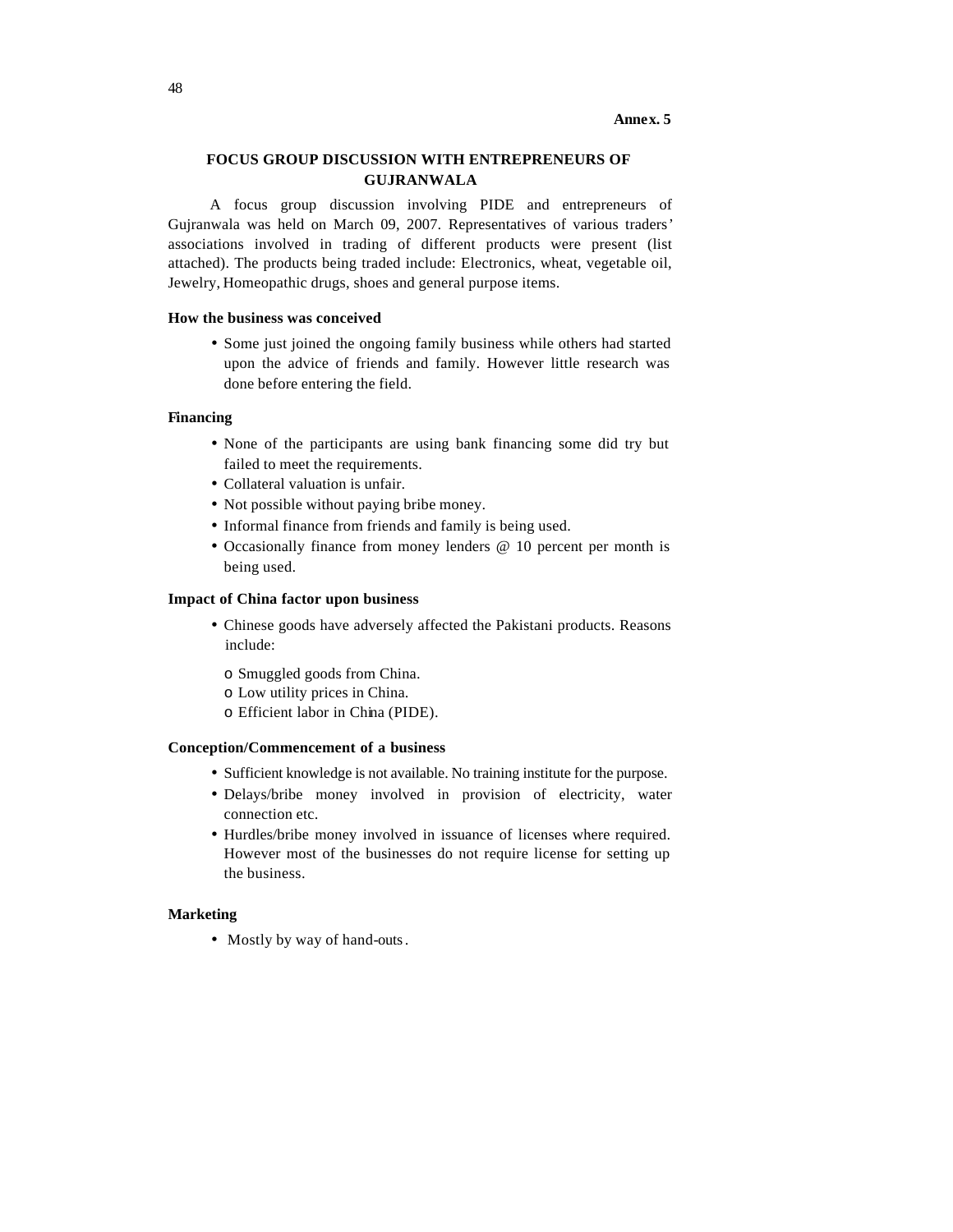#### **Annex. 5**

# **FOCUS GROUP DISCUSSION WITH ENTREPRENEURS OF GUJRANWALA**

A focus group discussion involving PIDE and entrepreneurs of Gujranwala was held on March 09, 2007. Representatives of various traders' associations involved in trading of different products were present (list attached). The products being traded include: Electronics, wheat, vegetable oil, Jewelry, Homeopathic drugs, shoes and general purpose items.

# **How the business was conceived**

• Some just joined the ongoing family business while others had started upon the advice of friends and family. However little research was done before entering the field.

#### **Financing**

- None of the participants are using bank financing some did try but failed to meet the requirements.
- Collateral valuation is unfair.
- Not possible without paying bribe money.
- Informal finance from friends and family is being used.
- Occasionally finance from money lenders @ 10 percent per month is being used.

#### **Impact of China factor upon business**

- Chinese goods have adversely affected the Pakistani products. Reasons include:
	- o Smuggled goods from China.
	- o Low utility prices in China.
	- o Efficient labor in China (PIDE).

## **Conception/Commencement of a business**

- Sufficient knowledge is not available. No training institute for the purpose.
- Delays/bribe money involved in provision of electricity, water connection etc.
- Hurdles/bribe money involved in issuance of licenses where required. However most of the businesses do not require license for setting up the business.

# **Marketing**

• Mostly by way of hand-outs.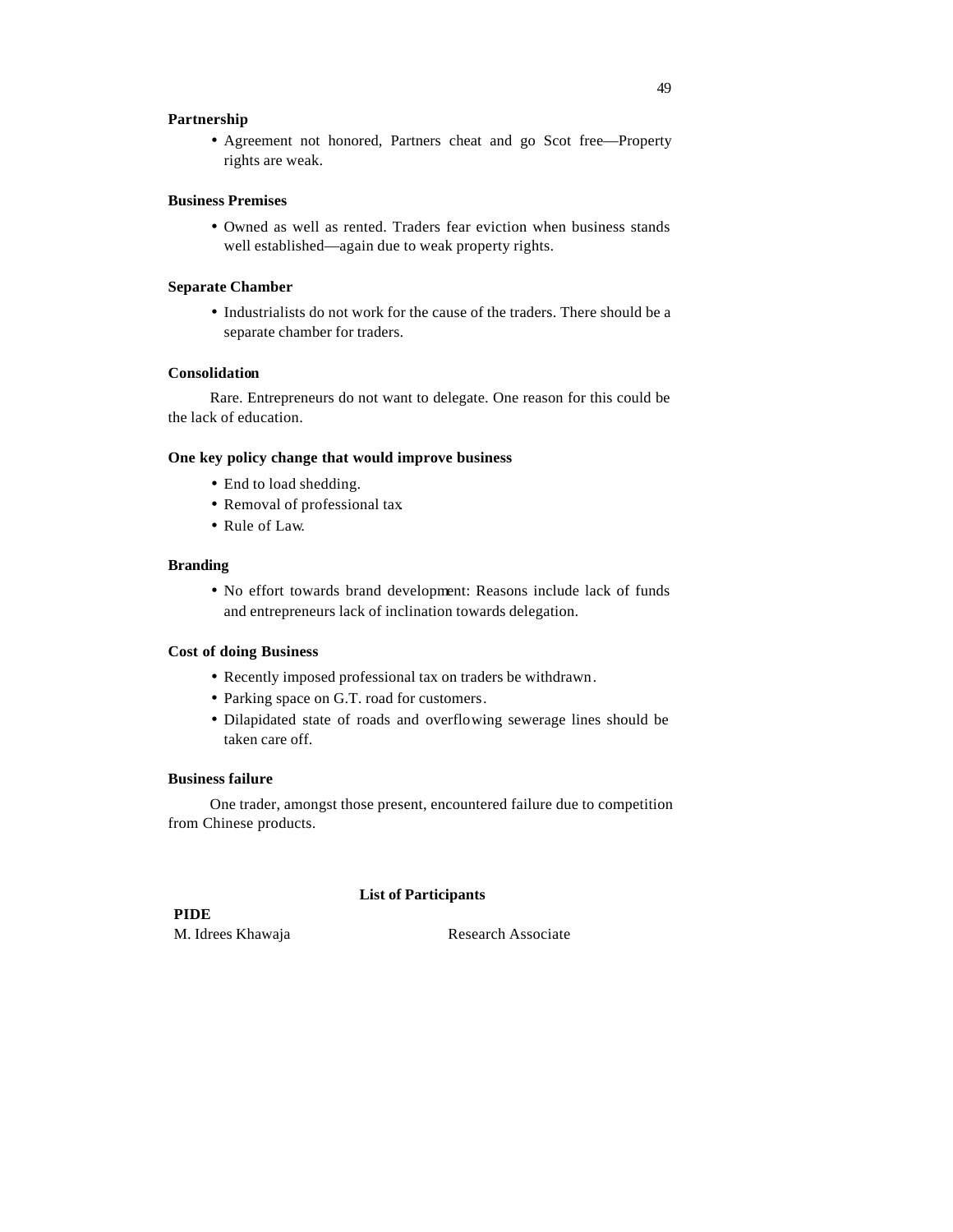# **Partnership**

• Agreement not honored, Partners cheat and go Scot free—Property rights are weak.

#### **Business Premises**

• Owned as well as rented. Traders fear eviction when business stands well established—again due to weak property rights.

## **Separate Chamber**

• Industrialists do not work for the cause of the traders. There should be a separate chamber for traders.

# **Consolidation**

Rare. Entrepreneurs do not want to delegate. One reason for this could be the lack of education.

# **One key policy change that would improve business**

- End to load shedding.
- Removal of professional tax.
- Rule of Law.

#### **Branding**

• No effort towards brand development: Reasons include lack of funds and entrepreneurs lack of inclination towards delegation.

# **Cost of doing Business**

- Recently imposed professional tax on traders be withdrawn.
- Parking space on G.T. road for customers.
- Dilapidated state of roads and overflowing sewerage lines should be taken care off.

# **Business failure**

One trader, amongst those present, encountered failure due to competition from Chinese products.

#### **List of Participants**

**PIDE** M. Idrees Khawaja Research Associate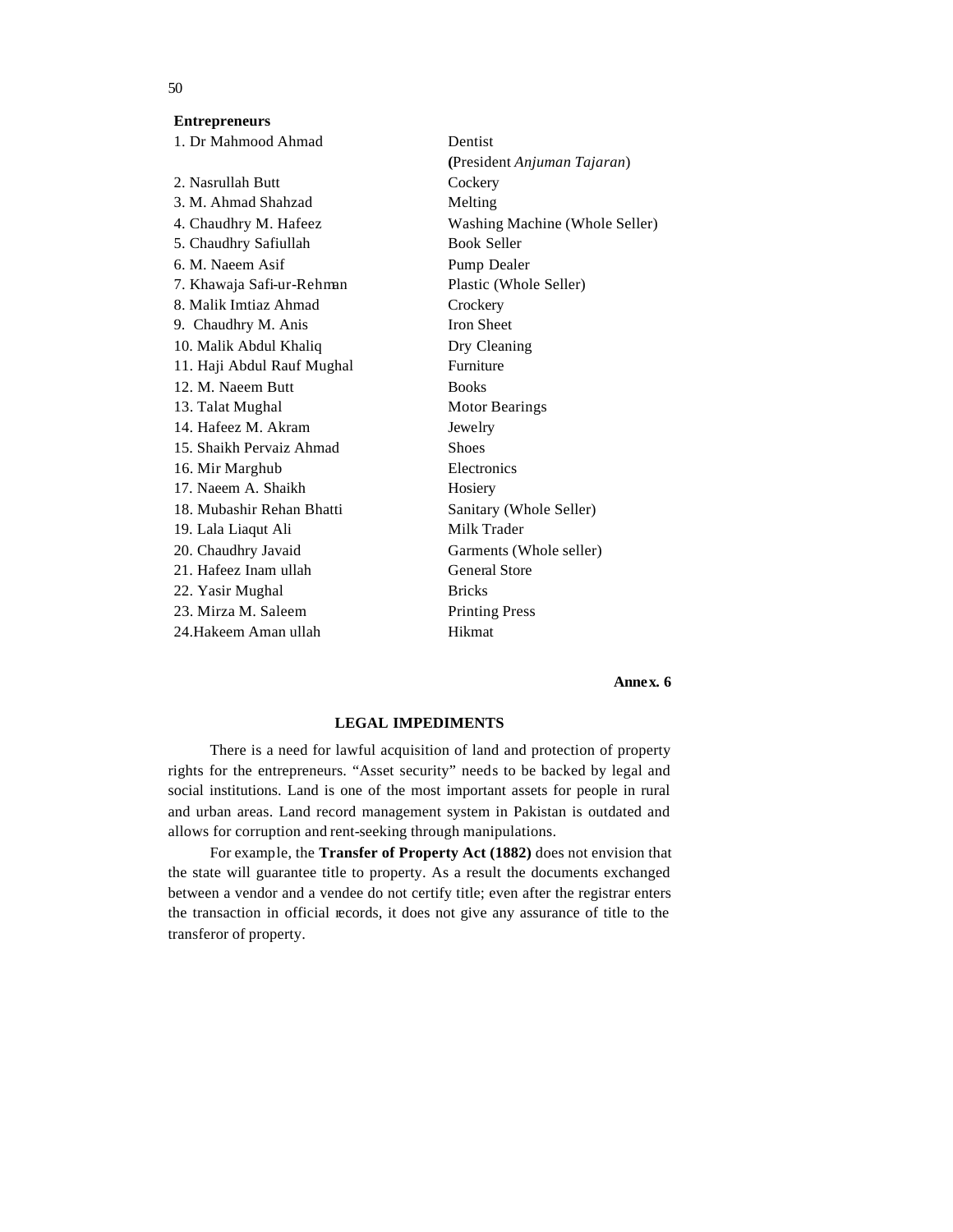# **Entrepreneurs**

| 1. Dr Mahmood Ahmad        | Dentist                        |
|----------------------------|--------------------------------|
|                            | (President Anjuman Tajaran)    |
| 2. Nasrullah Butt          | Cockery                        |
| 3. M. Ahmad Shahzad        | Melting                        |
| 4. Chaudhry M. Hafeez      | Washing Machine (Whole Seller) |
| 5. Chaudhry Safiullah      | <b>Book Seller</b>             |
| 6. M. Naeem Asif           | Pump Dealer                    |
| 7. Khawaja Safi-ur-Rehman  | Plastic (Whole Seller)         |
| 8. Malik Imtiaz Ahmad      | Crockery                       |
| 9. Chaudhry M. Anis        | <b>Iron Sheet</b>              |
| 10. Malik Abdul Khaliq     | Dry Cleaning                   |
| 11. Haji Abdul Rauf Mughal | Furniture                      |
| 12. M. Naeem Butt          | <b>Books</b>                   |
| 13. Talat Mughal           | <b>Motor Bearings</b>          |
| 14. Hafeez M. Akram        | Jewelry                        |
| 15. Shaikh Pervaiz Ahmad   | <b>Shoes</b>                   |
| 16. Mir Marghub            | Electronics                    |
| 17. Naeem A. Shaikh        | Hosiery                        |
| 18. Mubashir Rehan Bhatti  | Sanitary (Whole Seller)        |
| 19. Lala Liaqut Ali        | Milk Trader                    |
| 20. Chaudhry Javaid        | Garments (Whole seller)        |
| 21. Hafeez Inam ullah      | <b>General Store</b>           |
| 22. Yasir Mughal           | <b>Bricks</b>                  |
| 23. Mirza M. Saleem        | <b>Printing Press</b>          |
| 24.Hakeem Aman ullah       | Hikmat                         |
|                            |                                |

#### **Annex. 6**

# **LEGAL IMPEDIMENTS**

There is a need for lawful acquisition of land and protection of property rights for the entrepreneurs. "Asset security" needs to be backed by legal and social institutions. Land is one of the most important assets for people in rural and urban areas. Land record management system in Pakistan is outdated and allows for corruption and rent-seeking through manipulations.

For example, the **Transfer of Property Act (1882)** does not envision that the state will guarantee title to property. As a result the documents exchanged between a vendor and a vendee do not certify title; even after the registrar enters the transaction in official records, it does not give any assurance of title to the transferor of property.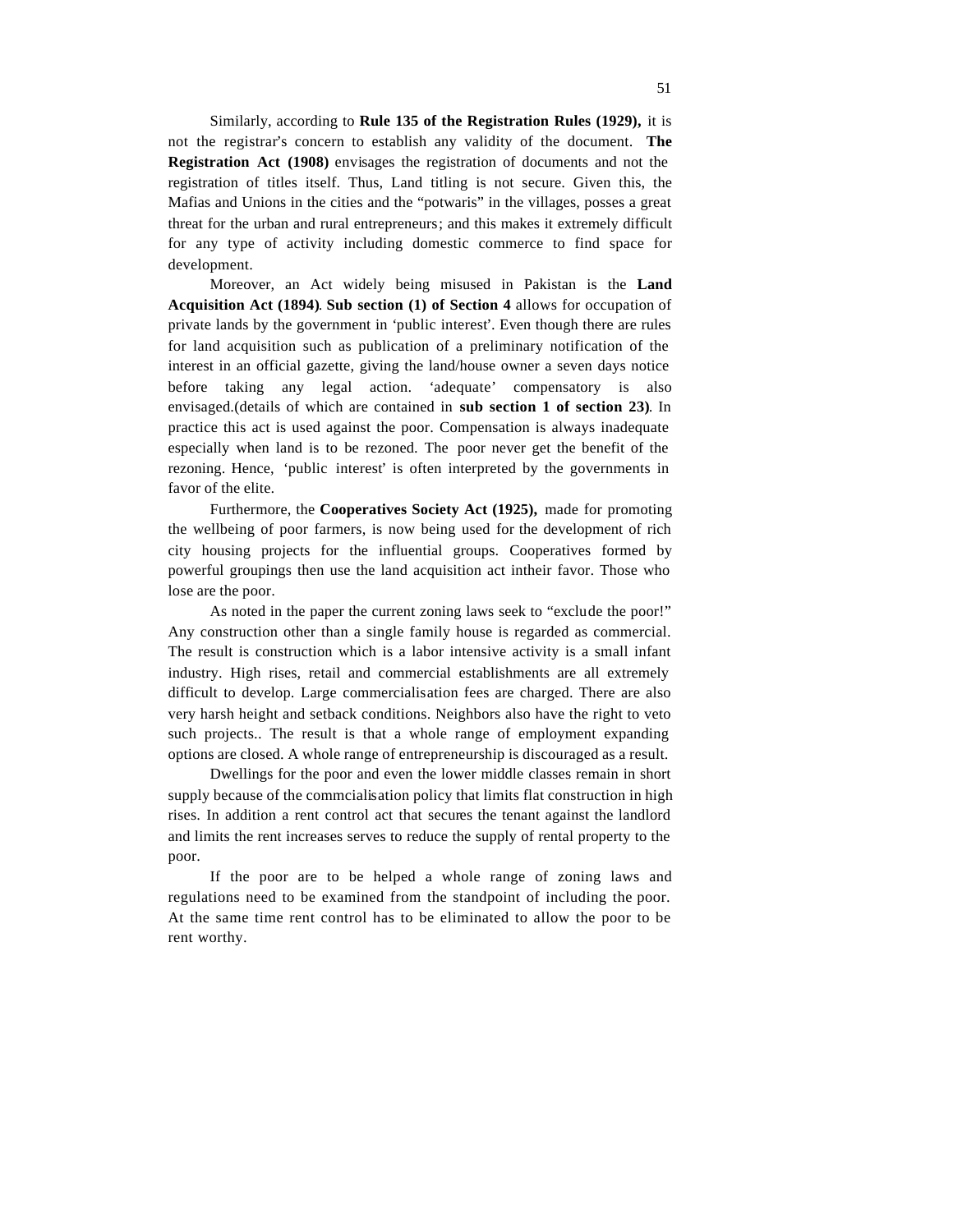Similarly, according to **Rule 135 of the Registration Rules (1929),** it is not the registrar's concern to establish any validity of the document. **The Registration Act (1908)** envisages the registration of documents and not the registration of titles itself. Thus, Land titling is not secure. Given this, the Mafias and Unions in the cities and the "potwaris" in the villages, posses a great threat for the urban and rural entrepreneurs; and this makes it extremely difficult for any type of activity including domestic commerce to find space for development.

Moreover, an Act widely being misused in Pakistan is the **Land Acquisition Act (1894)**. **Sub section (1) of Section 4** allows for occupation of private lands by the government in 'public interest'. Even though there are rules for land acquisition such as publication of a preliminary notification of the interest in an official gazette, giving the land/house owner a seven days notice before taking any legal action. 'adequate' compensatory is also envisaged.(details of which are contained in **sub section 1 of section 23)**. In practice this act is used against the poor. Compensation is always inadequate especially when land is to be rezoned. The poor never get the benefit of the rezoning. Hence, 'public interest' is often interpreted by the governments in favor of the elite.

Furthermore, the **Cooperatives Society Act (1925),** made for promoting the wellbeing of poor farmers, is now being used for the development of rich city housing projects for the influential groups. Cooperatives formed by powerful groupings then use the land acquisition act intheir favor. Those who lose are the poor.

As noted in the paper the current zoning laws seek to "exclude the poor!" Any construction other than a single family house is regarded as commercial. The result is construction which is a labor intensive activity is a small infant industry. High rises, retail and commercial establishments are all extremely difficult to develop. Large commercialisation fees are charged. There are also very harsh height and setback conditions. Neighbors also have the right to veto such projects.. The result is that a whole range of employment expanding options are closed. A whole range of entrepreneurship is discouraged as a result.

Dwellings for the poor and even the lower middle classes remain in short supply because of the commcialisation policy that limits flat construction in high rises. In addition a rent control act that secures the tenant against the landlord and limits the rent increases serves to reduce the supply of rental property to the poor.

If the poor are to be helped a whole range of zoning laws and regulations need to be examined from the standpoint of including the poor. At the same time rent control has to be eliminated to allow the poor to be rent worthy.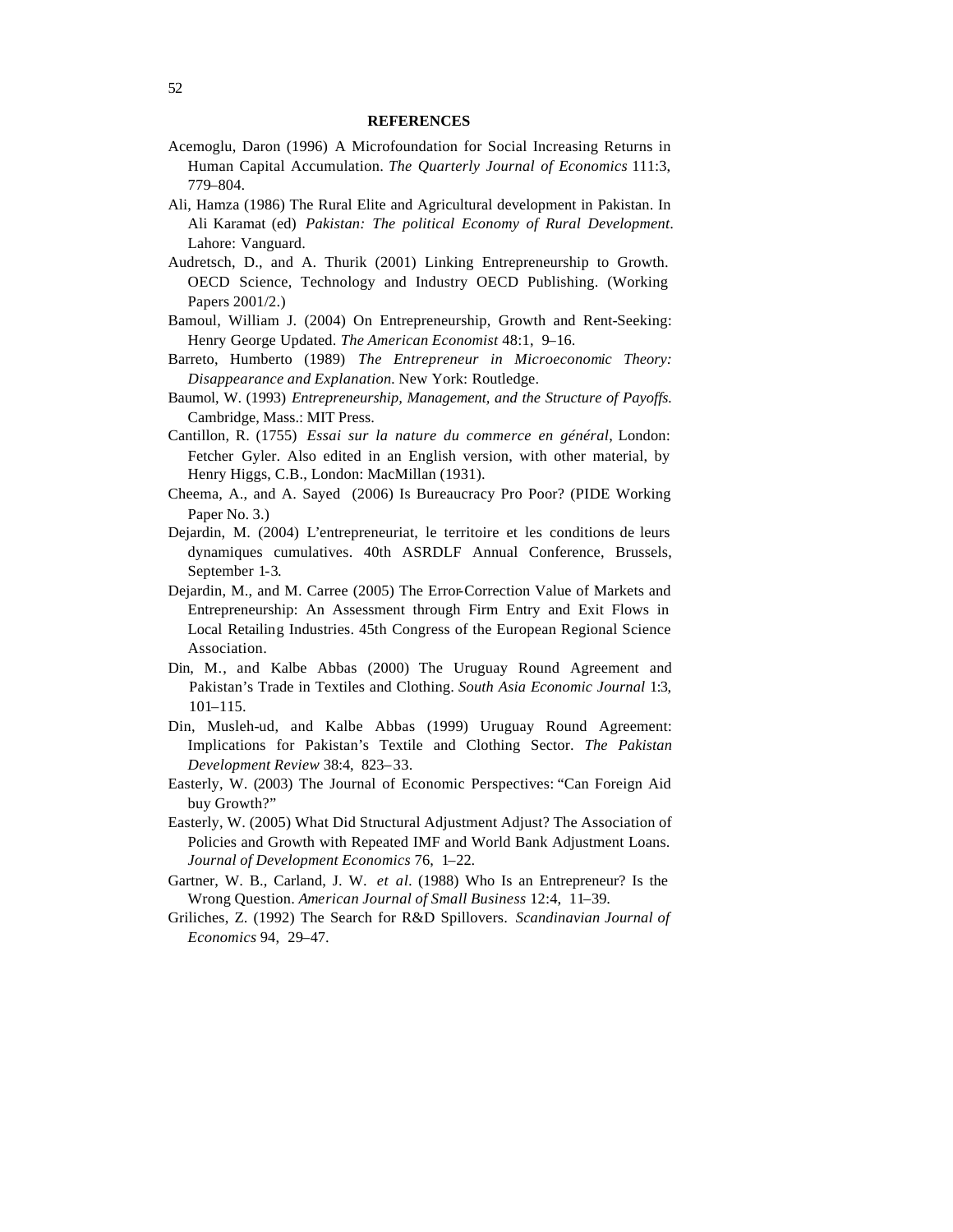#### **REFERENCES**

- Acemoglu, Daron (1996) A Microfoundation for Social Increasing Returns in Human Capital Accumulation. *The Quarterly Journal of Economics* 111:3, 779–804.
- Ali, Hamza (1986) The Rural Elite and Agricultural development in Pakistan. In Ali Karamat (ed) *Pakistan: The political Economy of Rural Development*. Lahore: Vanguard.
- Audretsch, D., and A. Thurik (2001) Linking Entrepreneurship to Growth. OECD Science, Technology and Industry OECD Publishing. (Working Papers 2001/2.)
- Bamoul, William J. (2004) On Entrepreneurship, Growth and Rent-Seeking: Henry George Updated. *The American Economist* 48:1, 9–16.
- Barreto, Humberto (1989) *The Entrepreneur in Microeconomic Theory: Disappearance and Explanation.* New York: Routledge.
- Baumol, W. (1993) *Entrepreneurship, Management, and the Structure of Payoffs.* Cambridge, Mass.: MIT Press.
- Cantillon, R. (1755) *Essai sur la nature du commerce en général*, London: Fetcher Gyler. Also edited in an English version, with other material, by Henry Higgs, C.B., London: MacMillan (1931).
- Cheema, A., and A. Sayed (2006) Is Bureaucracy Pro Poor? (PIDE Working Paper No. 3.)
- Dejardin, M. (2004) L'entrepreneuriat, le territoire et les conditions de leurs dynamiques cumulatives. 40th ASRDLF Annual Conference, Brussels, September 1-3.
- Dejardin, M., and M. Carree (2005) The Error-Correction Value of Markets and Entrepreneurship: An Assessment through Firm Entry and Exit Flows in Local Retailing Industries. 45th Congress of the European Regional Science Association.
- Din, M., and Kalbe Abbas (2000) The Uruguay Round Agreement and Pakistan's Trade in Textiles and Clothing. *South Asia Economic Journal* 1:3, 101–115.
- Din, Musleh-ud, and Kalbe Abbas (1999) Uruguay Round Agreement: Implications for Pakistan's Textile and Clothing Sector. *The Pakistan Development Review* 38:4, 823–33.
- Easterly, W. (2003) The Journal of Economic Perspectives: "Can Foreign Aid buy Growth?"
- Easterly, W. (2005) What Did Structural Adjustment Adjust? The Association of Policies and Growth with Repeated IMF and World Bank Adjustment Loans. *Journal of Development Economics* 76, 1–22.
- Gartner, W. B., Carland, J. W. *et al.* (1988) Who Is an Entrepreneur? Is the Wrong Question. *American Journal of Small Business* 12:4, 11–39.
- Griliches, Z. (1992) The Search for R&D Spillovers. *Scandinavian Journal of Economics* 94, 29–47.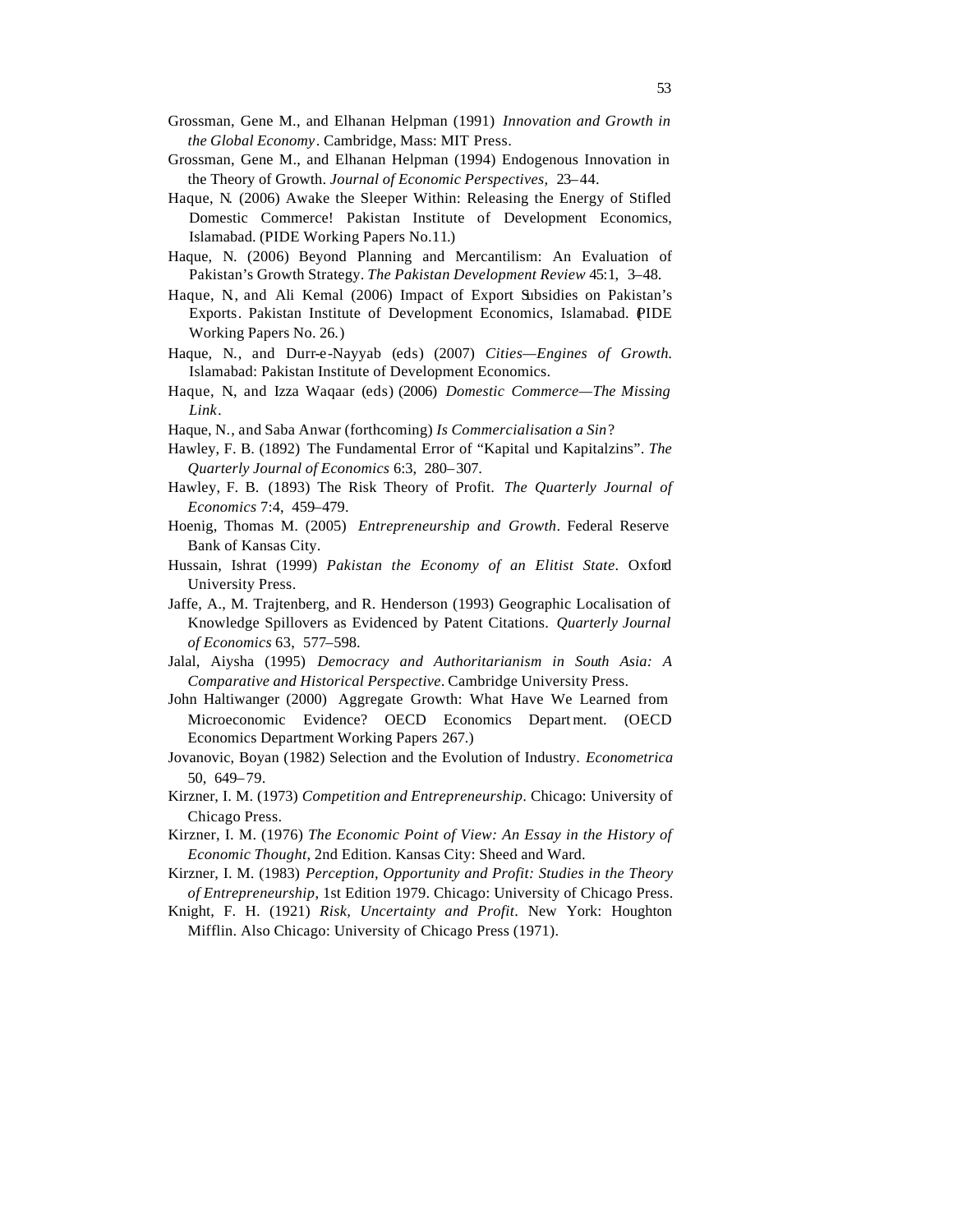- Grossman, Gene M., and Elhanan Helpman (1994) Endogenous Innovation in the Theory of Growth. *Journal of Economic Perspectives,* 23–44.
- Haque, N. (2006) Awake the Sleeper Within: Releasing the Energy of Stifled Domestic Commerce! Pakistan Institute of Development Economics, Islamabad. (PIDE Working Papers No.11.)
- Haque, N. (2006) Beyond Planning and Mercantilism: An Evaluation of Pakistan's Growth Strategy. *The Pakistan Development Review* 45:1, 3–48.
- Haque, N., and Ali Kemal (2006) Impact of Export Subsidies on Pakistan's Exports. Pakistan Institute of Development Economics, Islamabad. PIDE Working Papers No. 26.)
- Haque, N., and Durr-e-Nayyab (eds) (2007) *Cities—Engines of Growth.* Islamabad: Pakistan Institute of Development Economics.
- Haque, N., and Izza Waqaar (eds) (2006) *Domestic Commerce—The Missing Link.*
- Haque, N., and Saba Anwar (forthcoming) *Is Commercialisation a Sin*?
- Hawley, F. B. (1892) The Fundamental Error of "Kapital und Kapitalzins". *The Quarterly Journal of Economics* 6:3, 280–307.
- Hawley, F. B. (1893) The Risk Theory of Profit. *The Quarterly Journal of Economics* 7:4, 459–479.
- Hoenig, Thomas M. (2005) *Entrepreneurship and Growth*. Federal Reserve Bank of Kansas City.
- Hussain, Ishrat (1999) *Pakistan the Economy of an Elitist State*. Oxford University Press.
- Jaffe, A., M. Trajtenberg, and R. Henderson (1993) Geographic Localisation of Knowledge Spillovers as Evidenced by Patent Citations. *Quarterly Journal of Economics* 63, 577–598.
- Jalal, Aiysha (1995) *Democracy and Authoritarianism in South Asia: A Comparative and Historical Perspective*. Cambridge University Press.
- John Haltiwanger (2000) Aggregate Growth: What Have We Learned from Microeconomic Evidence? OECD Economics Depart ment. (OECD Economics Department Working Papers 267.)
- Jovanovic, Boyan (1982) Selection and the Evolution of Industry. *Econometrica* 50, 649–79.
- Kirzner, I. M. (1973) *Competition and Entrepreneurship*. Chicago: University of Chicago Press.
- Kirzner, I. M. (1976) *The Economic Point of View: An Essay in the History of Economic Thought*, 2nd Edition. Kansas City: Sheed and Ward.
- Kirzner, I. M. (1983) *Perception, Opportunity and Profit: Studies in the Theory of Entrepreneurship*, 1st Edition 1979. Chicago: University of Chicago Press.
- Knight, F. H. (1921) *Risk, Uncertainty and Profit*. New York: Houghton Mifflin. Also Chicago: University of Chicago Press (1971).